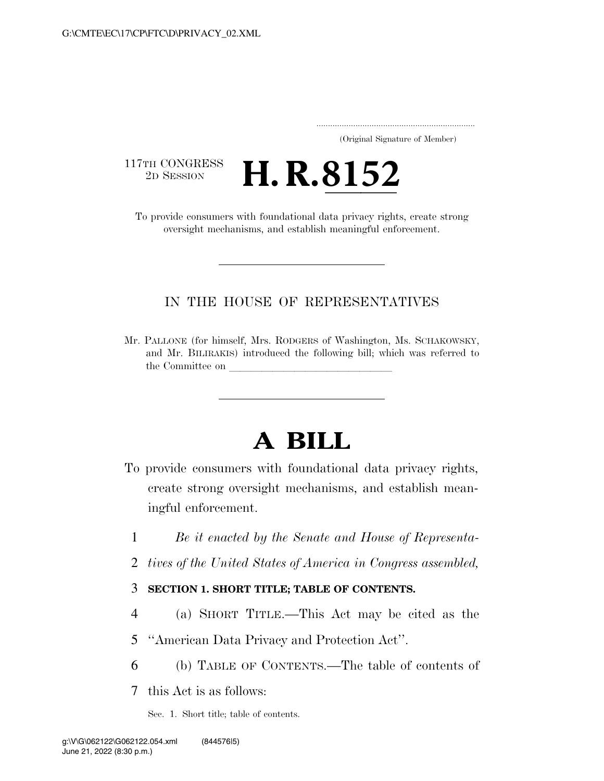..................................................................... (Original Signature of Member)

117TH CONGRESS<br>2D SESSION

THE CONGRESS **H. R. 8152**<br>To provide consumers with foundational data privacy rights, create strong

oversight mechanisms, and establish meaningful enforcement.

# IN THE HOUSE OF REPRESENTATIVES

Mr. PALLONE (for himself, Mrs. RODGERS of Washington, Ms. SCHAKOWSKY, and Mr. BILIRAKIS) introduced the following bill; which was referred to the Committee on

# **A BILL**

- To provide consumers with foundational data privacy rights, create strong oversight mechanisms, and establish meaningful enforcement.
	- 1 *Be it enacted by the Senate and House of Representa-*
	- 2 *tives of the United States of America in Congress assembled,*

# 3 **SECTION 1. SHORT TITLE; TABLE OF CONTENTS.**

4 (a) SHORT TITLE.—This Act may be cited as the

5 ''American Data Privacy and Protection Act''.

6 (b) TABLE OF CONTENTS.—The table of contents of

7 this Act is as follows:

Sec. 1. Short title; table of contents.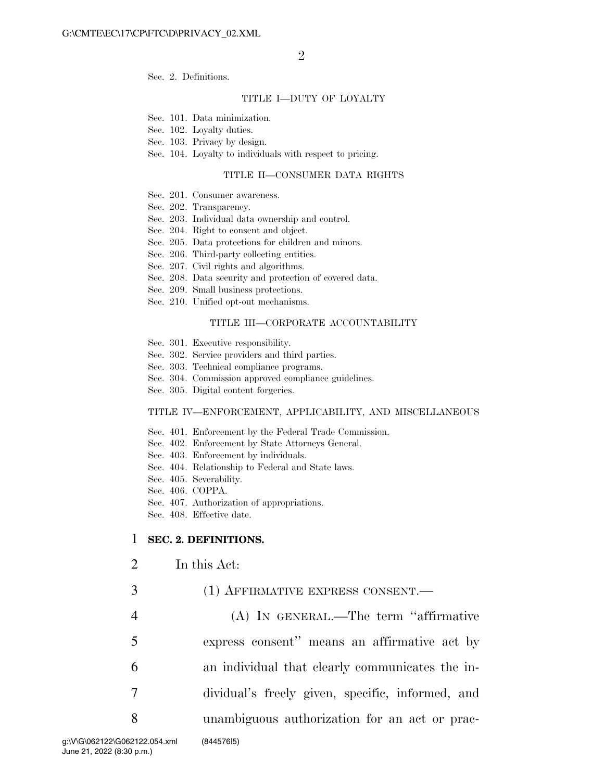Sec. 2. Definitions.

#### TITLE I—DUTY OF LOYALTY

- Sec. 101. Data minimization.
- Sec. 102. Loyalty duties.
- Sec. 103. Privacy by design.
- Sec. 104. Loyalty to individuals with respect to pricing.

#### TITLE II—CONSUMER DATA RIGHTS

- Sec. 201. Consumer awareness.
- Sec. 202. Transparency.
- Sec. 203. Individual data ownership and control.
- Sec. 204. Right to consent and object.
- Sec. 205. Data protections for children and minors.
- Sec. 206. Third-party collecting entities.
- Sec. 207. Civil rights and algorithms.
- Sec. 208. Data security and protection of covered data.
- Sec. 209. Small business protections.
- Sec. 210. Unified opt-out mechanisms.

#### TITLE III—CORPORATE ACCOUNTABILITY

- Sec. 301. Executive responsibility.
- Sec. 302. Service providers and third parties.
- Sec. 303. Technical compliance programs.
- Sec. 304. Commission approved compliance guidelines.
- Sec. 305. Digital content forgeries.

#### TITLE IV—ENFORCEMENT, APPLICABILITY, AND MISCELLANEOUS

- Sec. 401. Enforcement by the Federal Trade Commission.
- Sec. 402. Enforcement by State Attorneys General.
- Sec. 403. Enforcement by individuals.
- Sec. 404. Relationship to Federal and State laws.
- Sec. 405. Severability.
- Sec. 406. COPPA.
- Sec. 407. Authorization of appropriations.
- Sec. 408. Effective date.

#### 1 **SEC. 2. DEFINITIONS.**

- 2 In this Act:
- 3 (1) AFFIRMATIVE EXPRESS CONSENT.—
- 4 (A) IN GENERAL.—The term ''affirmative 5 express consent'' means an affirmative act by 6 an individual that clearly communicates the in-7 dividual's freely given, specific, informed, and 8 unambiguous authorization for an act or prac-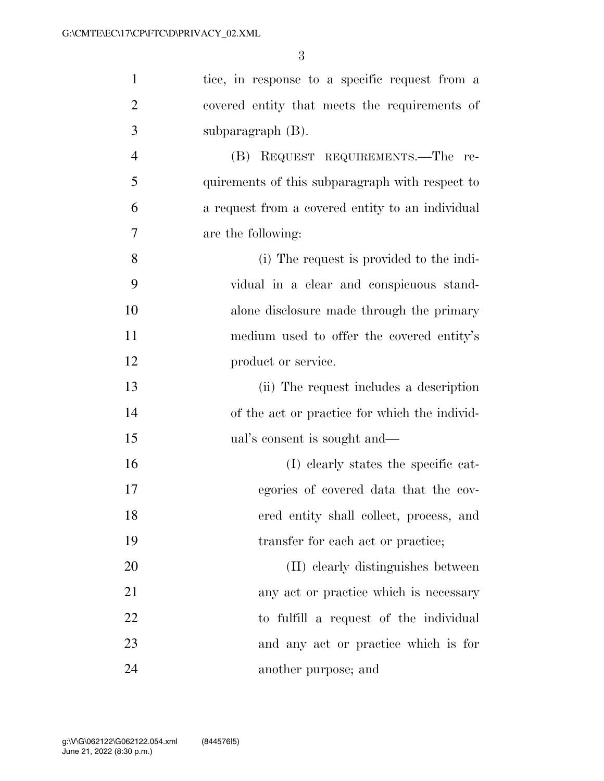| $\mathbf{1}$   | tice, in response to a specific request from a   |
|----------------|--------------------------------------------------|
| $\overline{2}$ | covered entity that meets the requirements of    |
| 3              | subparagraph $(B)$ .                             |
| $\overline{4}$ | (B) REQUEST REQUIREMENTS.—The re-                |
| 5              | quirements of this subparagraph with respect to  |
| 6              | a request from a covered entity to an individual |
| $\overline{7}$ | are the following:                               |
| 8              | (i) The request is provided to the indi-         |
| 9              | vidual in a clear and conspicuous stand-         |
| 10             | alone disclosure made through the primary        |
| 11             | medium used to offer the covered entity's        |
| 12             | product or service.                              |
| 13             | (ii) The request includes a description          |
| 14             | of the act or practice for which the individ-    |
| 15             | ual's consent is sought and—                     |
| 16             | (I) clearly states the specific cat-             |
| 17             | egories of covered data that the cov-            |
| 18             | ered entity shall collect, process, and          |
| 19             | transfer for each act or practice;               |
| 20             | (II) clearly distinguishes between               |
| 21             | any act or practice which is necessary           |
| 22             | to fulfill a request of the individual           |
| 23             | and any act or practice which is for             |
| 24             | another purpose; and                             |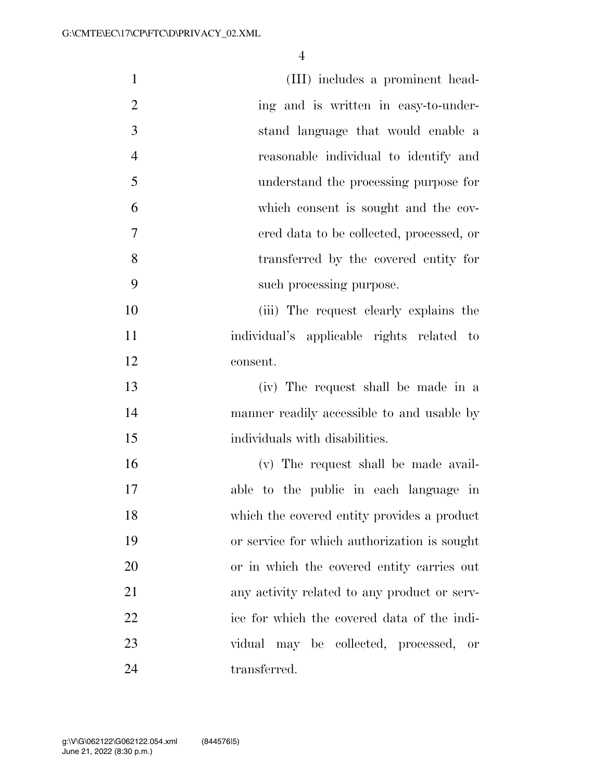| $\mathbf{1}$   | (III) includes a prominent head-             |
|----------------|----------------------------------------------|
| $\overline{2}$ | ing and is written in easy-to-under-         |
| 3              | stand language that would enable a           |
| $\overline{4}$ | reasonable individual to identify and        |
| 5              | understand the processing purpose for        |
| 6              | which consent is sought and the cov-         |
| $\tau$         | ered data to be collected, processed, or     |
| 8              | transferred by the covered entity for        |
| 9              | such processing purpose.                     |
| 10             | (iii) The request clearly explains the       |
| 11             | individual's applicable rights related to    |
| 12             | consent.                                     |
| 13             | (iv) The request shall be made in a          |
| 14             | manner readily accessible to and usable by   |
| 15             | individuals with disabilities.               |
| 16             | (v) The request shall be made avail-         |
| 17             | able to the public in each language in       |
| 18             | which the covered entity provides a product  |
| 19             | or service for which authorization is sought |
| 20             | or in which the covered entity carries out   |
| 21             | any activity related to any product or serv- |
| 22             | ice for which the covered data of the indi-  |
| 23             | vidual may be collected, processed, or       |
| 24             | transferred.                                 |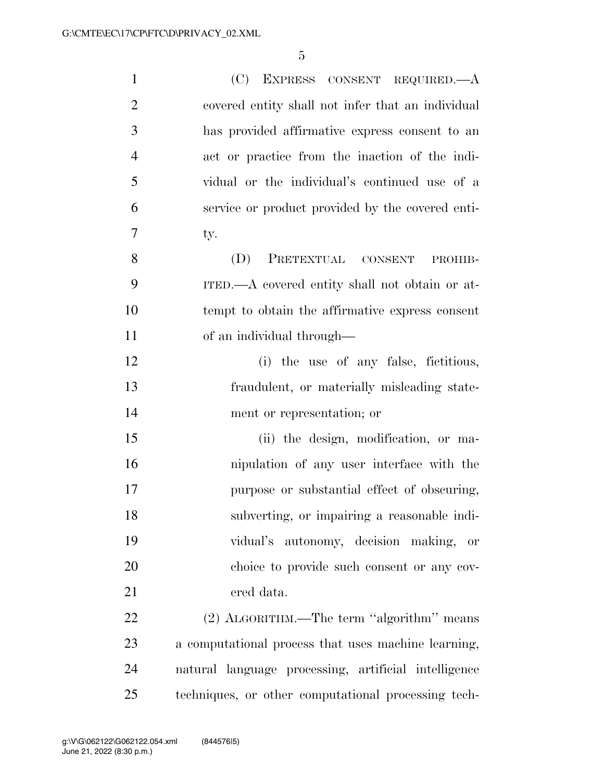| $\mathbf{1}$   | (C) EXPRESS CONSENT REQUIRED.—A                      |
|----------------|------------------------------------------------------|
| $\overline{2}$ | covered entity shall not infer that an individual    |
| 3              | has provided affirmative express consent to an       |
| $\overline{4}$ | act or practice from the inaction of the indi-       |
| 5              | vidual or the individual's continued use of a        |
| 6              | service or product provided by the covered enti-     |
| 7              | ty.                                                  |
| 8              | PRETEXTUAL CONSENT<br>(D)<br>PROHIB-                 |
| 9              | ITED.—A covered entity shall not obtain or at-       |
| 10             | tempt to obtain the affirmative express consent      |
| 11             | of an individual through—                            |
| 12             | (i) the use of any false, fictitious,                |
| 13             | fraudulent, or materially misleading state-          |
| 14             | ment or representation; or                           |
| 15             | (ii) the design, modification, or ma-                |
| 16             | nipulation of any user interface with the            |
| 17             | purpose or substantial effect of obscuring,          |
| 18             | subverting, or impairing a reasonable indi-          |
| 19             | vidual's autonomy, decision making,<br>or            |
| 20             | choice to provide such consent or any cov-           |
| 21             | ered data.                                           |
| 22             | (2) ALGORITHM.—The term "algorithm" means            |
| 23             | a computational process that uses machine learning,  |
| 24             | natural language processing, artificial intelligence |
| 25             | techniques, or other computational processing tech-  |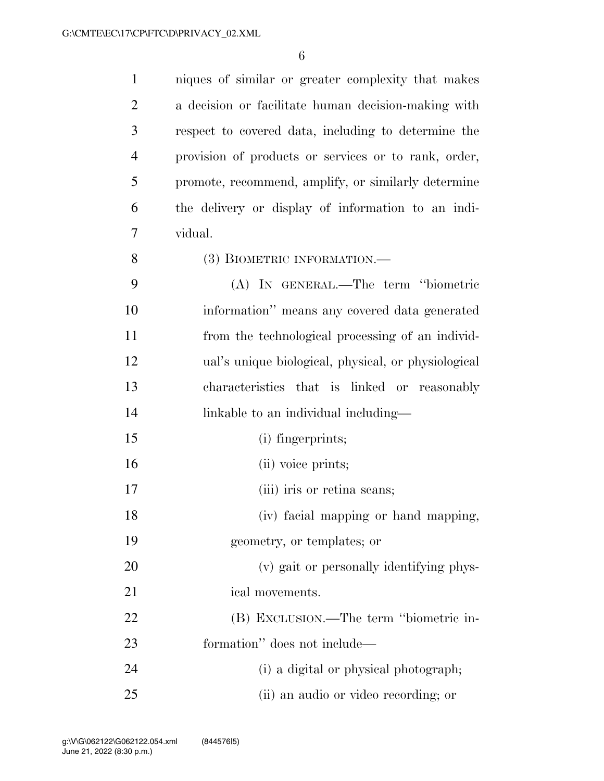| $\mathbf{1}$   | niques of similar or greater complexity that makes   |
|----------------|------------------------------------------------------|
| $\overline{2}$ | a decision or facilitate human decision-making with  |
| 3              | respect to covered data, including to determine the  |
| $\overline{4}$ | provision of products or services or to rank, order, |
| 5              | promote, recommend, amplify, or similarly determine  |
| 6              | the delivery or display of information to an indi-   |
| 7              | vidual.                                              |
| 8              | (3) BIOMETRIC INFORMATION.—                          |
| 9              | (A) IN GENERAL.—The term "biometric                  |
| 10             | information" means any covered data generated        |
| 11             | from the technological processing of an individ-     |
| 12             | ual's unique biological, physical, or physiological  |
| 13             | characteristics that is linked or reasonably         |
| 14             | linkable to an individual including—                 |
| 15             | (i) fingerprints;                                    |
| 16             | (ii) voice prints;                                   |
| 17             | (iii) iris or retina seans;                          |
| 18             | (iv) facial mapping or hand mapping,                 |
| 19             | geometry, or templates; or                           |
| 20             | (v) gait or personally identifying phys-             |
| 21             | ical movements.                                      |
| 22             | (B) EXCLUSION.—The term "biometric in-               |
| 23             | formation" does not include—                         |
| 24             | (i) a digital or physical photograph;                |
| 25             | (ii) an audio or video recording; or                 |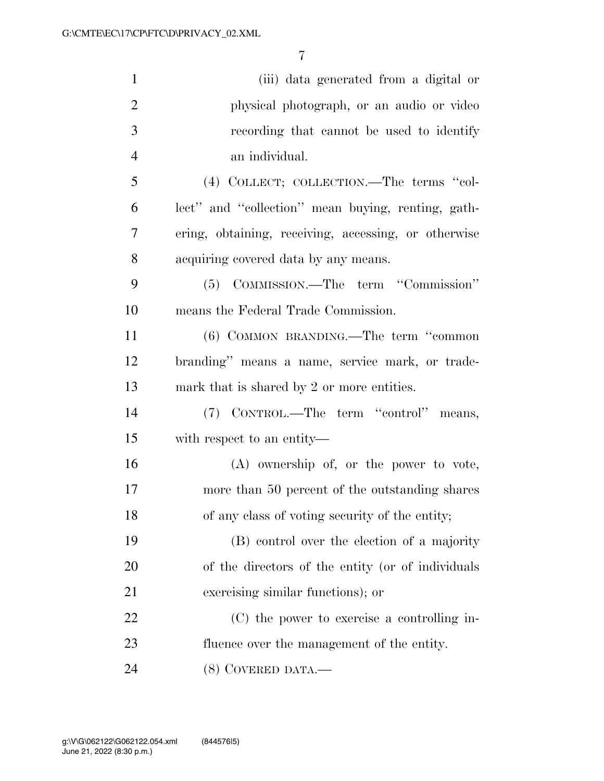| $\mathbf{1}$   | (iii) data generated from a digital or               |
|----------------|------------------------------------------------------|
| $\overline{2}$ | physical photograph, or an audio or video            |
| 3              | recording that cannot be used to identify            |
| $\overline{4}$ | an individual.                                       |
| 5              | (4) COLLECT; COLLECTION.—The terms "col-             |
| 6              | lect" and "collection" mean buying, renting, gath-   |
| 7              | ering, obtaining, receiving, accessing, or otherwise |
| 8              | acquiring covered data by any means.                 |
| 9              | (5) COMMISSION.—The term "Commission"                |
| 10             | means the Federal Trade Commission.                  |
| 11             | (6) COMMON BRANDING.—The term "common                |
| 12             | branding" means a name, service mark, or trade-      |
| 13             | mark that is shared by 2 or more entities.           |
| 14             | (7) CONTROL.—The term "control" means,               |
| 15             | with respect to an entity—                           |
| 16             | $(A)$ ownership of, or the power to vote,            |
| 17             | more than 50 percent of the outstanding shares       |
| 18             | of any class of voting security of the entity;       |
| 19             | (B) control over the election of a majority          |
| 20             | of the directors of the entity (or of individuals    |
| 21             | exercising similar functions); or                    |
| 22             | (C) the power to exercise a controlling in-          |
| 23             | fluence over the management of the entity.           |
| 24             | (8) COVERED DATA.—                                   |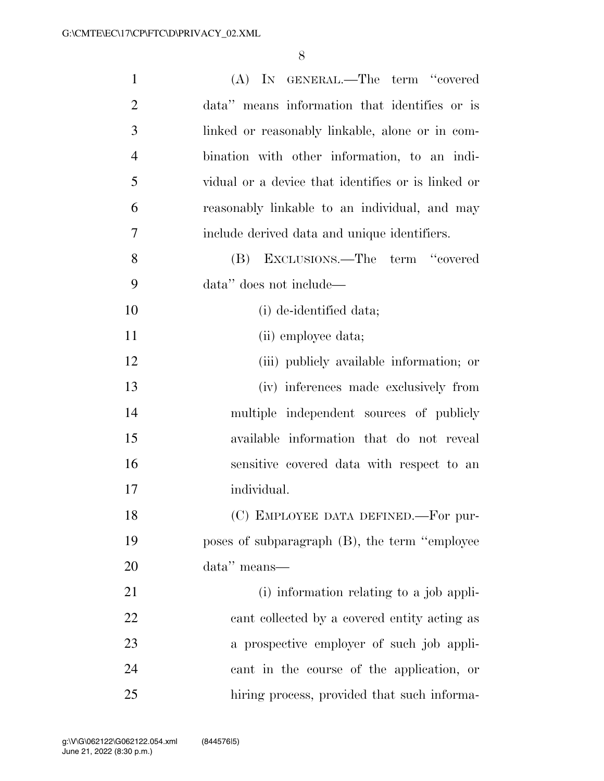| $\mathbf{1}$   | (A) IN GENERAL.—The term "covered                  |
|----------------|----------------------------------------------------|
| $\overline{2}$ | data" means information that identifies or is      |
| 3              | linked or reasonably linkable, alone or in com-    |
| $\overline{4}$ | bination with other information, to an indi-       |
| 5              | vidual or a device that identifies or is linked or |
| 6              | reasonably linkable to an individual, and may      |
| 7              | include derived data and unique identifiers.       |
| 8              | EXCLUSIONS.—The term "covered<br>(B)               |
| 9              | data" does not include—                            |
| 10             | (i) de-identified data;                            |
| 11             | (ii) employee data;                                |
| 12             | (iii) publicly available information; or           |
| 13             | (iv) inferences made exclusively from              |
| 14             | multiple independent sources of publicly           |
| 15             | available information that do not reveal           |
| 16             | sensitive covered data with respect to an          |
| 17             | individual.                                        |
| 18             | (C) EMPLOYEE DATA DEFINED.-For pur-                |
| 19             | poses of subparagraph (B), the term "employee      |
| 20             | data" means—                                       |
| 21             | (i) information relating to a job appli-           |
| 22             | cant collected by a covered entity acting as       |
| 23             | a prospective employer of such job appli-          |
| 24             | cant in the course of the application, or          |
| 25             | hiring process, provided that such informa-        |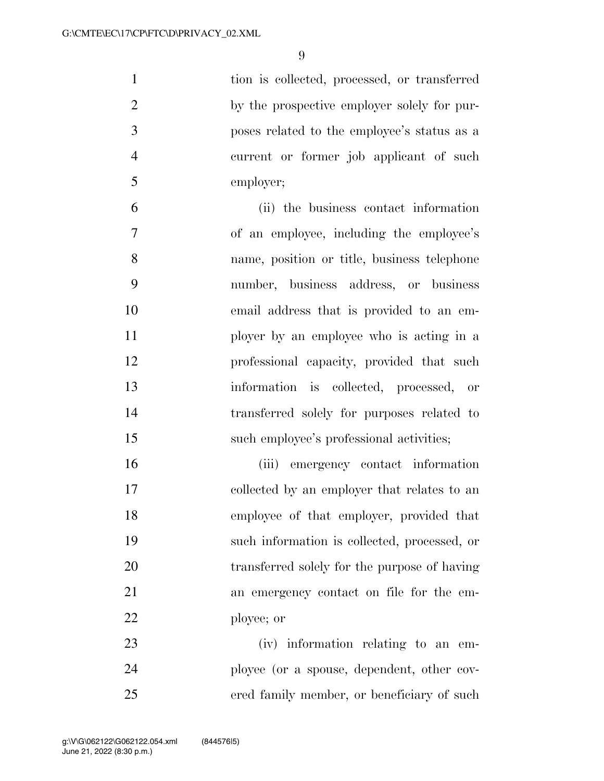tion is collected, processed, or transferred 2 by the prospective employer solely for pur- poses related to the employee's status as a current or former job applicant of such employer;

 (ii) the business contact information of an employee, including the employee's name, position or title, business telephone number, business address, or business email address that is provided to an em- ployer by an employee who is acting in a professional capacity, provided that such information is collected, processed, or transferred solely for purposes related to 15 such employee's professional activities;

 (iii) emergency contact information collected by an employer that relates to an employee of that employer, provided that such information is collected, processed, or transferred solely for the purpose of having an emergency contact on file for the em-ployee; or

 (iv) information relating to an em- ployee (or a spouse, dependent, other cov-ered family member, or beneficiary of such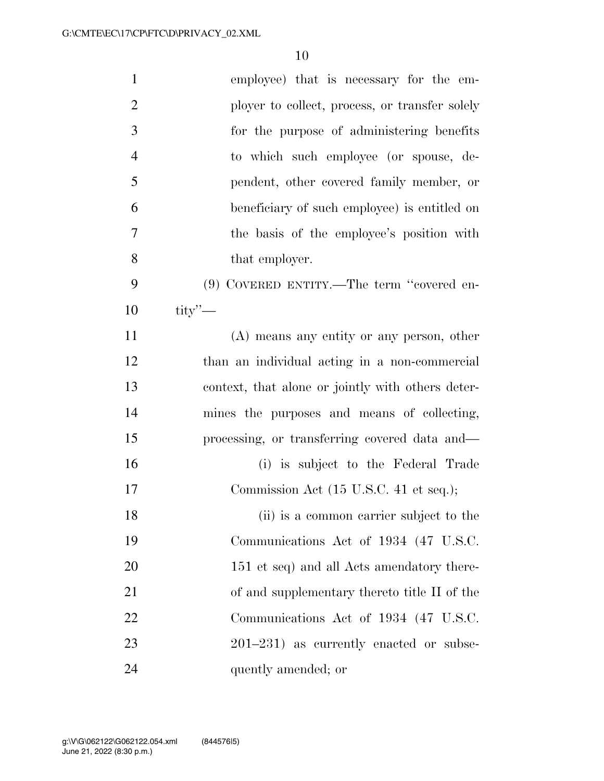| $\mathbf{1}$   | employee) that is necessary for the em-           |
|----------------|---------------------------------------------------|
| $\overline{2}$ | ployer to collect, process, or transfer solely    |
| 3              | for the purpose of administering benefits         |
| $\overline{4}$ | to which such employee (or spouse, de-            |
| 5              | pendent, other covered family member, or          |
| 6              | beneficiary of such employee) is entitled on      |
| 7              | the basis of the employee's position with         |
| 8              | that employer.                                    |
| 9              | $(9)$ COVERED ENTITY.—The term "covered en-       |
| 10             | $\text{tity}$ $\sim$                              |
| 11             | $(A)$ means any entity or any person, other       |
| 12             | than an individual acting in a non-commercial     |
| 13             | context, that alone or jointly with others deter- |
| 14             | mines the purposes and means of collecting,       |
| 15             | processing, or transferring covered data and—     |
| 16             | (i) is subject to the Federal Trade               |
| 17             | Commission Act (15 U.S.C. 41 et seq.);            |
| 18             | (ii) is a common carrier subject to the           |
| 19             | Communications Act of 1934 (47 U.S.C.             |
| 20             | 151 et seq) and all Acts amendatory there-        |
| 21             | of and supplementary thereto title II of the      |
| 22             | Communications Act of 1934 (47 U.S.C.             |
| 23             | $201-231$ ) as currently enacted or subse-        |
| 24             | quently amended; or                               |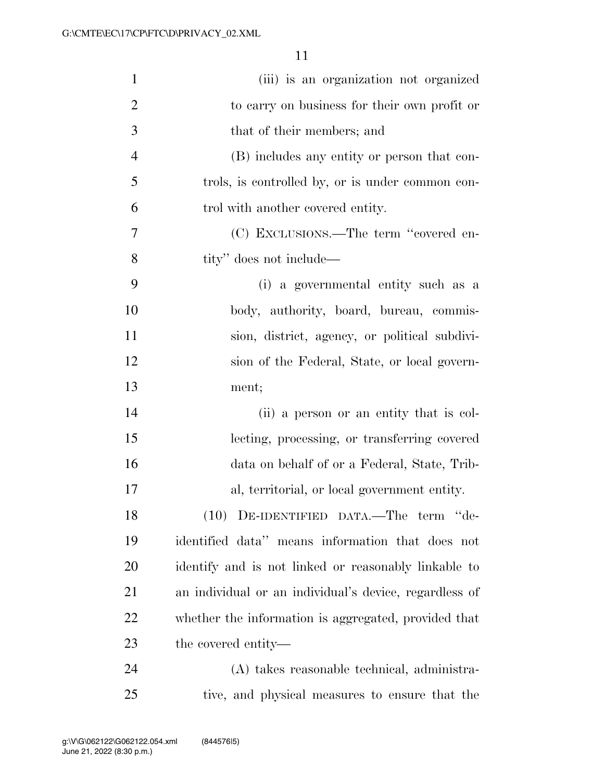| $\mathbf{1}$   | (iii) is an organization not organized                 |
|----------------|--------------------------------------------------------|
| $\overline{2}$ | to carry on business for their own profit or           |
| 3              | that of their members; and                             |
| $\overline{4}$ | (B) includes any entity or person that con-            |
| 5              | trols, is controlled by, or is under common con-       |
| 6              | trol with another covered entity.                      |
| 7              | (C) EXCLUSIONS.—The term "covered en-                  |
| 8              | tity" does not include—                                |
| 9              | (i) a governmental entity such as a                    |
| 10             | body, authority, board, bureau, commis-                |
| 11             | sion, district, agency, or political subdivi-          |
| 12             | sion of the Federal, State, or local govern-           |
| 13             | ment;                                                  |
| 14             | (ii) a person or an entity that is col-                |
| 15             | lecting, processing, or transferring covered           |
| 16             | data on behalf of or a Federal, State, Trib-           |
| 17             | al, territorial, or local government entity.           |
| 18             | (10) DE-IDENTIFIED DATA.—The term "de-                 |
| 19             | identified data" means information that does not       |
| 20             | identify and is not linked or reasonably linkable to   |
| 21             | an individual or an individual's device, regardless of |
| 22             | whether the information is aggregated, provided that   |
| 23             | the covered entity—                                    |
| 24             | (A) takes reasonable technical, administra-            |
| 25             | tive, and physical measures to ensure that the         |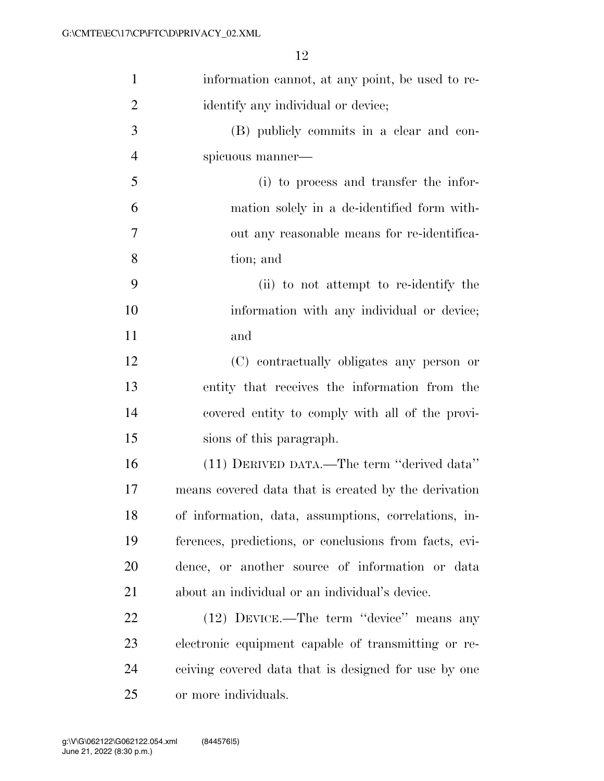| $\mathbf{1}$   | information cannot, at any point, be used to re-       |
|----------------|--------------------------------------------------------|
| $\overline{2}$ | identify any individual or device;                     |
| 3              | (B) publicly commits in a clear and con-               |
| $\overline{4}$ | spicuous manner—                                       |
| 5              | (i) to process and transfer the infor-                 |
| 6              | mation solely in a de-identified form with-            |
| 7              | out any reasonable means for re-identifica-            |
| 8              | tion; and                                              |
| 9              | (ii) to not attempt to re-identify the                 |
| 10             | information with any individual or device;             |
| 11             | and                                                    |
| 12             | (C) contractually obligates any person or              |
| 13             | entity that receives the information from the          |
| 14             | covered entity to comply with all of the provi-        |
| 15             | sions of this paragraph.                               |
| 16             | (11) DERIVED DATA.—The term "derived data"             |
| 17             | means covered data that is created by the derivation   |
| 18             | of information, data, assumptions, correlations, in-   |
| 19             | ferences, predictions, or conclusions from facts, evi- |
| 20             | dence, or another source of information or data        |
| 21             | about an individual or an individual's device.         |
| 22             | (12) DEVICE.—The term "device" means any               |
| 23             | electronic equipment capable of transmitting or re-    |
| 24             | ceiving covered data that is designed for use by one   |
| 25             | or more individuals.                                   |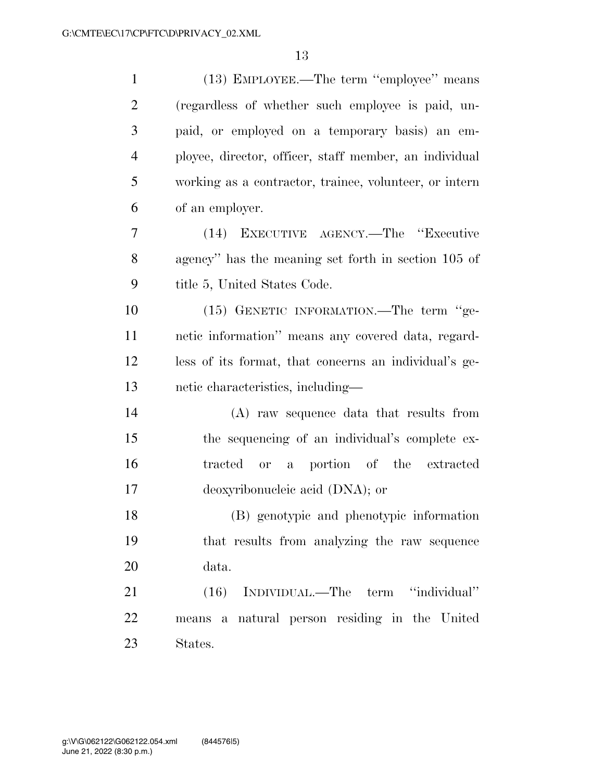| $\mathbf{1}$   | (13) EMPLOYEE.—The term "employee" means               |
|----------------|--------------------------------------------------------|
| $\overline{2}$ | (regardless of whether such employee is paid, un-      |
| 3              | paid, or employed on a temporary basis) an em-         |
| $\overline{4}$ | ployee, director, officer, staff member, an individual |
| 5              | working as a contractor, trainee, volunteer, or intern |
| 6              | of an employer.                                        |
| 7              | (14) EXECUTIVE AGENCY.—The "Executive                  |
| 8              | agency" has the meaning set forth in section 105 of    |
| 9              | title 5, United States Code.                           |
| 10             | (15) GENETIC INFORMATION.—The term "ge-                |
| 11             | netic information" means any covered data, regard-     |
| 12             | less of its format, that concerns an individual's ge-  |
| 13             | netic characteristics, including—                      |
| 14             | (A) raw sequence data that results from                |
| 15             | the sequencing of an individual's complete ex-         |
| 16             | or a portion of the extracted<br>tracted               |
| 17             | deoxyribonucleic acid (DNA); or                        |
| 18             | (B) genotypic and phenotypic information               |
| 19             | that results from analyzing the raw sequence           |
| 20             | data.                                                  |
| 21             | (16) INDIVIDUAL.—The term "individual"                 |
| 22             | means a natural person residing in the United          |
| 23             | States.                                                |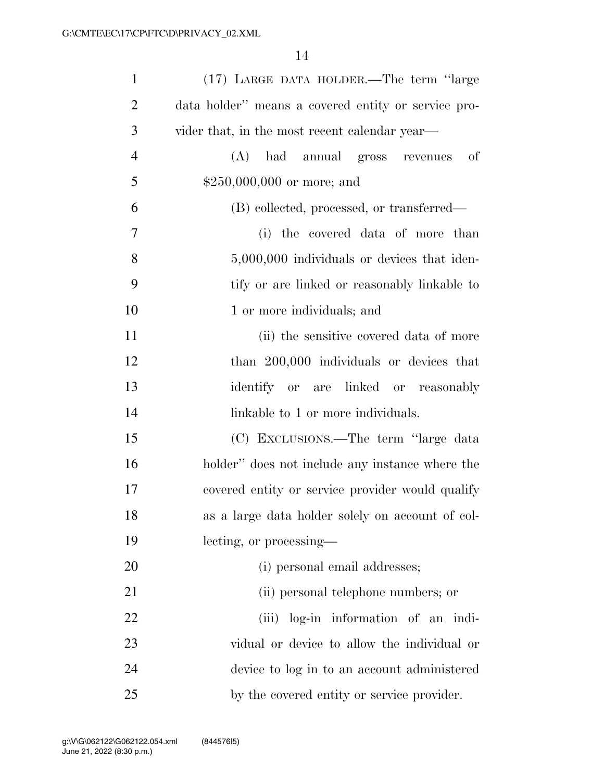| $\mathbf{1}$   | (17) LARGE DATA HOLDER.—The term "large             |
|----------------|-----------------------------------------------------|
| $\overline{2}$ | data holder" means a covered entity or service pro- |
| 3              | vider that, in the most recent calendar year—       |
| $\overline{4}$ | had annual gross revenues<br>(A)<br>of              |
| 5              | $$250,000,000$ or more; and                         |
| 6              | (B) collected, processed, or transferred—           |
| 7              | (i) the covered data of more than                   |
| 8              | 5,000,000 individuals or devices that iden-         |
| 9              | tify or are linked or reasonably linkable to        |
| 10             | 1 or more individuals; and                          |
| 11             | (ii) the sensitive covered data of more             |
| 12             | than 200,000 individuals or devices that            |
| 13             | identify or are linked or reasonably                |
| 14             | linkable to 1 or more individuals.                  |
| 15             | (C) EXCLUSIONS.—The term "large data                |
| 16             | holder" does not include any instance where the     |
| 17             | covered entity or service provider would qualify    |
| 18             | as a large data holder solely on account of col-    |
| 19             | lecting, or processing—                             |
| <b>20</b>      | (i) personal email addresses;                       |
| 21             | (ii) personal telephone numbers; or                 |
| 22             | (iii) log-in information of an indi-                |
| 23             | vidual or device to allow the individual or         |
| 24             | device to log in to an account administered         |
| 25             | by the covered entity or service provider.          |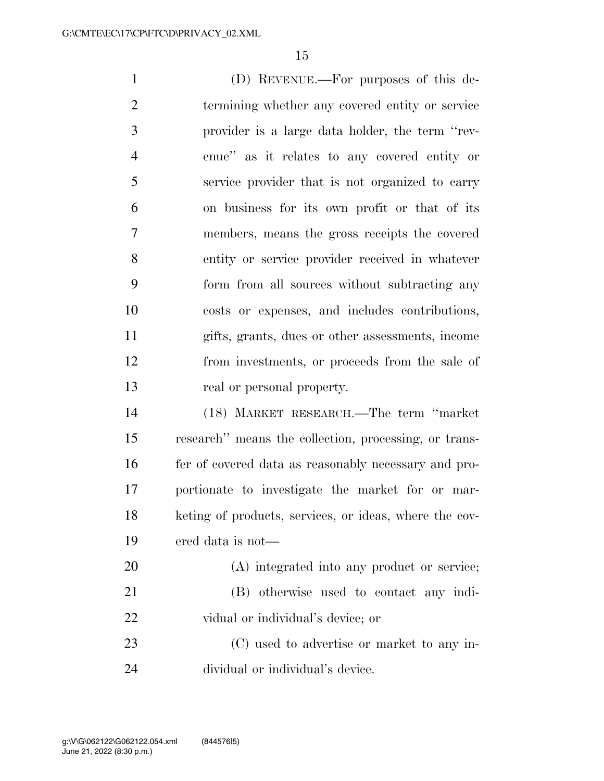(D) REVENUE.—For purposes of this de- termining whether any covered entity or service provider is a large data holder, the term ''rev- enue'' as it relates to any covered entity or service provider that is not organized to carry on business for its own profit or that of its members, means the gross receipts the covered entity or service provider received in whatever form from all sources without subtracting any costs or expenses, and includes contributions, gifts, grants, dues or other assessments, income from investments, or proceeds from the sale of 13 real or personal property. (18) MARKET RESEARCH.—The term ''market research'' means the collection, processing, or trans- fer of covered data as reasonably necessary and pro- portionate to investigate the market for or mar- keting of products, services, or ideas, where the cov- ered data is not— (A) integrated into any product or service; (B) otherwise used to contact any indi-vidual or individual's device; or

 (C) used to advertise or market to any in-dividual or individual's device.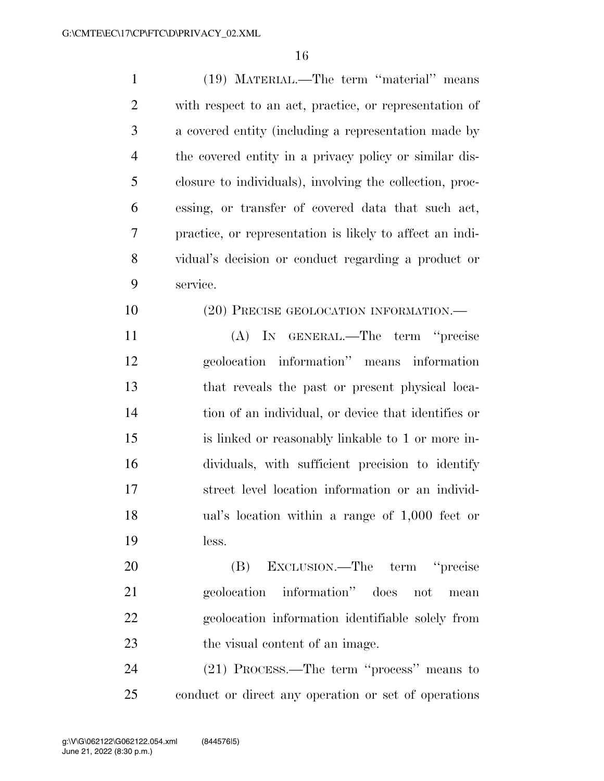| $\mathbf{1}$   | (19) MATERIAL.—The term "material" means                 |
|----------------|----------------------------------------------------------|
| $\overline{2}$ | with respect to an act, practice, or representation of   |
| 3              | a covered entity (including a representation made by     |
| $\overline{4}$ | the covered entity in a privacy policy or similar dis-   |
| 5              | closure to individuals), involving the collection, proc- |
| 6              | essing, or transfer of covered data that such act,       |
| 7              | practice, or representation is likely to affect an indi- |
| 8              | vidual's decision or conduct regarding a product or      |
| 9              | service.                                                 |
| 10             | (20) PRECISE GEOLOCATION INFORMATION.—                   |
| 11             | (A) IN GENERAL.—The term "precise                        |
| 12             | geolocation information" means information               |
| 13             | that reveals the past or present physical loca-          |
| 14             | tion of an individual, or device that identifies or      |
| 15             | is linked or reasonably linkable to 1 or more in-        |
| 16             | dividuals, with sufficient precision to identify         |
| 17             | street level location information or an individ-         |
| 18             | ual's location within a range of 1,000 feet or           |
| 19             | less.                                                    |
| 20             | EXCLUSION.—The term "precise<br>(B)                      |
| 21             | geolocation information" does not<br>mean                |
| 22             | geolocation information identifiable solely from         |
| 23             | the visual content of an image.                          |
| 24             | (21) PROCESS.—The term "process" means to                |

conduct or direct any operation or set of operations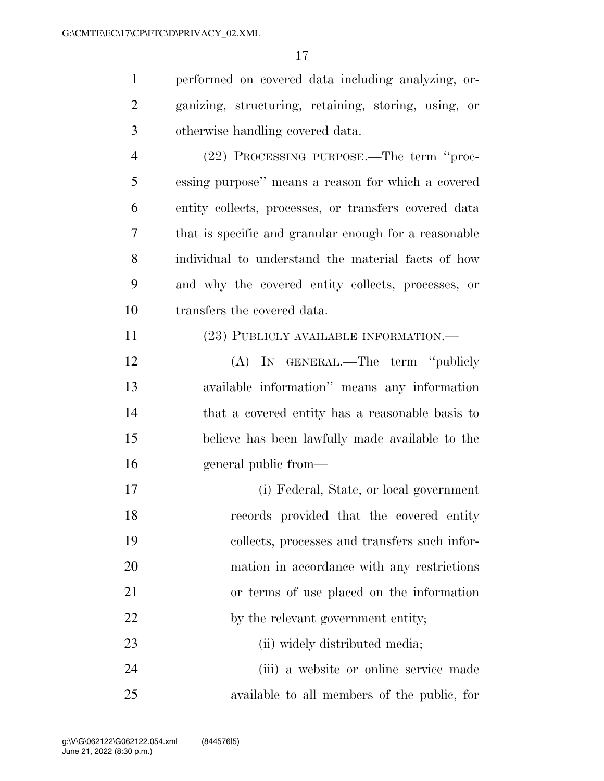performed on covered data including analyzing, or- ganizing, structuring, retaining, storing, using, or otherwise handling covered data.

 (22) PROCESSING PURPOSE.—The term ''proc- essing purpose'' means a reason for which a covered entity collects, processes, or transfers covered data that is specific and granular enough for a reasonable individual to understand the material facts of how and why the covered entity collects, processes, or transfers the covered data.

# (23) PUBLICLY AVAILABLE INFORMATION.—

 (A) IN GENERAL.—The term ''publicly available information'' means any information that a covered entity has a reasonable basis to believe has been lawfully made available to the general public from—

 (i) Federal, State, or local government records provided that the covered entity collects, processes and transfers such infor- mation in accordance with any restrictions or terms of use placed on the information 22 by the relevant government entity; 23 (ii) widely distributed media; (iii) a website or online service made

available to all members of the public, for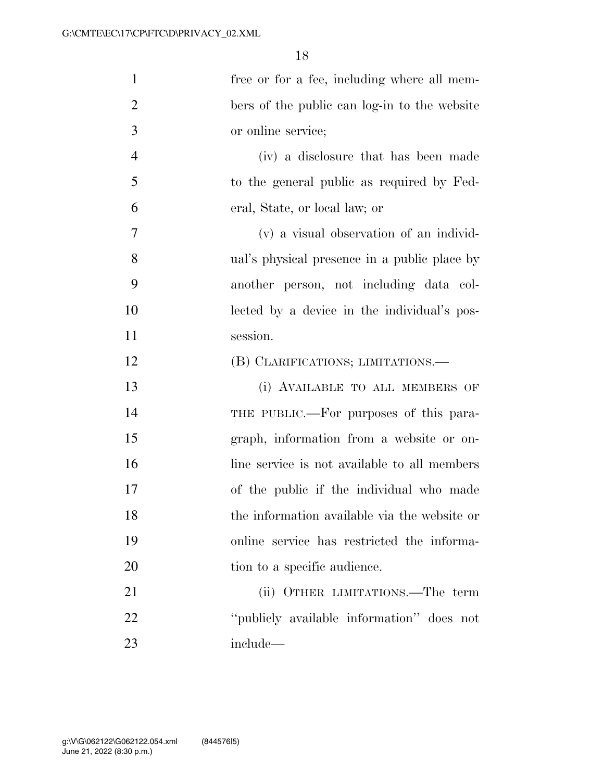| $\mathbf{1}$   | free or for a fee, including where all mem-  |
|----------------|----------------------------------------------|
| $\overline{2}$ | bers of the public can log-in to the website |
| 3              | or online service;                           |
| $\overline{4}$ | (iv) a disclosure that has been made         |
| 5              | to the general public as required by Fed-    |
| 6              | eral, State, or local law; or                |
| 7              | (v) a visual observation of an individ-      |
| 8              | ual's physical presence in a public place by |
| 9              | another person, not including data col-      |
| 10             | lected by a device in the individual's pos-  |
| 11             | session.                                     |
| 12             | (B) CLARIFICATIONS; LIMITATIONS.—            |
| 13             | (i) AVAILABLE TO ALL MEMBERS OF              |
| 14             | THE PUBLIC.—For purposes of this para-       |
| 15             | graph, information from a website or on-     |
| 16             | line service is not available to all members |
| 17             | of the public if the individual who made     |
| 18             | the information available via the website or |
| 19             | online service has restricted the informa-   |
| 20             | tion to a specific audience.                 |
| 21             | (ii) OTHER LIMITATIONS.—The term             |
| 22             | "publicly available information" does not    |
| 23             | include—                                     |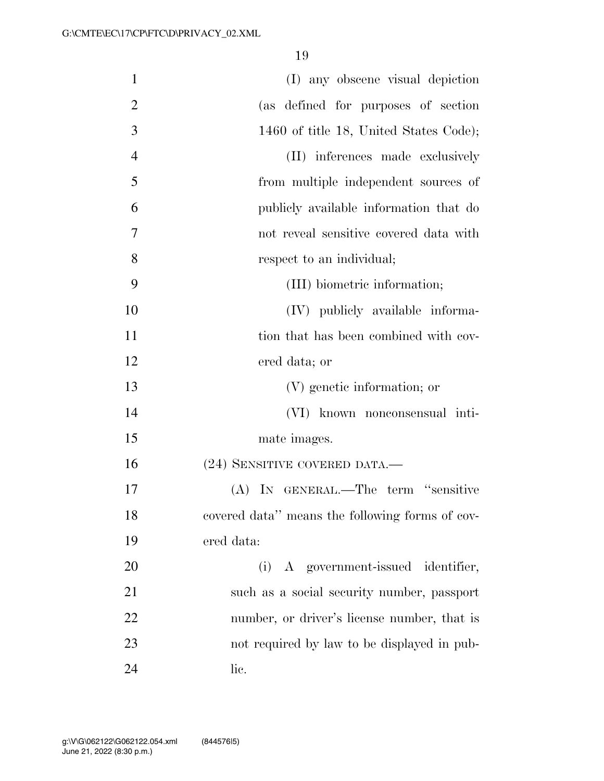| $\mathbf{1}$   | (I) any obscene visual depiction                |
|----------------|-------------------------------------------------|
| $\overline{2}$ | (as defined for purposes of section             |
| 3              | 1460 of title 18, United States Code);          |
| $\overline{4}$ | (II) inferences made exclusively                |
| 5              | from multiple independent sources of            |
| 6              | publicly available information that do          |
| 7              | not reveal sensitive covered data with          |
| 8              | respect to an individual;                       |
| 9              | (III) biometric information;                    |
| 10             | (IV) publicly available informa-                |
| 11             | tion that has been combined with cov-           |
| 12             | ered data; or                                   |
| 13             | (V) genetic information; or                     |
| 14             | (VI) known nonconsensual inti-                  |
| 15             | mate images.                                    |
| 16             | (24) SENSITIVE COVERED DATA.—                   |
| 17             | (A) IN GENERAL.—The term "sensitive             |
| 18             | covered data" means the following forms of cov- |
| 19             | ered data:                                      |
| 20             | (i) A government-issued identifier,             |
| 21             | such as a social security number, passport      |
| 22             | number, or driver's license number, that is     |
| 23             | not required by law to be displayed in pub-     |
| 24             | lic.                                            |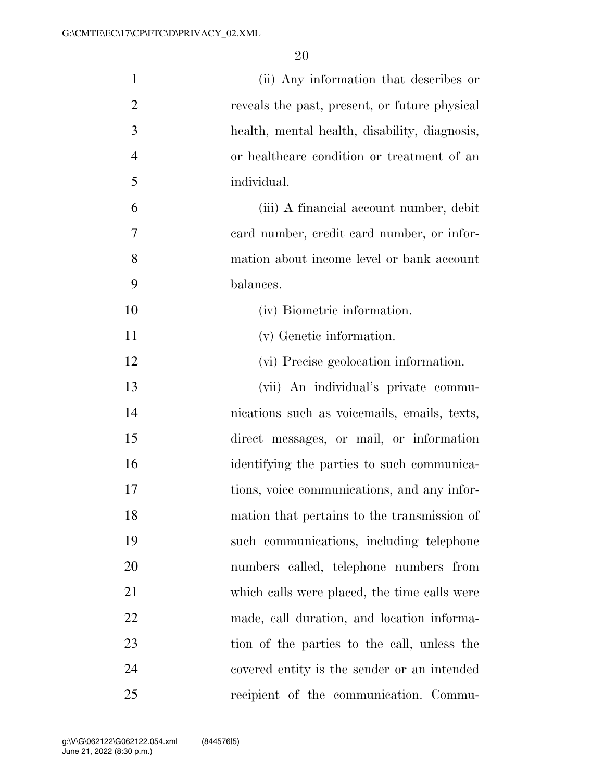| $\mathbf{1}$   | (ii) Any information that describes or        |
|----------------|-----------------------------------------------|
| $\overline{2}$ | reveals the past, present, or future physical |
| 3              | health, mental health, disability, diagnosis, |
| $\overline{4}$ | or healthcare condition or treatment of an    |
| 5              | individual.                                   |
| 6              | (iii) A financial account number, debit       |
| 7              | eard number, credit card number, or infor-    |
| 8              | mation about income level or bank account     |
| 9              | balances.                                     |
| 10             | (iv) Biometric information.                   |
| 11             | (v) Genetic information.                      |
| 12             | (vi) Precise geolocation information.         |
| 13             | (vii) An individual's private commu-          |
| 14             | nications such as voicemails, emails, texts,  |
| 15             | direct messages, or mail, or information      |
| 16             | identifying the parties to such communica-    |
| 17             | tions, voice communications, and any infor-   |
| 18             | mation that pertains to the transmission of   |
| 19             | such communications, including telephone      |
| 20             | numbers called, telephone numbers from        |
| 21             | which calls were placed, the time calls were  |
| 22             | made, call duration, and location informa-    |
| 23             | tion of the parties to the call, unless the   |
| 24             | covered entity is the sender or an intended   |
| 25             | recipient of the communication. Commu-        |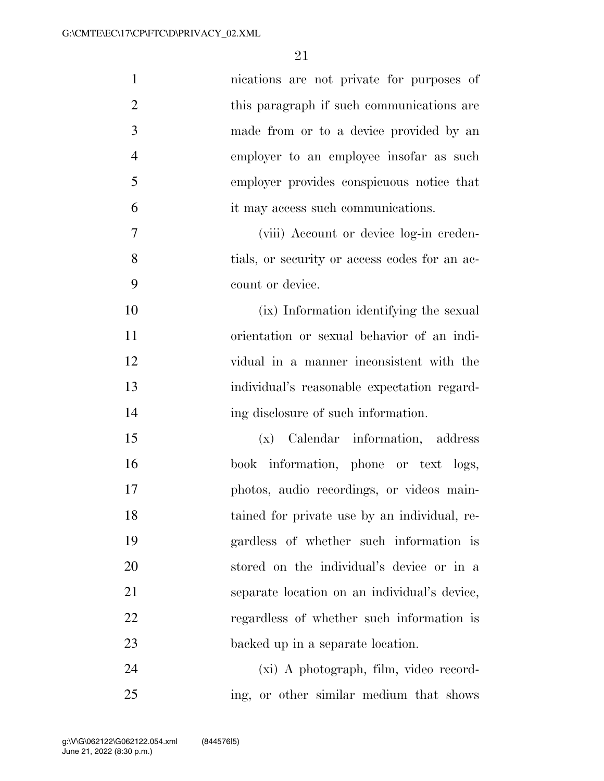| $\mathbf{1}$   | nications are not private for purposes of     |
|----------------|-----------------------------------------------|
| $\overline{2}$ | this paragraph if such communications are     |
| 3              | made from or to a device provided by an       |
| $\overline{4}$ | employer to an employee insofar as such       |
| 5              | employer provides conspicuous notice that     |
| 6              | it may access such communications.            |
| $\tau$         | (viii) Account or device log-in creden-       |
| 8              | tials, or security or access codes for an ac- |
| 9              | count or device.                              |
| 10             | (ix) Information identifying the sexual       |
| 11             | orientation or sexual behavior of an indi-    |
| 12             | vidual in a manner inconsistent with the      |
| 13             | individual's reasonable expectation regard-   |
| 14             | ing disclosure of such information.           |
| 15             | (x) Calendar information, address             |
| 16             | book information, phone or text logs,         |
| 17             | photos, audio recordings, or videos main-     |
| 18             | tained for private use by an individual, re-  |
| 19             | gardless of whether such information is       |
| 20             | stored on the individual's device or in a     |
| 21             | separate location on an individual's device,  |
| 22             | regardless of whether such information is     |
| 23             | backed up in a separate location.             |
| 24             | (xi) A photograph, film, video record-        |
| 25             | ing, or other similar medium that shows       |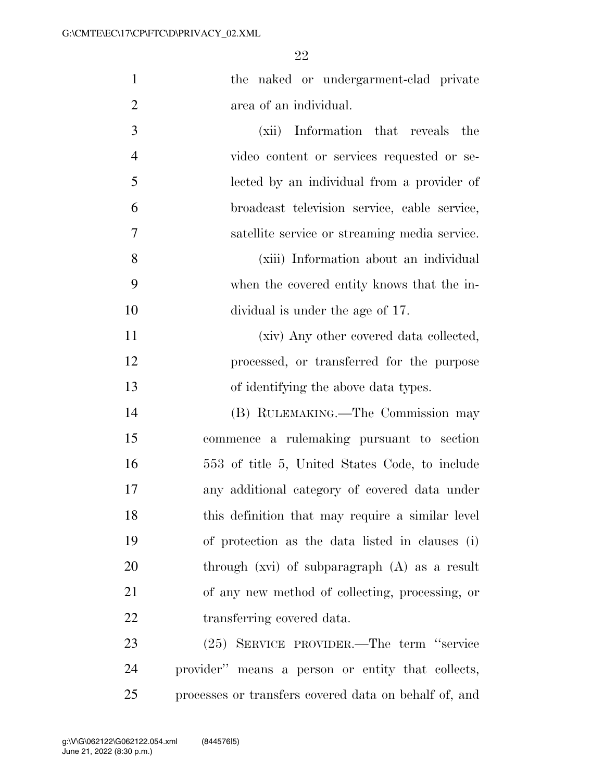| $\mathbf{1}$   | the naked or undergarment-clad private        |
|----------------|-----------------------------------------------|
| 2              | area of an individual.                        |
| 3              | (xii) Information that reveals the            |
| $\overline{4}$ | video content or services requested or se-    |
| 5              | lected by an individual from a provider of    |
| 6              | broadcast television service, cable service,  |
| 7              | satellite service or streaming media service. |
| 8              | (xiii) Information about an individual        |
| 9              | when the covered entity knows that the in-    |
| 10             | dividual is under the age of 17.              |
| 11             | (xiv) Any other covered data collected,       |

 processed, or transferred for the purpose of identifying the above data types.

 (B) RULEMAKING.—The Commission may commence a rulemaking pursuant to section 553 of title 5, United States Code, to include any additional category of covered data under this definition that may require a similar level of protection as the data listed in clauses (i) through (xvi) of subparagraph (A) as a result of any new method of collecting, processing, or transferring covered data.

 (25) SERVICE PROVIDER.—The term ''service provider'' means a person or entity that collects, processes or transfers covered data on behalf of, and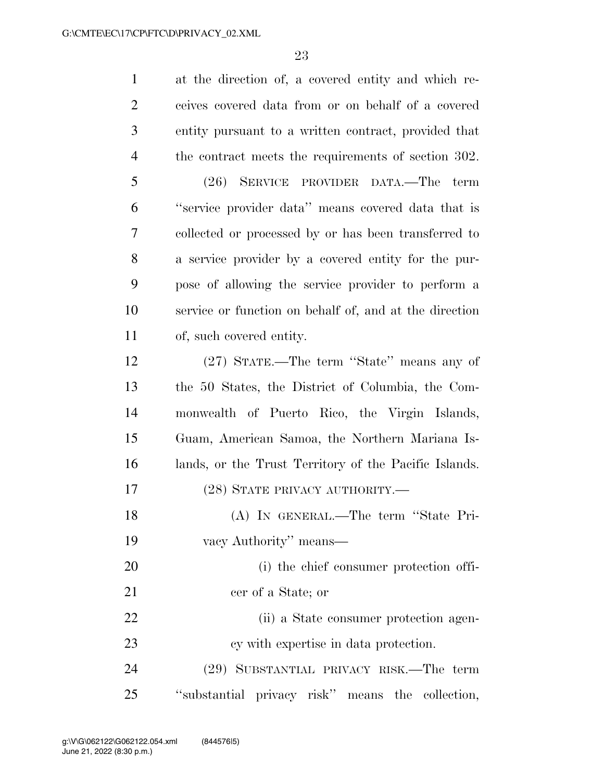| $\mathbf{1}$   | at the direction of, a covered entity and which re-    |
|----------------|--------------------------------------------------------|
| $\overline{2}$ | ceives covered data from or on behalf of a covered     |
| 3              | entity pursuant to a written contract, provided that   |
| 4              | the contract meets the requirements of section 302.    |
| 5              | (26) SERVICE PROVIDER DATA.—The term                   |
| 6              | "service provider data" means covered data that is     |
| 7              | collected or processed by or has been transferred to   |
| 8              | a service provider by a covered entity for the pur-    |
| 9              | pose of allowing the service provider to perform a     |
| 10             | service or function on behalf of, and at the direction |
| 11             | of, such covered entity.                               |
| 12             | (27) STATE.—The term "State" means any of              |
| 13             | the 50 States, the District of Columbia, the Com-      |
| 14             | monwealth of Puerto Rico, the Virgin Islands,          |
| 15             | Guam, American Samoa, the Northern Mariana Is-         |
| 16             | lands, or the Trust Territory of the Pacific Islands.  |
| 17             | (28) STATE PRIVACY AUTHORITY.—                         |
| 18             | (A) IN GENERAL.—The term "State Pri-                   |
| 19             | vacy Authority" means—                                 |
| 20             | (i) the chief consumer protection offi-                |
| 21             | cer of a State; or                                     |
| 22             | (ii) a State consumer protection agen-                 |
| 23             | cy with expertise in data protection.                  |
| 24             | (29) SUBSTANTIAL PRIVACY RISK.—The term                |
| 25             | "substantial privacy risk" means the collection,       |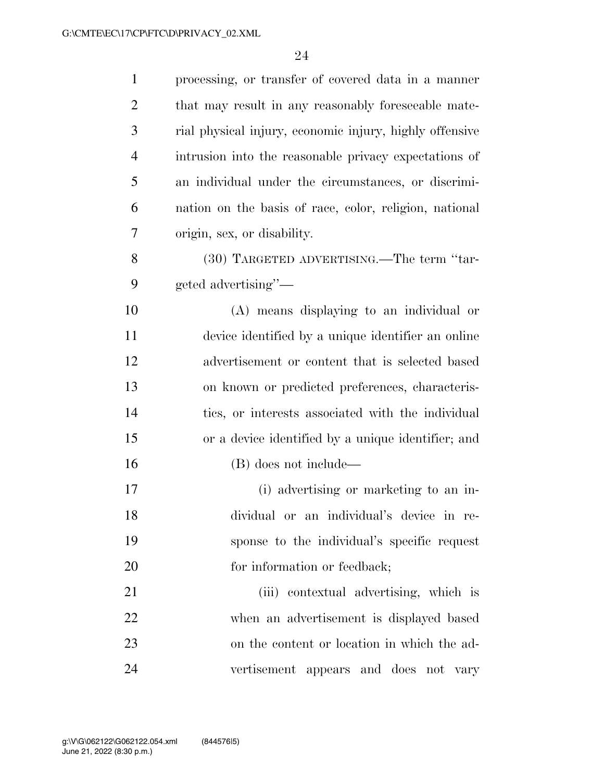| $\mathbf{1}$   | processing, or transfer of covered data in a manner     |
|----------------|---------------------------------------------------------|
| $\overline{2}$ | that may result in any reasonably foreseeable mate-     |
| 3              | rial physical injury, economic injury, highly offensive |
| $\overline{4}$ | intrusion into the reasonable privacy expectations of   |
| 5              | an individual under the circumstances, or discrimi-     |
| 6              | nation on the basis of race, color, religion, national  |
| 7              | origin, sex, or disability.                             |
| 8              | (30) TARGETED ADVERTISING.—The term "tar-               |
| 9              | geted advertising"-                                     |
| 10             | (A) means displaying to an individual or                |
| 11             | device identified by a unique identifier an online      |
| 12             | advertisement or content that is selected based         |
| 13             | on known or predicted preferences, characteris-         |
| 14             | tics, or interests associated with the individual       |
| 15             | or a device identified by a unique identifier; and      |
| 16             | (B) does not include—                                   |
| 17             | (i) advertising or marketing to an in-                  |
| 18             | dividual or an individual's device in re-               |
| 19             | sponse to the individual's specific request             |
| 20             | for information or feedback;                            |
| 21             | (iii) contextual advertising, which is                  |
| 22             | when an advertisement is displayed based                |
| 23             | on the content or location in which the ad-             |
| 24             | vertisement appears and does not vary                   |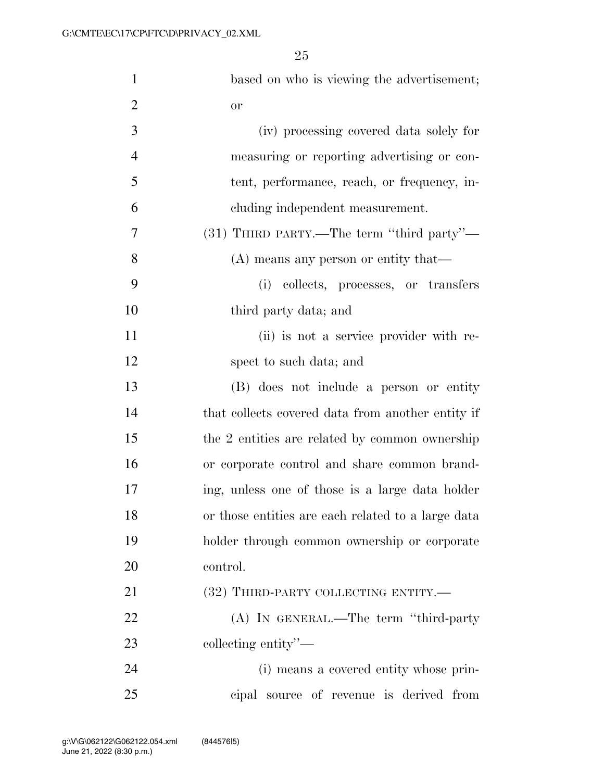| $\mathbf{1}$   | based on who is viewing the advertisement;         |
|----------------|----------------------------------------------------|
| $\overline{2}$ | <b>or</b>                                          |
| 3              | (iv) processing covered data solely for            |
| $\overline{4}$ | measuring or reporting advertising or con-         |
| 5              | tent, performance, reach, or frequency, in-        |
| 6              | cluding independent measurement.                   |
| 7              | (31) THIRD PARTY.—The term "third party"—          |
| 8              | $(A)$ means any person or entity that—             |
| 9              | (i)<br>collects, processes, or transfers           |
| 10             | third party data; and                              |
| 11             | (ii) is not a service provider with re-            |
| 12             | spect to such data; and                            |
| 13             | (B) does not include a person or entity            |
| 14             | that collects covered data from another entity if  |
| 15             | the 2 entities are related by common ownership     |
| 16             | or corporate control and share common brand-       |
| $17\,$         | ing, unless one of those is a large data holder    |
| 18             | or those entities are each related to a large data |
| 19             | holder through common ownership or corporate       |
| 20             | control.                                           |
| 21             | (32) THIRD-PARTY COLLECTING ENTITY.—               |
| 22             | (A) IN GENERAL.—The term "third-party              |
| 23             | collecting entity"—                                |
| 24             | (i) means a covered entity whose prin-             |
| 25             | cipal source of revenue is derived from            |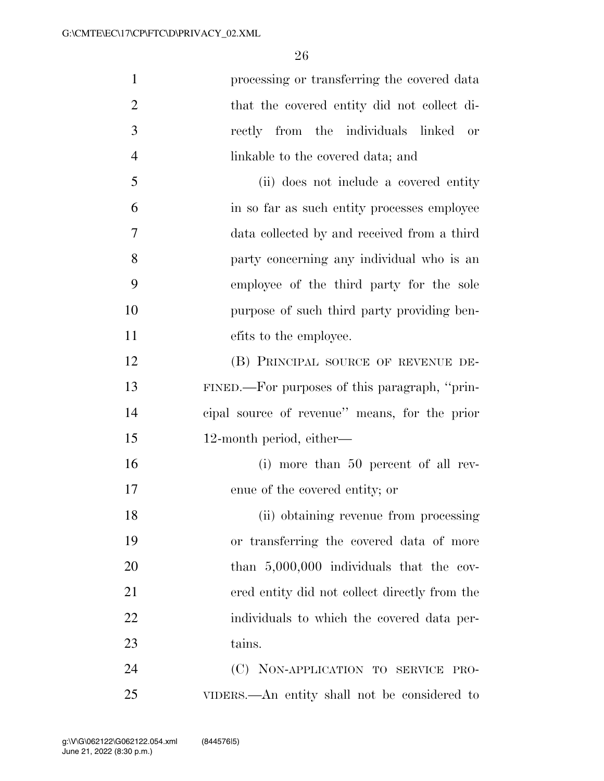| $\mathbf{1}$   | processing or transferring the covered data   |
|----------------|-----------------------------------------------|
| $\overline{2}$ | that the covered entity did not collect di-   |
| 3              | rectly from the individuals linked<br>or      |
| $\overline{4}$ | linkable to the covered data; and             |
| 5              | (ii) does not include a covered entity        |
| 6              | in so far as such entity processes employee   |
| 7              | data collected by and received from a third   |
| 8              | party concerning any individual who is an     |
| 9              | employee of the third party for the sole      |
| 10             | purpose of such third party providing ben-    |
| 11             | efits to the employee.                        |
| 12             | (B) PRINCIPAL SOURCE OF REVENUE DE-           |
| 13             | FINED.—For purposes of this paragraph, "prin- |
| 14             | eipal source of revenue" means, for the prior |
| 15             | 12-month period, either—                      |
| 16             | (i) more than 50 percent of all rev-          |
| 17             | enue of the covered entity; or                |
| 18             | (ii) obtaining revenue from processing        |
| 19             | or transferring the covered data of more      |
| 20             | than $5,000,000$ individuals that the cov-    |
| 21             | ered entity did not collect directly from the |
| 22             | individuals to which the covered data per-    |
| 23             | tains.                                        |
| 24             | (C) NON-APPLICATION TO SERVICE PRO-           |
| 25             | VIDERS.—An entity shall not be considered to  |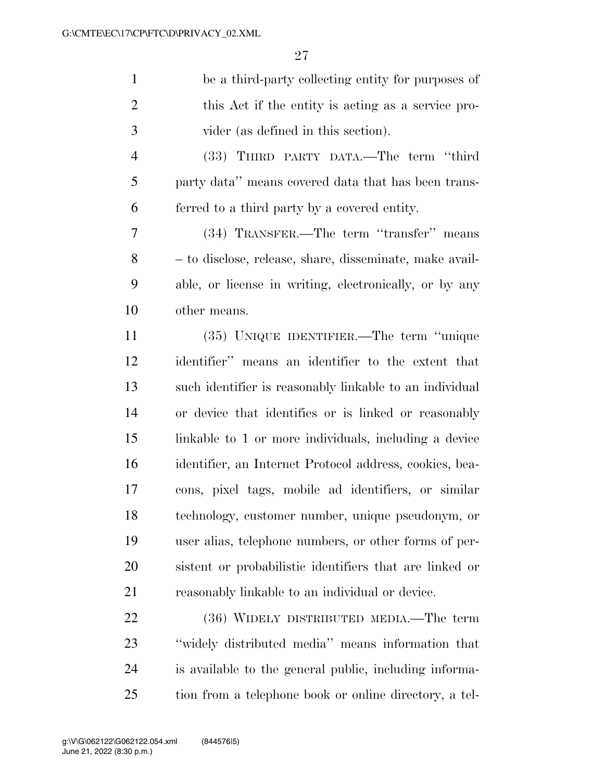| be a third-party collecting entity for purposes of      |
|---------------------------------------------------------|
| this Act if the entity is acting as a service pro-      |
| vider (as defined in this section).                     |
| (33) THIRD PARTY DATA.—The term "third                  |
| party data" means covered data that has been trans-     |
| ferred to a third party by a covered entity.            |
| (34) TRANSFER.—The term "transfer" means                |
| - to disclose, release, share, disseminate, make avail- |
| able, or license in writing, electronically, or by any  |
| other means.                                            |
| (35) UNIQUE IDENTIFIER.—The term "unique                |
| identifier" means an identifier to the extent that      |
| such identifier is reasonably linkable to an individual |
| or device that identifies or is linked or reasonably    |
| linkable to 1 or more individuals, including a device   |
| identifier, an Internet Protocol address, cookies, bea- |
| cons, pixel tags, mobile ad identifiers, or similar     |
| technology, customer number, unique pseudonym, or       |
| user alias, telephone numbers, or other forms of per-   |
| sistent or probabilistic identifiers that are linked or |
| reasonably linkable to an individual or device.         |
| (36) WIDELY DISTRIBUTED MEDIA.—The term                 |
| "widely distributed media" means information that       |
|                                                         |

 is available to the general public, including informa-tion from a telephone book or online directory, a tel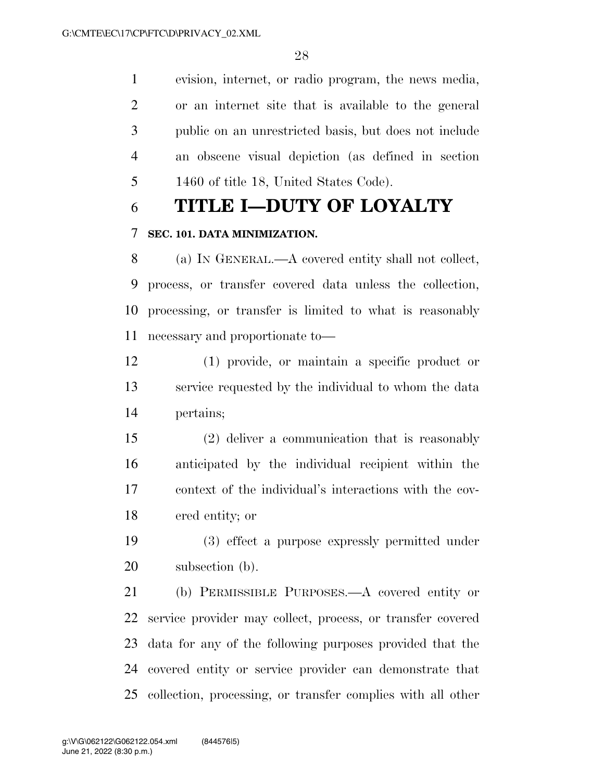evision, internet, or radio program, the news media, or an internet site that is available to the general public on an unrestricted basis, but does not include an obscene visual depiction (as defined in section 1460 of title 18, United States Code).

# **TITLE I—DUTY OF LOYALTY**

## **SEC. 101. DATA MINIMIZATION.**

 (a) IN GENERAL.—A covered entity shall not collect, process, or transfer covered data unless the collection, processing, or transfer is limited to what is reasonably necessary and proportionate to—

 (1) provide, or maintain a specific product or service requested by the individual to whom the data pertains;

 (2) deliver a communication that is reasonably anticipated by the individual recipient within the context of the individual's interactions with the cov-ered entity; or

 (3) effect a purpose expressly permitted under subsection (b).

 (b) PERMISSIBLE PURPOSES.—A covered entity or service provider may collect, process, or transfer covered data for any of the following purposes provided that the covered entity or service provider can demonstrate that collection, processing, or transfer complies with all other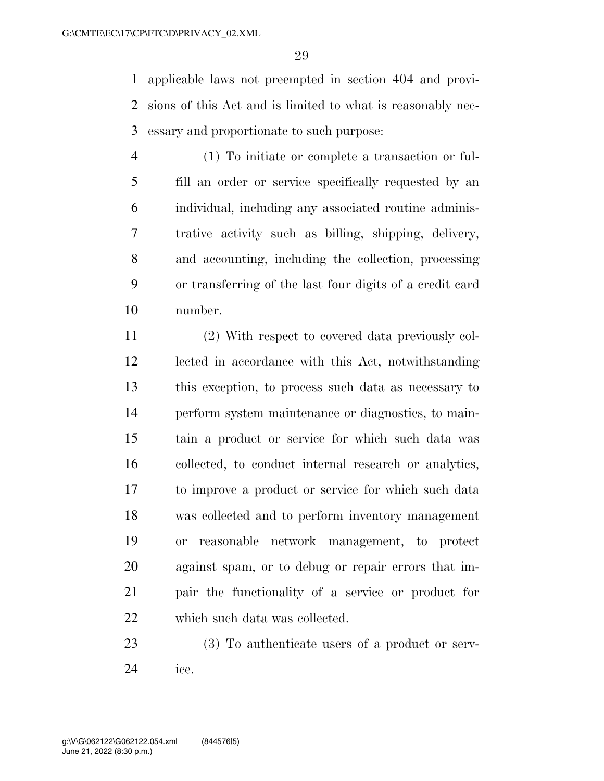applicable laws not preempted in section 404 and provi- sions of this Act and is limited to what is reasonably nec-essary and proportionate to such purpose:

- (1) To initiate or complete a transaction or ful- fill an order or service specifically requested by an individual, including any associated routine adminis- trative activity such as billing, shipping, delivery, and accounting, including the collection, processing or transferring of the last four digits of a credit card number.
- (2) With respect to covered data previously col- lected in accordance with this Act, notwithstanding this exception, to process such data as necessary to perform system maintenance or diagnostics, to main- tain a product or service for which such data was collected, to conduct internal research or analytics, to improve a product or service for which such data was collected and to perform inventory management or reasonable network management, to protect against spam, or to debug or repair errors that im- pair the functionality of a service or product for which such data was collected.
- 23 (3) To authenticate users of a product or serv-ice.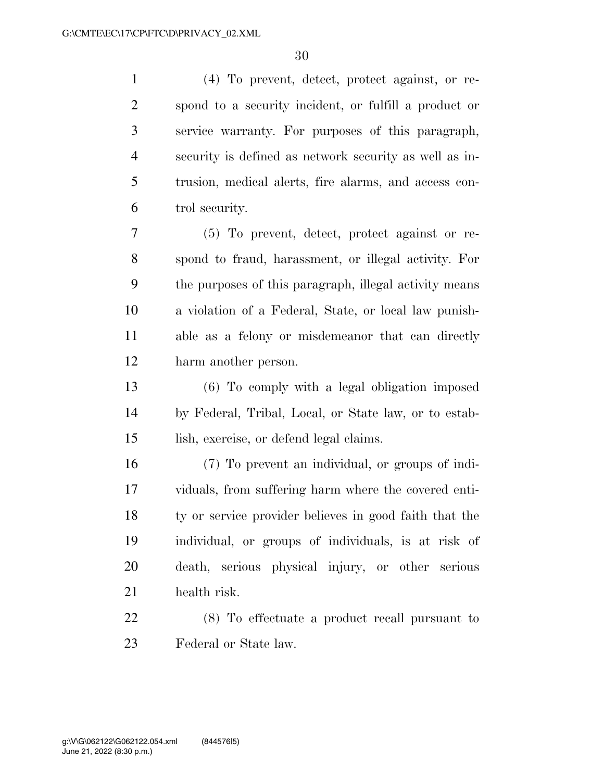(4) To prevent, detect, protect against, or re- spond to a security incident, or fulfill a product or service warranty. For purposes of this paragraph, security is defined as network security as well as in- trusion, medical alerts, fire alarms, and access con-trol security.

 (5) To prevent, detect, protect against or re- spond to fraud, harassment, or illegal activity. For the purposes of this paragraph, illegal activity means a violation of a Federal, State, or local law punish- able as a felony or misdemeanor that can directly harm another person.

 (6) To comply with a legal obligation imposed by Federal, Tribal, Local, or State law, or to estab-lish, exercise, or defend legal claims.

 (7) To prevent an individual, or groups of indi- viduals, from suffering harm where the covered enti- ty or service provider believes in good faith that the individual, or groups of individuals, is at risk of death, serious physical injury, or other serious health risk.

 (8) To effectuate a product recall pursuant to Federal or State law.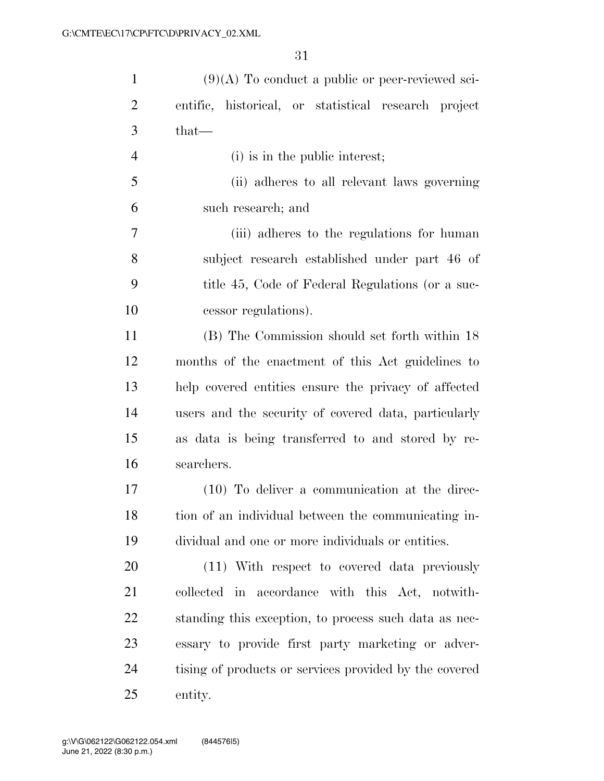| $\mathbf{1}$   | $(9)(A)$ To conduct a public or peer-reviewed sci-     |
|----------------|--------------------------------------------------------|
| $\overline{2}$ | entific, historical, or statistical research project   |
| 3              | $that-$                                                |
| $\overline{4}$ | (i) is in the public interest;                         |
| 5              | (ii) adheres to all relevant laws governing            |
| 6              | such research; and                                     |
| 7              | (iii) adheres to the regulations for human             |
| 8              | subject research established under part 46 of          |
| 9              | title 45, Code of Federal Regulations (or a suc-       |
| 10             | cessor regulations).                                   |
| 11             | (B) The Commission should set forth within 18          |
| 12             | months of the enactment of this Act guidelines to      |
| 13             | help covered entities ensure the privacy of affected   |
| 14             | users and the security of covered data, particularly   |
| 15             | as data is being transferred to and stored by re-      |
| 16             | searchers.                                             |
| 17             | $(10)$ To deliver a communication at the direc-        |
| 18             | tion of an individual between the communicating in-    |
| 19             | dividual and one or more individuals or entities.      |
| 20             | (11) With respect to covered data previously           |
| 21             | collected in accordance with this Act, notwith-        |
| 22             | standing this exception, to process such data as nec-  |
| 23             | essary to provide first party marketing or adver-      |
| 24             | tising of products or services provided by the covered |
| 25             | entity.                                                |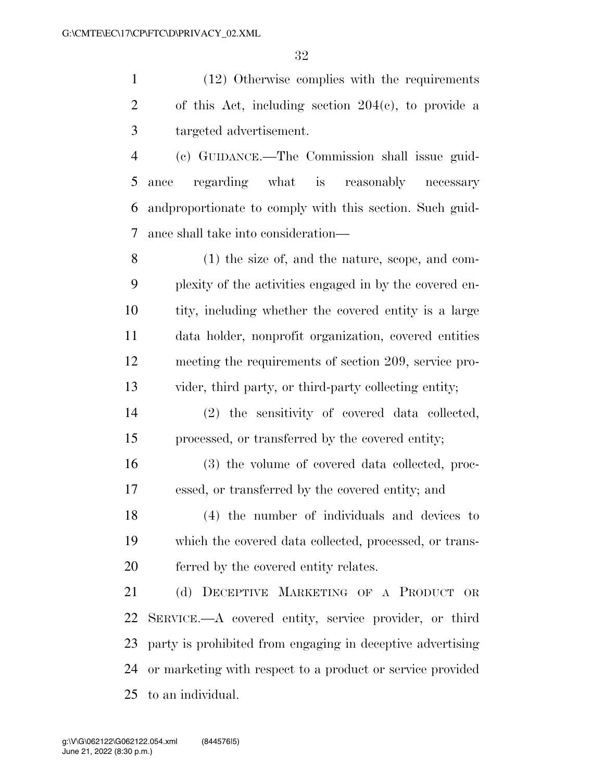(12) Otherwise complies with the requirements of this Act, including section 204(c), to provide a targeted advertisement.

 (c) GUIDANCE.—The Commission shall issue guid- ance regarding what is reasonably necessary andproportionate to comply with this section. Such guid-ance shall take into consideration—

 (1) the size of, and the nature, scope, and com- plexity of the activities engaged in by the covered en- tity, including whether the covered entity is a large data holder, nonprofit organization, covered entities meeting the requirements of section 209, service pro-vider, third party, or third-party collecting entity;

 (2) the sensitivity of covered data collected, processed, or transferred by the covered entity;

 (3) the volume of covered data collected, proc-essed, or transferred by the covered entity; and

 (4) the number of individuals and devices to which the covered data collected, processed, or trans-ferred by the covered entity relates.

 (d) DECEPTIVE MARKETING OF A PRODUCT OR SERVICE.—A covered entity, service provider, or third party is prohibited from engaging in deceptive advertising or marketing with respect to a product or service provided to an individual.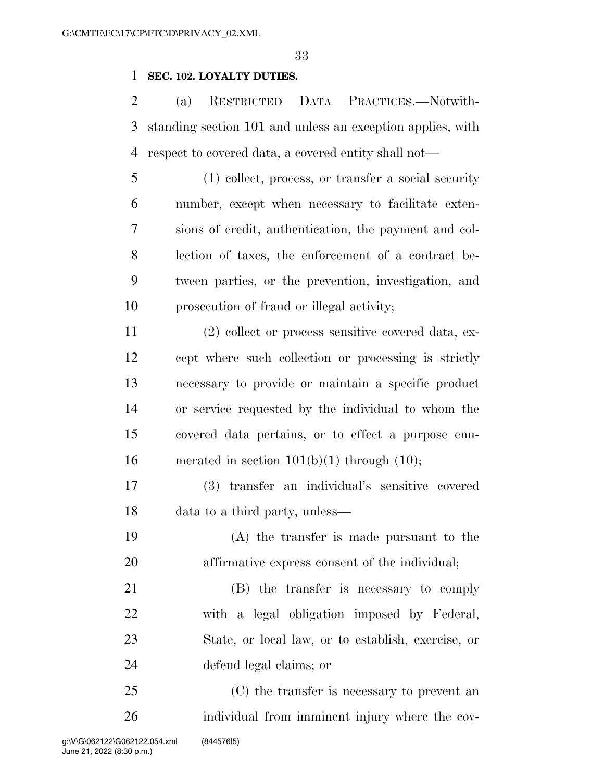## **SEC. 102. LOYALTY DUTIES.**

 (a) RESTRICTED DATA PRACTICES.—Notwith- standing section 101 and unless an exception applies, with respect to covered data, a covered entity shall not—

 (1) collect, process, or transfer a social security number, except when necessary to facilitate exten- sions of credit, authentication, the payment and col- lection of taxes, the enforcement of a contract be- tween parties, or the prevention, investigation, and prosecution of fraud or illegal activity;

 (2) collect or process sensitive covered data, ex- cept where such collection or processing is strictly necessary to provide or maintain a specific product or service requested by the individual to whom the covered data pertains, or to effect a purpose enu-16 merated in section  $101(b)(1)$  through  $(10)$ ;

 (3) transfer an individual's sensitive covered data to a third party, unless—

 (A) the transfer is made pursuant to the affirmative express consent of the individual;

 (B) the transfer is necessary to comply with a legal obligation imposed by Federal, State, or local law, or to establish, exercise, or defend legal claims; or

 (C) the transfer is necessary to prevent an individual from imminent injury where the cov-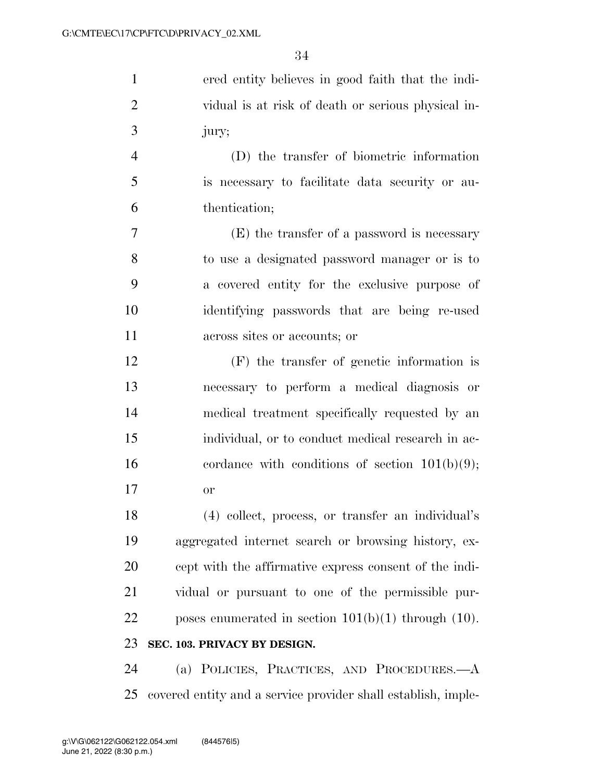| $\mathbf{1}$   | ered entity believes in good faith that the indi-        |
|----------------|----------------------------------------------------------|
| $\overline{2}$ | vidual is at risk of death or serious physical in-       |
| 3              | jury;                                                    |
| $\overline{4}$ | (D) the transfer of biometric information                |
| 5              | is necessary to facilitate data security or au-          |
| 6              | thentication;                                            |
| 7              | (E) the transfer of a password is necessary              |
| 8              | to use a designated password manager or is to            |
| 9              | a covered entity for the exclusive purpose of            |
| 10             | identifying passwords that are being re-used             |
| 11             | across sites or accounts; or                             |
| 12             | $(F)$ the transfer of genetic information is             |
| 13             | necessary to perform a medical diagnosis or              |
| 14             | medical treatment specifically requested by an           |
| 15             | individual, or to conduct medical research in ac-        |
| 16             | cordance with conditions of section $101(b)(9)$ ;        |
| 17             | <b>or</b>                                                |
| 18             | (4) collect, process, or transfer an individual's        |
| 19             | aggregated internet search or browsing history, ex-      |
| 20             | cept with the affirmative express consent of the indi-   |
| 21             | vidual or pursuant to one of the permissible pur-        |
| 22             | poses enumerated in section $101(b)(1)$ through $(10)$ . |
| 23             | SEC. 103. PRIVACY BY DESIGN.                             |
| $2\pi$         | (a) POLICIES PRACTICES AND PROCEDURES — A                |

 (a) POLICIES, PRACTICES, AND PROCEDURES.—A covered entity and a service provider shall establish, imple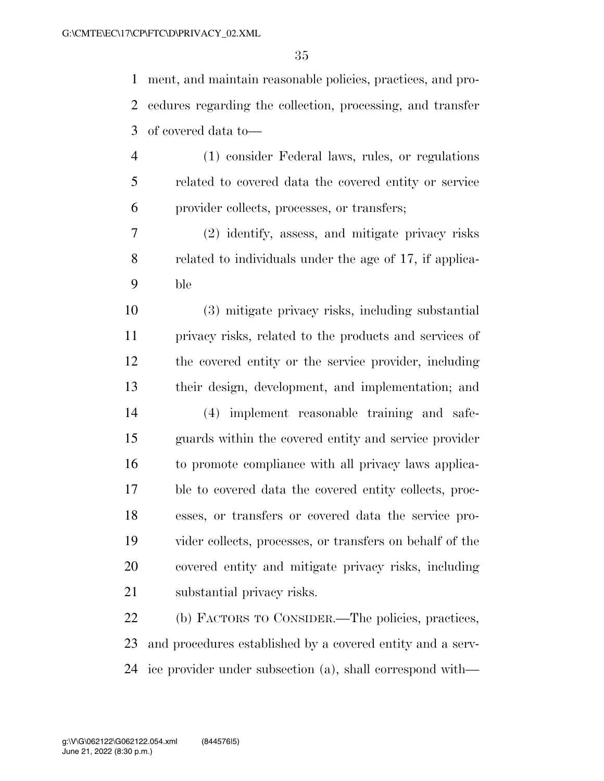ment, and maintain reasonable policies, practices, and pro- cedures regarding the collection, processing, and transfer of covered data to—

- (1) consider Federal laws, rules, or regulations related to covered data the covered entity or service provider collects, processes, or transfers;
- (2) identify, assess, and mitigate privacy risks related to individuals under the age of 17, if applica-ble

 (3) mitigate privacy risks, including substantial privacy risks, related to the products and services of the covered entity or the service provider, including their design, development, and implementation; and

 (4) implement reasonable training and safe- guards within the covered entity and service provider to promote compliance with all privacy laws applica- ble to covered data the covered entity collects, proc- esses, or transfers or covered data the service pro- vider collects, processes, or transfers on behalf of the covered entity and mitigate privacy risks, including substantial privacy risks.

 (b) FACTORS TO CONSIDER.—The policies, practices, and procedures established by a covered entity and a serv-ice provider under subsection (a), shall correspond with—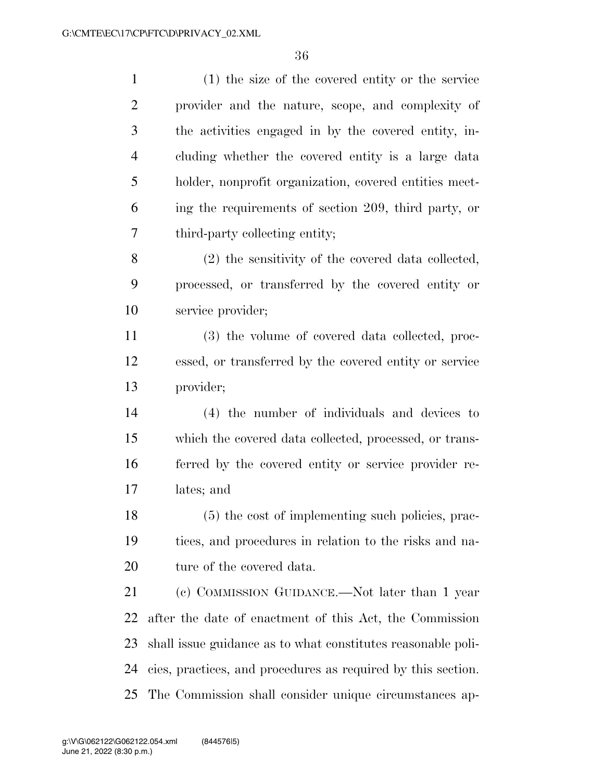| $\mathbf{1}$   | $(1)$ the size of the covered entity or the service          |
|----------------|--------------------------------------------------------------|
| $\overline{2}$ | provider and the nature, scope, and complexity of            |
| 3              | the activities engaged in by the covered entity, in-         |
| $\overline{4}$ | cluding whether the covered entity is a large data           |
| 5              | holder, nonprofit organization, covered entities meet-       |
| 6              | ing the requirements of section 209, third party, or         |
| 7              | third-party collecting entity;                               |
| 8              | (2) the sensitivity of the covered data collected,           |
| 9              | processed, or transferred by the covered entity or           |
| 10             | service provider;                                            |
| 11             | (3) the volume of covered data collected, proc-              |
| 12             | essed, or transferred by the covered entity or service       |
| 13             | provider;                                                    |
| 14             | (4) the number of individuals and devices to                 |
| 15             | which the covered data collected, processed, or trans-       |
| 16             | ferred by the covered entity or service provider re-         |
| 17             | lates; and                                                   |
| 18             | (5) the cost of implementing such policies, prac-            |
| 19             | tices, and procedures in relation to the risks and na-       |
| 20             | ture of the covered data.                                    |
| 21             | (c) COMMISSION GUIDANCE.—Not later than 1 year               |
| 22             | after the date of enactment of this Act, the Commission      |
| 23             | shall issue guidance as to what constitutes reasonable poli- |
| 24             | cies, practices, and procedures as required by this section. |
| 25             | The Commission shall consider unique circumstances ap-       |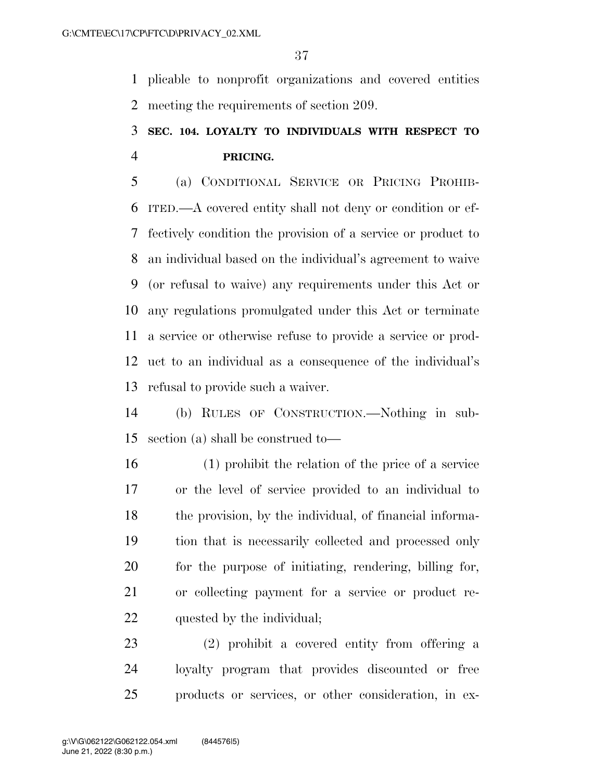plicable to nonprofit organizations and covered entities meeting the requirements of section 209.

# **SEC. 104. LOYALTY TO INDIVIDUALS WITH RESPECT TO PRICING.**

 (a) CONDITIONAL SERVICE OR PRICING PROHIB- ITED.—A covered entity shall not deny or condition or ef- fectively condition the provision of a service or product to an individual based on the individual's agreement to waive (or refusal to waive) any requirements under this Act or any regulations promulgated under this Act or terminate a service or otherwise refuse to provide a service or prod- uct to an individual as a consequence of the individual's refusal to provide such a waiver.

 (b) RULES OF CONSTRUCTION.—Nothing in sub-section (a) shall be construed to—

 (1) prohibit the relation of the price of a service or the level of service provided to an individual to the provision, by the individual, of financial informa- tion that is necessarily collected and processed only for the purpose of initiating, rendering, billing for, or collecting payment for a service or product re-quested by the individual;

 (2) prohibit a covered entity from offering a loyalty program that provides discounted or free products or services, or other consideration, in ex-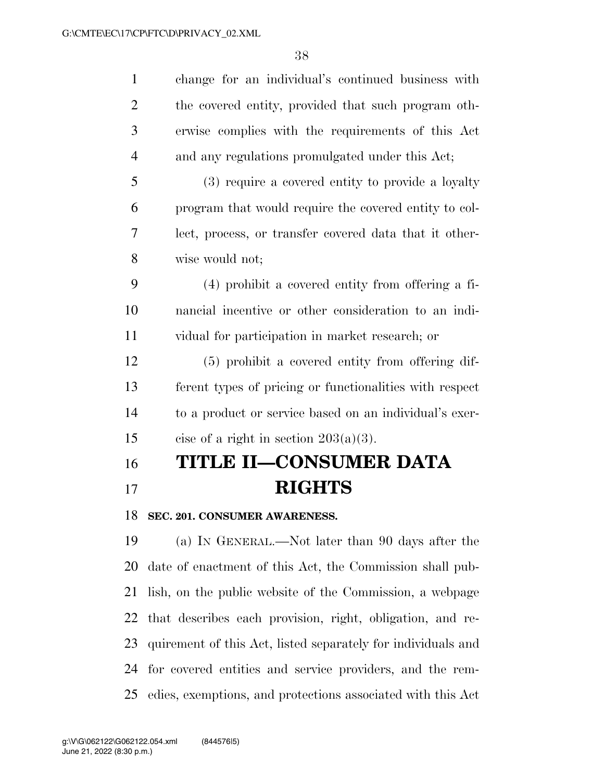| $\mathbf{1}$   | change for an individual's continued business with           |
|----------------|--------------------------------------------------------------|
| $\overline{2}$ | the covered entity, provided that such program oth-          |
| 3              | erwise complies with the requirements of this Act            |
| $\overline{4}$ | and any regulations promulgated under this Act;              |
| 5              | (3) require a covered entity to provide a loyalty            |
| 6              | program that would require the covered entity to col-        |
| 7              | lect, process, or transfer covered data that it other-       |
| 8              | wise would not;                                              |
| 9              | $(4)$ prohibit a covered entity from offering a fi-          |
| 10             | nancial incentive or other consideration to an indi-         |
| 11             | vidual for participation in market research; or              |
| 12             | (5) prohibit a covered entity from offering dif-             |
| 13             | ferent types of pricing or functionalities with respect      |
| 14             | to a product or service based on an individual's exer-       |
| 15             | cise of a right in section $203(a)(3)$ .                     |
| 16             | TITLE II-CONSUMER DATA                                       |
| 17             | <b>RIGHTS</b>                                                |
| 18             | SEC. 201. CONSUMER AWARENESS.                                |
| 19             | (a) IN GENERAL.—Not later than 90 days after the             |
| 20             | date of enactment of this Act, the Commission shall pub-     |
| 21             | lish, on the public website of the Commission, a webpage     |
| 22             | that describes each provision, right, obligation, and re-    |
| 23             | quirement of this Act, listed separately for individuals and |
| 24             | for covered entities and service providers, and the rem-     |

edies, exemptions, and protections associated with this Act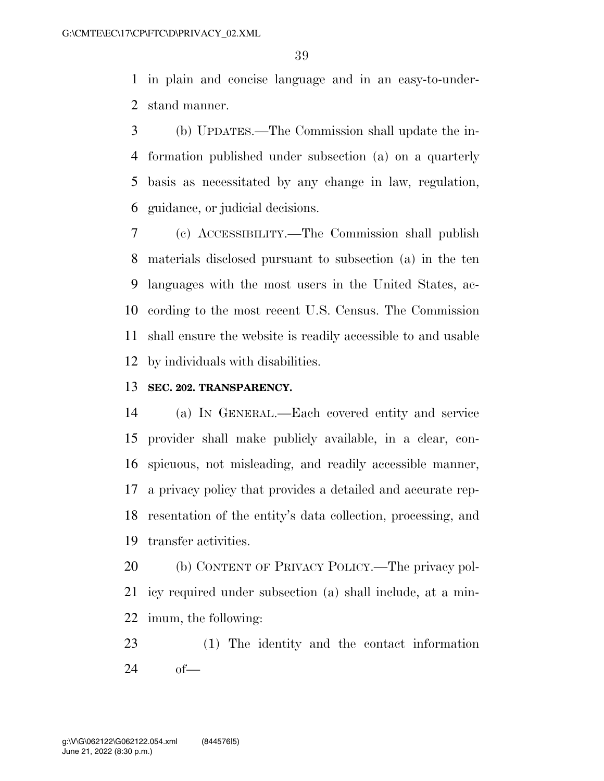in plain and concise language and in an easy-to-under-stand manner.

 (b) UPDATES.—The Commission shall update the in- formation published under subsection (a) on a quarterly basis as necessitated by any change in law, regulation, guidance, or judicial decisions.

 (c) ACCESSIBILITY.—The Commission shall publish materials disclosed pursuant to subsection (a) in the ten languages with the most users in the United States, ac- cording to the most recent U.S. Census. The Commission shall ensure the website is readily accessible to and usable by individuals with disabilities.

### **SEC. 202. TRANSPARENCY.**

 (a) IN GENERAL.—Each covered entity and service provider shall make publicly available, in a clear, con- spicuous, not misleading, and readily accessible manner, a privacy policy that provides a detailed and accurate rep- resentation of the entity's data collection, processing, and transfer activities.

 (b) CONTENT OF PRIVACY POLICY.—The privacy pol- icy required under subsection (a) shall include, at a min-imum, the following:

 (1) The identity and the contact information of—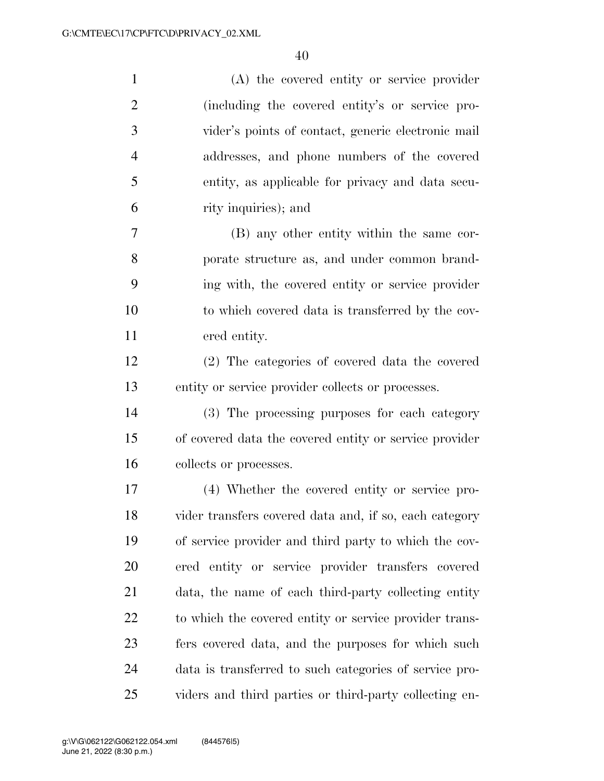| $\mathbf{1}$   | (A) the covered entity or service provider             |
|----------------|--------------------------------------------------------|
| $\overline{2}$ | (including the covered entity's or service pro-        |
| 3              | vider's points of contact, generic electronic mail     |
| $\overline{4}$ | addresses, and phone numbers of the covered            |
| 5              | entity, as applicable for privacy and data secu-       |
| 6              | rity inquiries); and                                   |
| 7              | (B) any other entity within the same cor-              |
| 8              | porate structure as, and under common brand-           |
| 9              | ing with, the covered entity or service provider       |
| 10             | to which covered data is transferred by the cov-       |
| 11             | ered entity.                                           |
| 12             | (2) The categories of covered data the covered         |
| 13             | entity or service provider collects or processes.      |
| 14             | (3) The processing purposes for each category          |
| 15             | of covered data the covered entity or service provider |
| 16             | collects or processes.                                 |
| 17             | (4) Whether the covered entity or service pro-         |
| 18             | vider transfers covered data and, if so, each category |
| 19             | of service provider and third party to which the cov-  |
| <b>20</b>      | ered entity or service provider transfers covered      |
| 21             | data, the name of each third-party collecting entity   |
| 22             | to which the covered entity or service provider trans- |
| 23             | fers covered data, and the purposes for which such     |
| 24             | data is transferred to such categories of service pro- |
| 25             | viders and third parties or third-party collecting en- |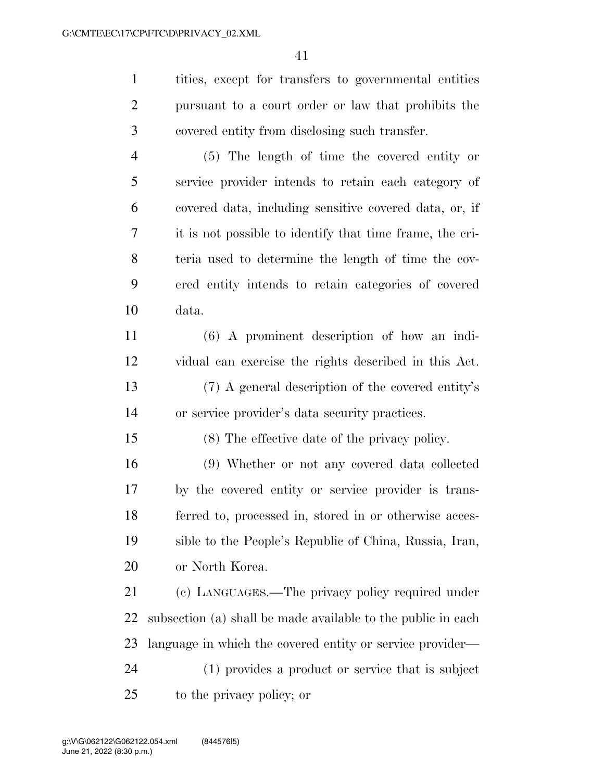tities, except for transfers to governmental entities pursuant to a court order or law that prohibits the covered entity from disclosing such transfer.

 (5) The length of time the covered entity or service provider intends to retain each category of covered data, including sensitive covered data, or, if it is not possible to identify that time frame, the cri- teria used to determine the length of time the cov- ered entity intends to retain categories of covered data.

 (6) A prominent description of how an indi- vidual can exercise the rights described in this Act. (7) A general description of the covered entity's or service provider's data security practices.

(8) The effective date of the privacy policy.

 (9) Whether or not any covered data collected by the covered entity or service provider is trans- ferred to, processed in, stored in or otherwise acces- sible to the People's Republic of China, Russia, Iran, or North Korea.

 (c) LANGUAGES.—The privacy policy required under subsection (a) shall be made available to the public in each language in which the covered entity or service provider— (1) provides a product or service that is subject to the privacy policy; or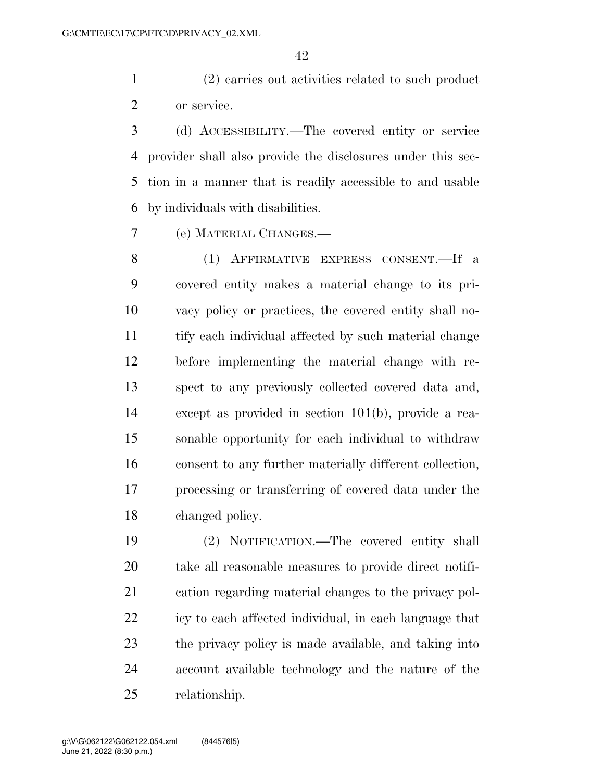(2) carries out activities related to such product or service.

 (d) ACCESSIBILITY.—The covered entity or service provider shall also provide the disclosures under this sec- tion in a manner that is readily accessible to and usable by individuals with disabilities.

(e) MATERIAL CHANGES.—

 (1) AFFIRMATIVE EXPRESS CONSENT.—If a covered entity makes a material change to its pri- vacy policy or practices, the covered entity shall no- tify each individual affected by such material change before implementing the material change with re- spect to any previously collected covered data and, except as provided in section 101(b), provide a rea- sonable opportunity for each individual to withdraw consent to any further materially different collection, processing or transferring of covered data under the changed policy.

 (2) NOTIFICATION.—The covered entity shall take all reasonable measures to provide direct notifi- cation regarding material changes to the privacy pol- icy to each affected individual, in each language that the privacy policy is made available, and taking into account available technology and the nature of the relationship.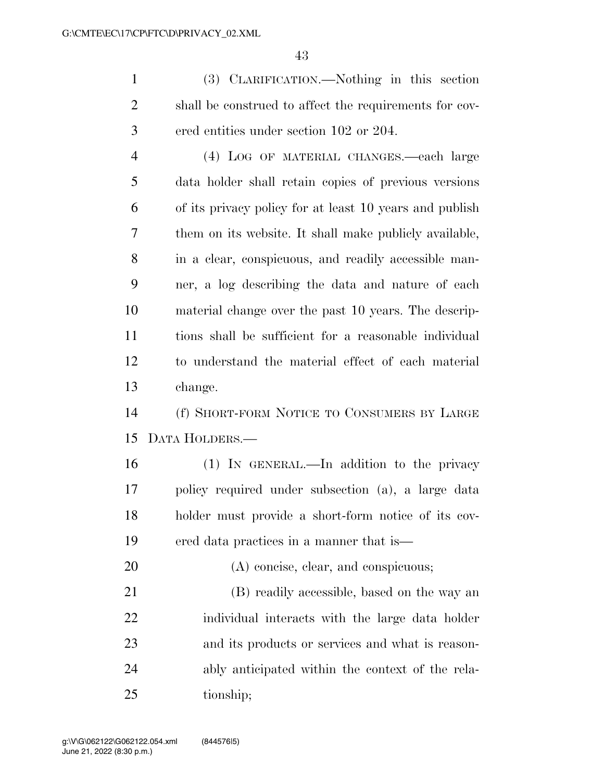(3) CLARIFICATION.—Nothing in this section shall be construed to affect the requirements for cov-ered entities under section 102 or 204.

 (4) LOG OF MATERIAL CHANGES.—each large data holder shall retain copies of previous versions of its privacy policy for at least 10 years and publish them on its website. It shall make publicly available, in a clear, conspicuous, and readily accessible man- ner, a log describing the data and nature of each material change over the past 10 years. The descrip- tions shall be sufficient for a reasonable individual to understand the material effect of each material change.

 (f) SHORT-FORM NOTICE TO CONSUMERS BY LARGE DATA HOLDERS.—

 (1) IN GENERAL.—In addition to the privacy policy required under subsection (a), a large data holder must provide a short-form notice of its cov-ered data practices in a manner that is—

 (B) readily accessible, based on the way an individual interacts with the large data holder and its products or services and what is reason- ably anticipated within the context of the rela-tionship;

(A) concise, clear, and conspicuous;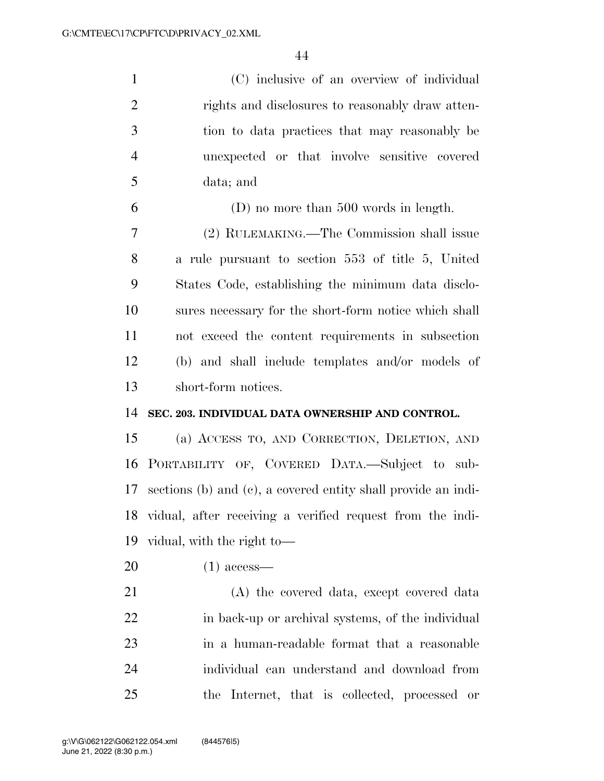(C) inclusive of an overview of individual rights and disclosures to reasonably draw atten- tion to data practices that may reasonably be unexpected or that involve sensitive covered data; and

 (D) no more than 500 words in length. (2) RULEMAKING.—The Commission shall issue a rule pursuant to section 553 of title 5, United States Code, establishing the minimum data disclo- sures necessary for the short-form notice which shall not exceed the content requirements in subsection (b) and shall include templates and/or models of short-form notices.

#### **SEC. 203. INDIVIDUAL DATA OWNERSHIP AND CONTROL.**

 (a) ACCESS TO, AND CORRECTION, DELETION, AND PORTABILITY OF, COVERED DATA.—Subject to sub- sections (b) and (c), a covered entity shall provide an indi- vidual, after receiving a verified request from the indi-vidual, with the right to—

(1) access—

 (A) the covered data, except covered data in back-up or archival systems, of the individual in a human-readable format that a reasonable individual can understand and download from the Internet, that is collected, processed or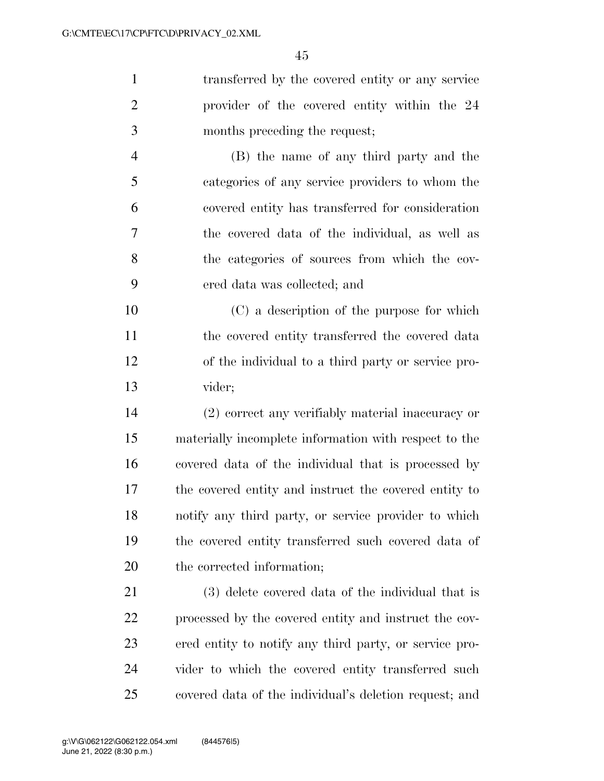transferred by the covered entity or any service provider of the covered entity within the 24 months preceding the request; (B) the name of any third party and the categories of any service providers to whom the

 covered entity has transferred for consideration the covered data of the individual, as well as the categories of sources from which the cov-ered data was collected; and

 (C) a description of the purpose for which the covered entity transferred the covered data of the individual to a third party or service pro-vider;

 (2) correct any verifiably material inaccuracy or materially incomplete information with respect to the covered data of the individual that is processed by the covered entity and instruct the covered entity to notify any third party, or service provider to which the covered entity transferred such covered data of the corrected information;

 (3) delete covered data of the individual that is processed by the covered entity and instruct the cov- ered entity to notify any third party, or service pro- vider to which the covered entity transferred such covered data of the individual's deletion request; and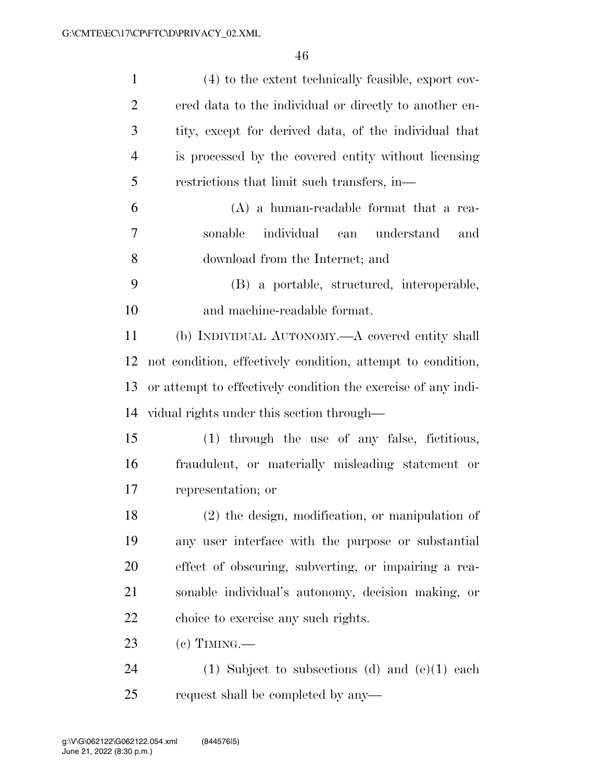| $\mathbf{1}$   | (4) to the extent technically feasible, export cov-           |
|----------------|---------------------------------------------------------------|
| $\overline{2}$ | ered data to the individual or directly to another en-        |
| 3              | tity, except for derived data, of the individual that         |
| $\overline{4}$ | is processed by the covered entity without licensing          |
| 5              | restrictions that limit such transfers, in—                   |
| 6              | $(A)$ a human-readable format that a rea-                     |
| $\overline{7}$ | individual<br>sonable<br>can understand<br>and                |
| 8              | download from the Internet; and                               |
| 9              | (B) a portable, structured, interoperable,                    |
| 10             | and machine-readable format.                                  |
| 11             | (b) INDIVIDUAL AUTONOMY.—A covered entity shall               |
| 12             | not condition, effectively condition, attempt to condition,   |
| 13             | or attempt to effectively condition the exercise of any indi- |
| 14             | vidual rights under this section through—                     |
| 15             | (1) through the use of any false, fictitious,                 |
| 16             | fraudulent, or materially misleading statement or             |
| $17\,$         | representation; or                                            |
| 18             | $(2)$ the design, modification, or manipulation of            |
| 19             | any user interface with the purpose or substantial            |
| 20             | effect of obscuring, subverting, or impairing a rea-          |
| 21             | sonable individual's autonomy, decision making, or            |
| 22             | choice to exercise any such rights.                           |
| 23             | $(e)$ TIMING.—                                                |
| 24             | (1) Subject to subsections (d) and $(e)(1)$ each              |
| 25             | request shall be completed by any—                            |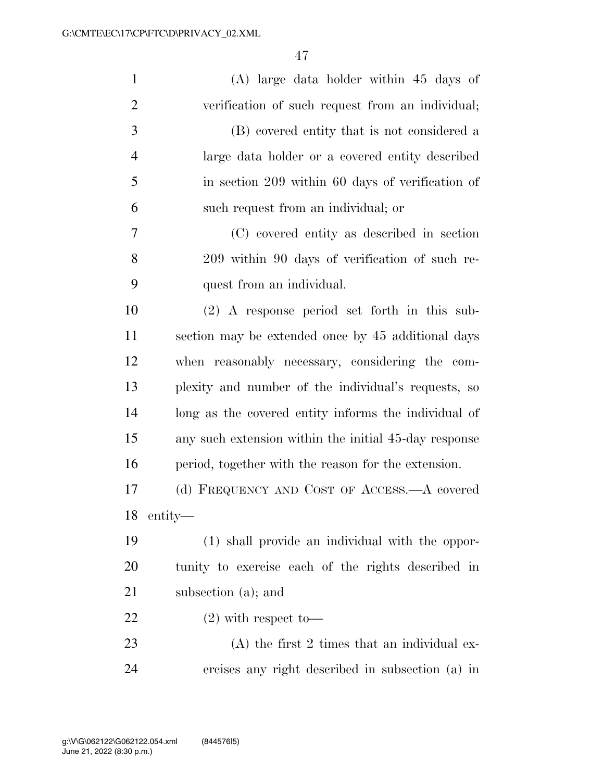| $\mathbf{1}$   | $(A)$ large data holder within 45 days of             |
|----------------|-------------------------------------------------------|
| $\overline{2}$ | verification of such request from an individual;      |
| 3              | (B) covered entity that is not considered a           |
| $\overline{4}$ | large data holder or a covered entity described       |
| 5              | in section 209 within 60 days of verification of      |
| 6              | such request from an individual; or                   |
| 7              | (C) covered entity as described in section            |
| 8              | 209 within 90 days of verification of such re-        |
| 9              | quest from an individual.                             |
| 10             | $(2)$ A response period set forth in this sub-        |
| 11             | section may be extended once by 45 additional days    |
| 12             | when reasonably necessary, considering the com-       |
| 13             | plexity and number of the individual's requests, so   |
| 14             | long as the covered entity informs the individual of  |
| 15             | any such extension within the initial 45-day response |
| 16             | period, together with the reason for the extension.   |
| 17             | (d) FREQUENCY AND COST OF ACCESS.—A covered           |
| 18             | entity—                                               |
| 19             | (1) shall provide an individual with the oppor-       |
| 20             | tunity to exercise each of the rights described in    |
| 21             | subsection (a); and                                   |
| 22             | $(2)$ with respect to-                                |
| 23             | $(A)$ the first 2 times that an individual ex-        |
| 24             | ercises any right described in subsection (a) in      |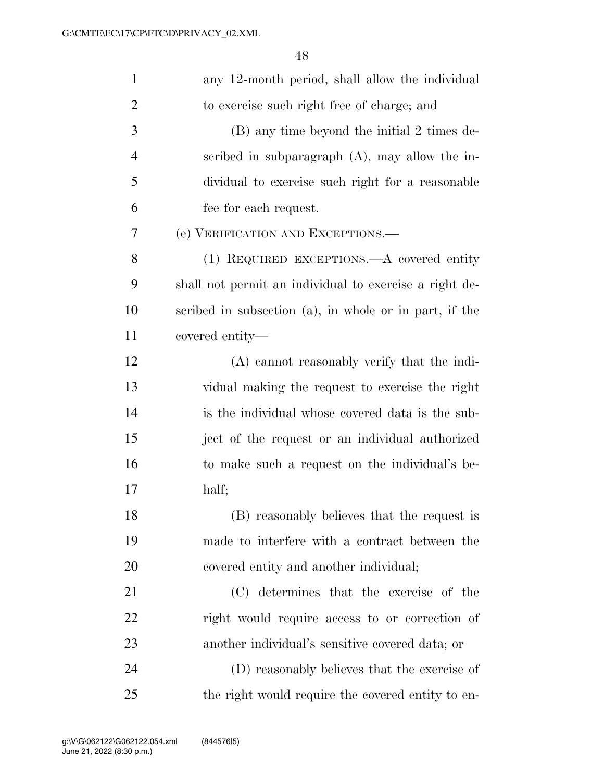| $\mathbf{1}$   | any 12-month period, shall allow the individual        |
|----------------|--------------------------------------------------------|
| $\overline{2}$ | to exercise such right free of charge; and             |
| 3              | (B) any time beyond the initial 2 times de-            |
| $\overline{4}$ | scribed in subparagraph $(A)$ , may allow the in-      |
| 5              | dividual to exercise such right for a reasonable       |
| 6              | fee for each request.                                  |
| 7              | (e) VERIFICATION AND EXCEPTIONS.—                      |
| 8              | (1) REQUIRED EXCEPTIONS.—A covered entity              |
| 9              | shall not permit an individual to exercise a right de- |
| 10             | scribed in subsection (a), in whole or in part, if the |
| 11             | covered entity—                                        |
| 12             | (A) cannot reasonably verify that the indi-            |
| 13             | vidual making the request to exercise the right        |
| 14             | is the individual whose covered data is the sub-       |
| 15             | ject of the request or an individual authorized        |
| 16             | to make such a request on the individual's be-         |
| 17             | half;                                                  |
| 18             | (B) reasonably believes that the request is            |
| 19             | made to interfere with a contract between the          |
| 20             | covered entity and another individual;                 |
| 21             | (C) determines that the exercise of the                |
| 22             | right would require access to or correction of         |
| 23             | another individual's sensitive covered data; or        |
| 24             | (D) reasonably believes that the exercise of           |
| 25             | the right would require the covered entity to en-      |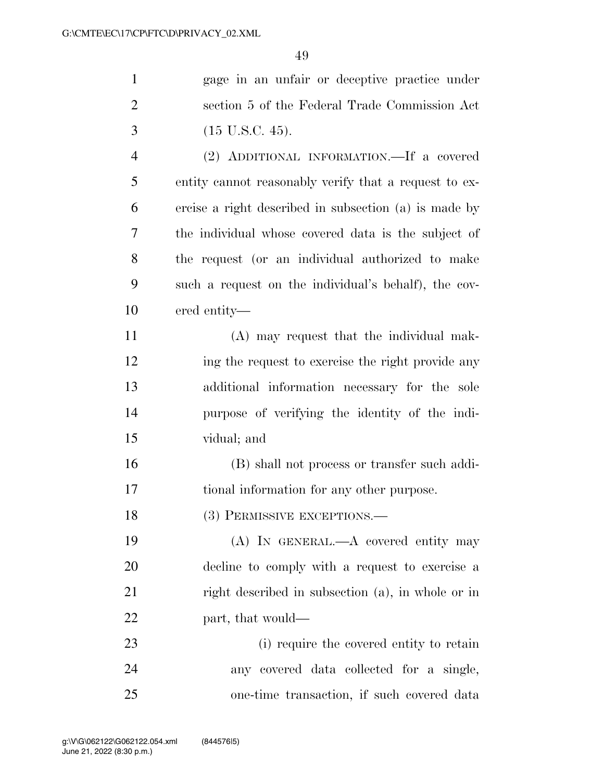| $\mathbf{1}$   | gage in an unfair or deceptive practice under         |
|----------------|-------------------------------------------------------|
| $\overline{2}$ | section 5 of the Federal Trade Commission Act         |
| 3              | $(15 \text{ U.S.C. } 45).$                            |
| $\overline{4}$ | (2) ADDITIONAL INFORMATION.—If a covered              |
| 5              | entity cannot reasonably verify that a request to ex- |
| 6              | ercise a right described in subsection (a) is made by |
| 7              | the individual whose covered data is the subject of   |
| 8              | the request (or an individual authorized to make      |
| 9              | such a request on the individual's behalf), the cov-  |
| 10             | ered entity—                                          |
| 11             | (A) may request that the individual mak-              |
| 12             | ing the request to exercise the right provide any     |
| 13             | additional information necessary for the sole         |
| 14             | purpose of verifying the identity of the indi-        |
| 15             | vidual; and                                           |
| 16             | (B) shall not process or transfer such addi-          |
| 17             | tional information for any other purpose.             |
| 18             | (3) PERMISSIVE EXCEPTIONS.-                           |
| 19             | (A) IN GENERAL.—A covered entity may                  |
| 20             | decline to comply with a request to exercise a        |
| 21             | right described in subsection (a), in whole or in     |
| 22             | part, that would—                                     |
| 23             | (i) require the covered entity to retain              |
| 24             | any covered data collected for a single,              |
| 25             | one-time transaction, if such covered data            |
|                |                                                       |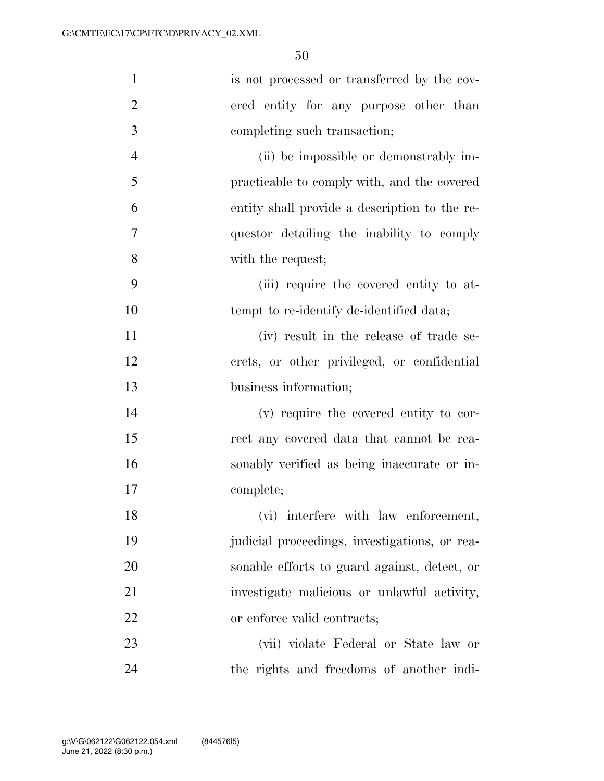| $\mathbf{1}$   | is not processed or transferred by the cov-   |
|----------------|-----------------------------------------------|
| $\overline{2}$ | ered entity for any purpose other than        |
| 3              | completing such transaction;                  |
| $\overline{4}$ | (ii) be impossible or demonstrably im-        |
| 5              | practicable to comply with, and the covered   |
| 6              | entity shall provide a description to the re- |
| 7              | questor detailing the inability to comply     |
| 8              | with the request;                             |
| 9              | (iii) require the covered entity to at-       |
| 10             | tempt to re-identify de-identified data;      |
| 11             | (iv) result in the release of trade se-       |
| 12             | crets, or other privileged, or confidential   |
| 13             | business information;                         |
| 14             | (v) require the covered entity to cor-        |
| 15             | rect any covered data that cannot be rea-     |
| 16             | sonably verified as being inaccurate or in-   |
| 17             | complete;                                     |
| 18             | (vi) interfere with law enforcement,          |
| 19             | judicial proceedings, investigations, or rea- |
| 20             | sonable efforts to guard against, detect, or  |
| 21             | investigate malicious or unlawful activity,   |
| 22             | or enforce valid contracts;                   |
| 23             | (vii) violate Federal or State law or         |
| 24             | the rights and freedoms of another indi-      |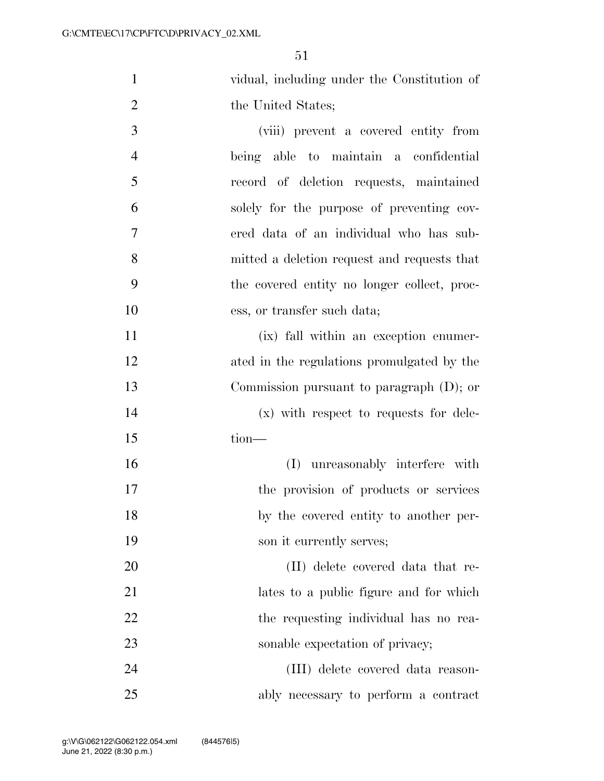|    | vidual, including under the Constitution of |
|----|---------------------------------------------|
| 2  | the United States;                          |
| -3 | (viii) prevent a covered entity from        |
|    | being able to maintain a confidential       |

- record of deletion requests, maintained solely for the purpose of preventing cov- ered data of an individual who has sub- mitted a deletion request and requests that the covered entity no longer collect, proc-
- ess, or transfer such data; (ix) fall within an exception enumer- ated in the regulations promulgated by the Commission pursuant to paragraph (D); or (x) with respect to requests for dele-
- tion—

 (I) unreasonably interfere with the provision of products or services by the covered entity to another per-19 son it currently serves;

 (II) delete covered data that re- lates to a public figure and for which 22 the requesting individual has no rea-23 sonable expectation of privacy;

 (III) delete covered data reason-ably necessary to perform a contract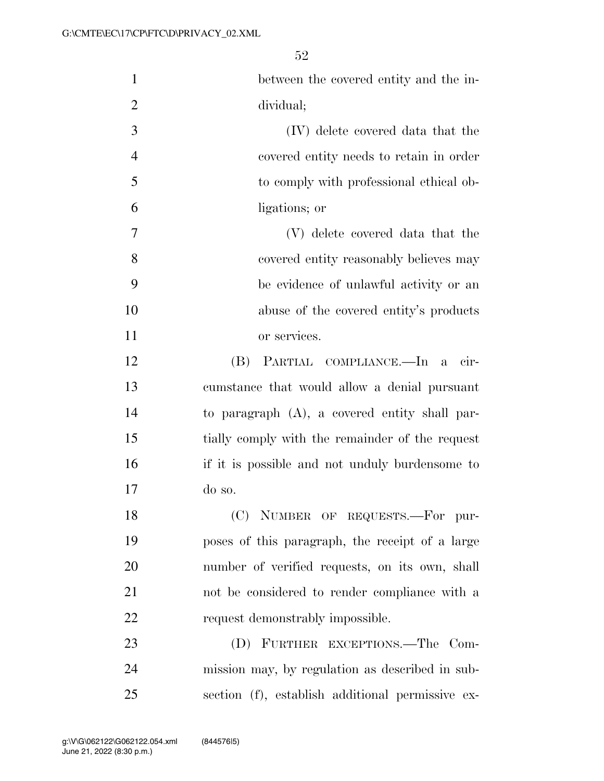| $\mathbf{1}$   | between the covered entity and the in-           |
|----------------|--------------------------------------------------|
| $\overline{2}$ | dividual;                                        |
| 3              | (IV) delete covered data that the                |
| $\overline{4}$ | covered entity needs to retain in order          |
| 5              | to comply with professional ethical ob-          |
| 6              | ligations; or                                    |
| 7              | (V) delete covered data that the                 |
| 8              | covered entity reasonably believes may           |
| 9              | be evidence of unlawful activity or an           |
| 10             | abuse of the covered entity's products           |
| 11             | or services.                                     |
| 12             | PARTIAL COMPLIANCE.—In a<br>(B)<br>cir-          |
| 13             | cumstance that would allow a denial pursuant     |
| 14             | to paragraph $(A)$ , a covered entity shall par- |
| 15             | tially comply with the remainder of the request  |
| 16             | if it is possible and not unduly burdensome to   |
| 17             | do so.                                           |
| 18             | (C) NUMBER OF REQUESTS.-For pur-                 |
| 19             | poses of this paragraph, the receipt of a large  |
| 20             | number of verified requests, on its own, shall   |
| 21             | not be considered to render compliance with a    |
| 22             | request demonstrably impossible.                 |
| 23             | FURTHER EXCEPTIONS.—The Com-<br>(D)              |
| 24             | mission may, by regulation as described in sub-  |
| 25             | section (f), establish additional permissive ex- |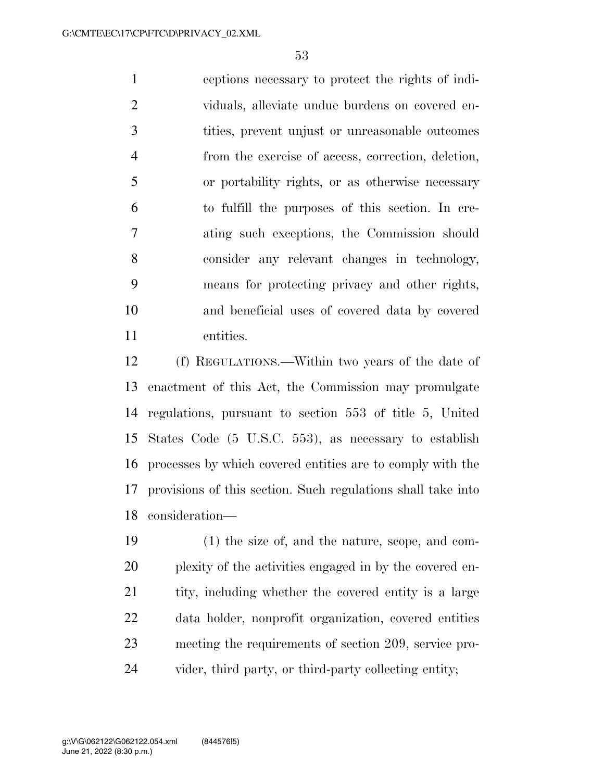ceptions necessary to protect the rights of indi- viduals, alleviate undue burdens on covered en- tities, prevent unjust or unreasonable outcomes from the exercise of access, correction, deletion, or portability rights, or as otherwise necessary to fulfill the purposes of this section. In cre- ating such exceptions, the Commission should consider any relevant changes in technology, means for protecting privacy and other rights, and beneficial uses of covered data by covered entities.

 (f) REGULATIONS.—Within two years of the date of enactment of this Act, the Commission may promulgate regulations, pursuant to section 553 of title 5, United States Code (5 U.S.C. 553), as necessary to establish processes by which covered entities are to comply with the provisions of this section. Such regulations shall take into consideration—

 (1) the size of, and the nature, scope, and com- plexity of the activities engaged in by the covered en-21 tity, including whether the covered entity is a large data holder, nonprofit organization, covered entities meeting the requirements of section 209, service pro-vider, third party, or third-party collecting entity;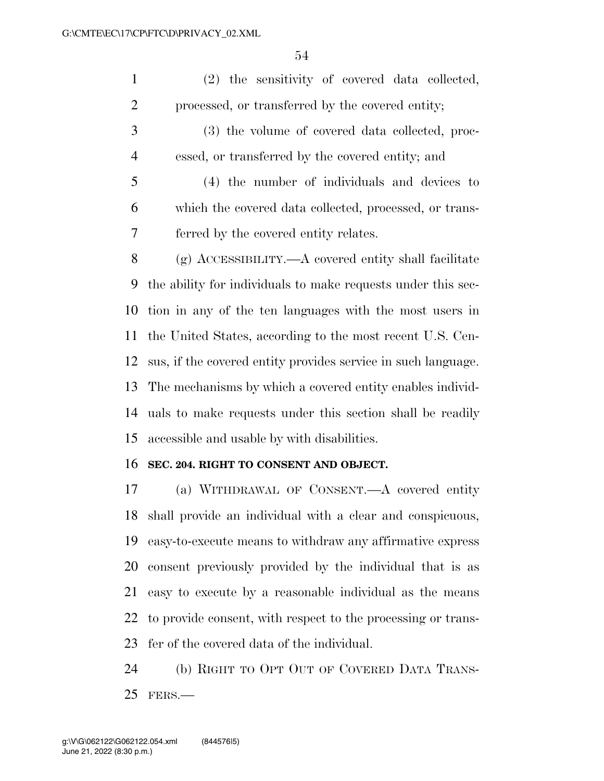(2) the sensitivity of covered data collected, processed, or transferred by the covered entity;

 (3) the volume of covered data collected, proc-essed, or transferred by the covered entity; and

 (4) the number of individuals and devices to which the covered data collected, processed, or trans-ferred by the covered entity relates.

 (g) ACCESSIBILITY.—A covered entity shall facilitate the ability for individuals to make requests under this sec- tion in any of the ten languages with the most users in the United States, according to the most recent U.S. Cen- sus, if the covered entity provides service in such language. The mechanisms by which a covered entity enables individ- uals to make requests under this section shall be readily accessible and usable by with disabilities.

### **SEC. 204. RIGHT TO CONSENT AND OBJECT.**

 (a) WITHDRAWAL OF CONSENT.—A covered entity shall provide an individual with a clear and conspicuous, easy-to-execute means to withdraw any affirmative express consent previously provided by the individual that is as easy to execute by a reasonable individual as the means to provide consent, with respect to the processing or trans-fer of the covered data of the individual.

 (b) RIGHT TO OPT OUT OF COVERED DATA TRANS-FERS.—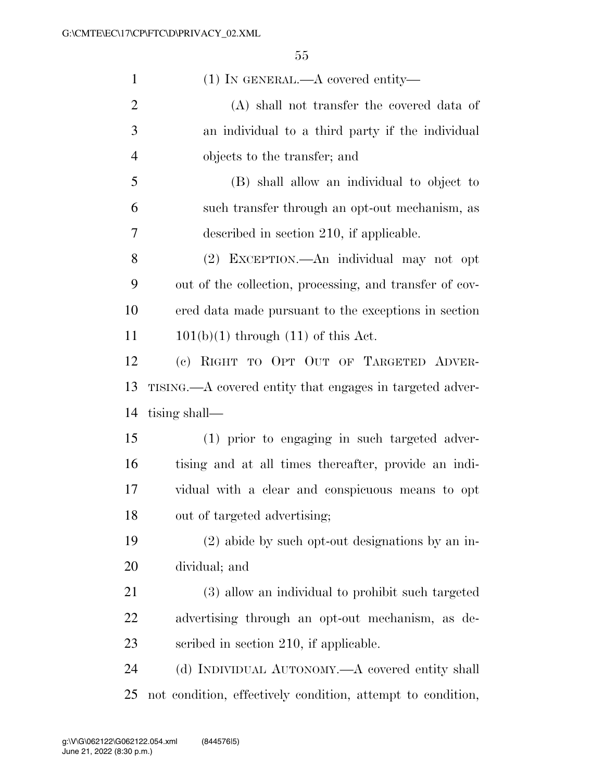| $\mathbf{1}$   | $(1)$ In GENERAL.—A covered entity—                         |
|----------------|-------------------------------------------------------------|
| $\overline{2}$ | $(A)$ shall not transfer the covered data of                |
| 3              | an individual to a third party if the individual            |
| $\overline{4}$ | objects to the transfer; and                                |
| 5              | (B) shall allow an individual to object to                  |
| 6              | such transfer through an opt-out mechanism, as              |
| 7              | described in section 210, if applicable.                    |
| 8              | (2) EXCEPTION.—An individual may not opt                    |
| 9              | out of the collection, processing, and transfer of cov-     |
| 10             | ered data made pursuant to the exceptions in section        |
| 11             | $101(b)(1)$ through $(11)$ of this Act.                     |
| 12             | (c) RIGHT TO OPT OUT OF TARGETED ADVER-                     |
| 13             | TISING.—A covered entity that engages in targeted adver-    |
| 14             | tising shall—                                               |
| 15             | (1) prior to engaging in such targeted adver-               |
| 16             | tising and at all times thereafter, provide an indi-        |
| 17             | vidual with a clear and conspicuous means to opt            |
| 18             | out of targeted advertising;                                |
| 19             | $(2)$ abide by such opt-out designations by an in-          |
| 20             | dividual; and                                               |
| 21             | (3) allow an individual to prohibit such targeted           |
| 22             | advertising through an opt-out mechanism, as de-            |
| 23             | scribed in section 210, if applicable.                      |
| 24             | (d) INDIVIDUAL AUTONOMY.—A covered entity shall             |
| 25             | not condition, effectively condition, attempt to condition, |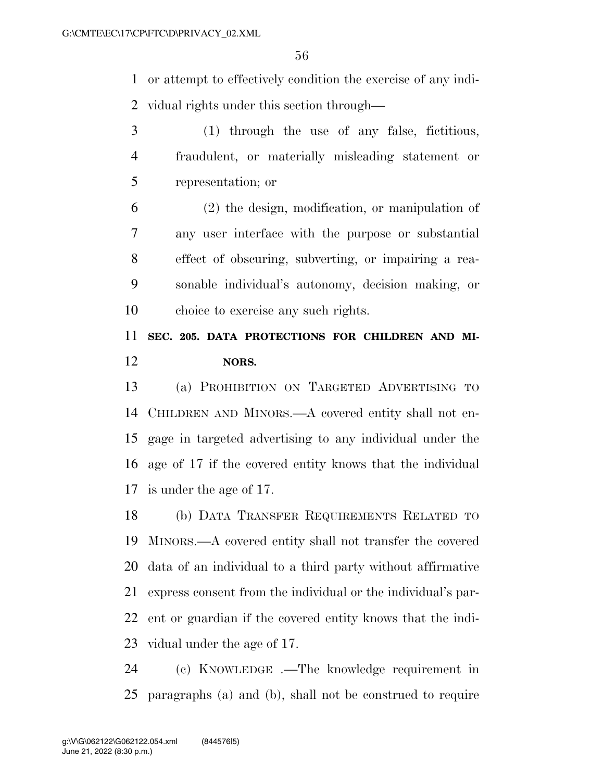or attempt to effectively condition the exercise of any indi-vidual rights under this section through—

- (1) through the use of any false, fictitious, fraudulent, or materially misleading statement or representation; or
- (2) the design, modification, or manipulation of any user interface with the purpose or substantial effect of obscuring, subverting, or impairing a rea- sonable individual's autonomy, decision making, or choice to exercise any such rights.

# **SEC. 205. DATA PROTECTIONS FOR CHILDREN AND MI-NORS.**

 (a) PROHIBITION ON TARGETED ADVERTISING TO CHILDREN AND MINORS.—A covered entity shall not en- gage in targeted advertising to any individual under the age of 17 if the covered entity knows that the individual is under the age of 17.

 (b) DATA TRANSFER REQUIREMENTS RELATED TO MINORS.—A covered entity shall not transfer the covered data of an individual to a third party without affirmative express consent from the individual or the individual's par- ent or guardian if the covered entity knows that the indi-vidual under the age of 17.

 (c) KNOWLEDGE .—The knowledge requirement in paragraphs (a) and (b), shall not be construed to require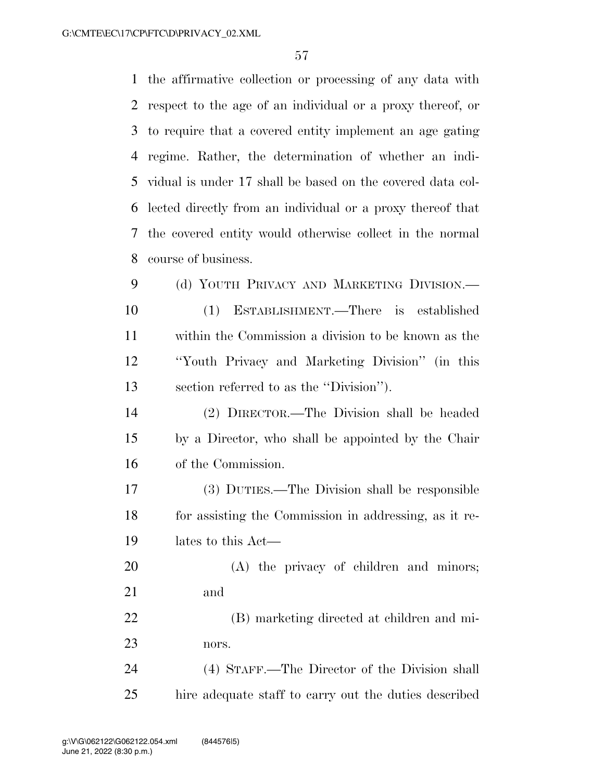the affirmative collection or processing of any data with respect to the age of an individual or a proxy thereof, or to require that a covered entity implement an age gating regime. Rather, the determination of whether an indi- vidual is under 17 shall be based on the covered data col- lected directly from an individual or a proxy thereof that the covered entity would otherwise collect in the normal course of business. 9 (d) YOUTH PRIVACY AND MARKETING DIVISION.— (1) ESTABLISHMENT.—There is established

 within the Commission a division to be known as the ''Youth Privacy and Marketing Division'' (in this section referred to as the ''Division'').

 (2) DIRECTOR.—The Division shall be headed by a Director, who shall be appointed by the Chair of the Commission.

 (3) DUTIES.—The Division shall be responsible for assisting the Commission in addressing, as it re-lates to this Act—

20 (A) the privacy of children and minors; and

 (B) marketing directed at children and mi-nors.

 (4) STAFF.—The Director of the Division shall hire adequate staff to carry out the duties described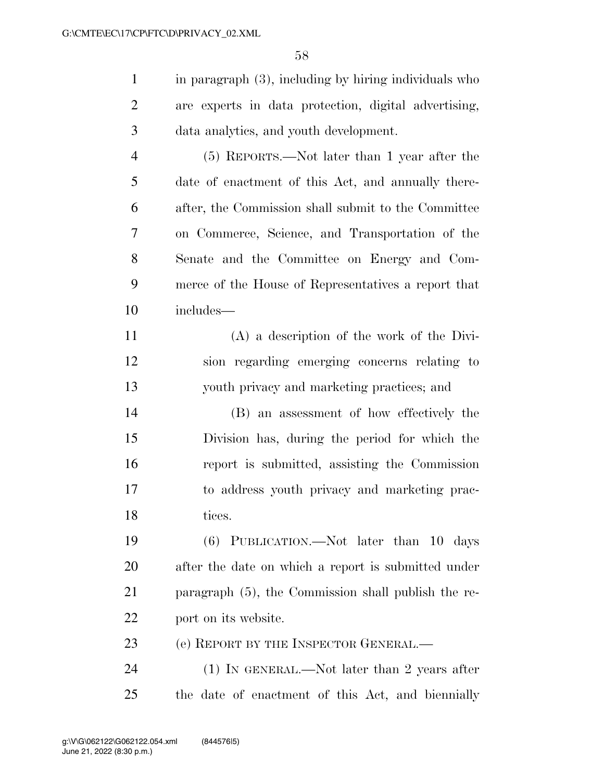in paragraph (3), including by hiring individuals who are experts in data protection, digital advertising, data analytics, and youth development.

 (5) REPORTS.—Not later than 1 year after the date of enactment of this Act, and annually there- after, the Commission shall submit to the Committee on Commerce, Science, and Transportation of the Senate and the Committee on Energy and Com- merce of the House of Representatives a report that includes—

 (A) a description of the work of the Divi- sion regarding emerging concerns relating to youth privacy and marketing practices; and

 (B) an assessment of how effectively the Division has, during the period for which the report is submitted, assisting the Commission to address youth privacy and marketing prac-18 tices.

 (6) PUBLICATION.—Not later than 10 days after the date on which a report is submitted under paragraph (5), the Commission shall publish the re-port on its website.

23 (e) REPORT BY THE INSPECTOR GENERAL.—

24 (1) IN GENERAL.—Not later than 2 years after the date of enactment of this Act, and biennially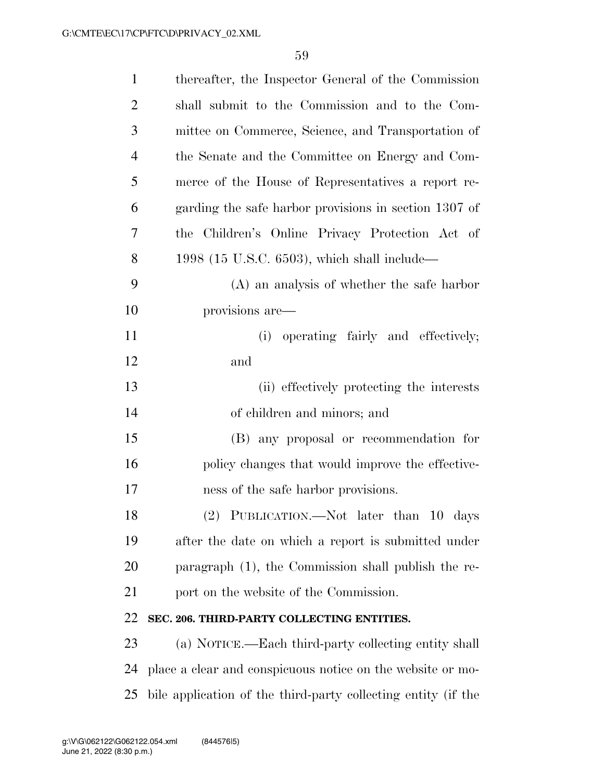| $\mathbf{1}$   | thereafter, the Inspector General of the Commission           |
|----------------|---------------------------------------------------------------|
| $\overline{2}$ | shall submit to the Commission and to the Com-                |
| 3              | mittee on Commerce, Science, and Transportation of            |
| $\overline{4}$ | the Senate and the Committee on Energy and Com-               |
| 5              | merce of the House of Representatives a report re-            |
| 6              | garding the safe harbor provisions in section 1307 of         |
| 7              | the Children's Online Privacy Protection Act of               |
| 8              | 1998 (15 U.S.C. 6503), which shall include—                   |
| 9              | $(A)$ an analysis of whether the safe harbor                  |
| 10             | provisions are—                                               |
| 11             | (i) operating fairly and effectively;                         |
| 12             | and                                                           |
| 13             | (ii) effectively protecting the interests                     |
| 14             | of children and minors; and                                   |
| 15             | (B) any proposal or recommendation for                        |
| 16             | policy changes that would improve the effective-              |
| 17             | ness of the safe harbor provisions.                           |
| 18             | (2) PUBLICATION.—Not later than 10 days                       |
| 19             | after the date on which a report is submitted under           |
| 20             | paragraph (1), the Commission shall publish the re-           |
| 21             | port on the website of the Commission.                        |
| 22             | SEC. 206. THIRD-PARTY COLLECTING ENTITIES.                    |
| 23             | (a) NOTICE.—Each third-party collecting entity shall          |
| 24             | place a clear and conspicuous notice on the website or mo-    |
| 25             | bile application of the third-party collecting entity (if the |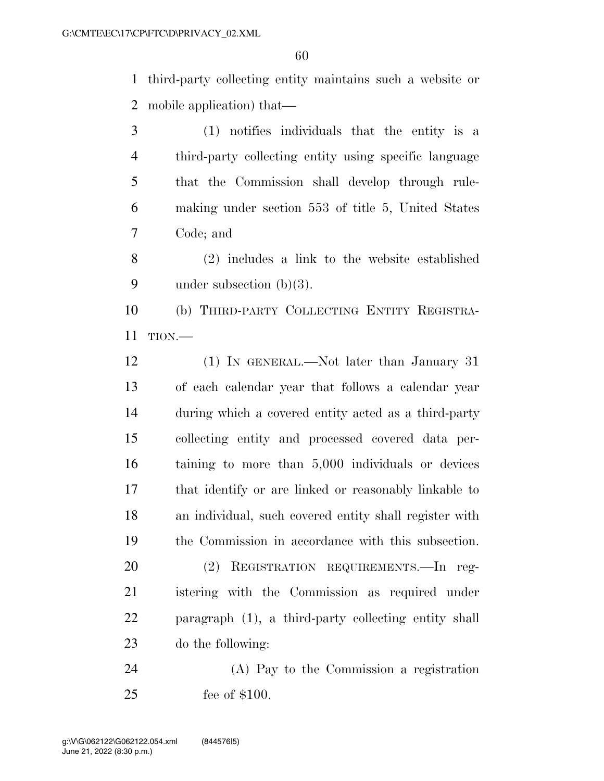third-party collecting entity maintains such a website or mobile application) that—

 (1) notifies individuals that the entity is a third-party collecting entity using specific language that the Commission shall develop through rule- making under section 553 of title 5, United States Code; and

 (2) includes a link to the website established under subsection (b)(3).

 (b) THIRD-PARTY COLLECTING ENTITY REGISTRA-TION.—

 (1) IN GENERAL.—Not later than January 31 of each calendar year that follows a calendar year during which a covered entity acted as a third-party collecting entity and processed covered data per- taining to more than 5,000 individuals or devices that identify or are linked or reasonably linkable to an individual, such covered entity shall register with the Commission in accordance with this subsection.

 (2) REGISTRATION REQUIREMENTS.—In reg- istering with the Commission as required under paragraph (1), a third-party collecting entity shall do the following:

 (A) Pay to the Commission a registration fee of \$100.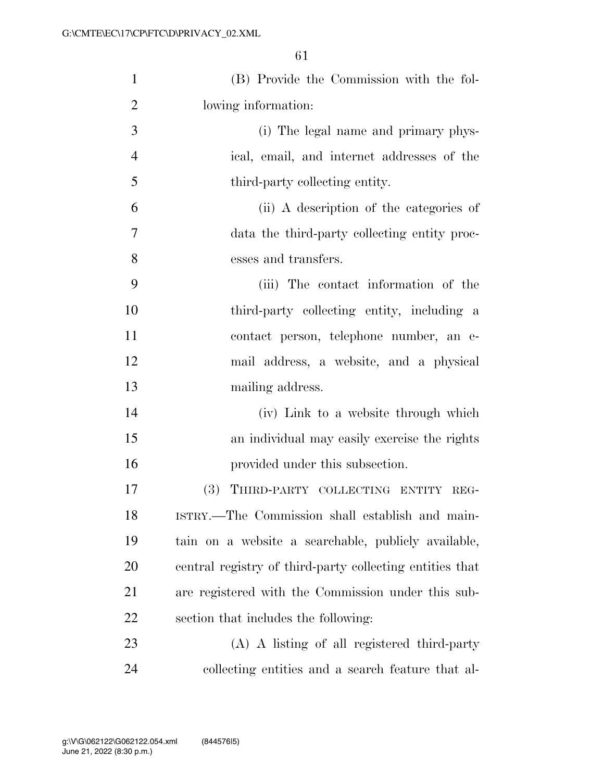| $\mathbf{1}$   | (B) Provide the Commission with the fol-                 |
|----------------|----------------------------------------------------------|
| $\overline{2}$ | lowing information:                                      |
| 3              | (i) The legal name and primary phys-                     |
| $\overline{4}$ | ical, email, and internet addresses of the               |
| 5              | third-party collecting entity.                           |
| 6              | (ii) A description of the categories of                  |
| $\overline{7}$ | data the third-party collecting entity proc-             |
| 8              | esses and transfers.                                     |
| 9              | (iii) The contact information of the                     |
| 10             | third-party collecting entity, including a               |
| 11             | contact person, telephone number, an e-                  |
| 12             | mail address, a website, and a physical                  |
| 13             | mailing address.                                         |
| 14             | (iv) Link to a website through which                     |
| 15             | an individual may easily exercise the rights             |
| 16             | provided under this subsection.                          |
| 17             | (3) THIRD-PARTY COLLECTING ENTITY REG-                   |
| 18             | ISTRY.—The Commission shall establish and main-          |
| 19             | tain on a website a searchable, publicly available,      |
| 20             | central registry of third-party collecting entities that |
| 21             | are registered with the Commission under this sub-       |
| 22             | section that includes the following:                     |
| 23             | (A) A listing of all registered third-party              |
| 24             | collecting entities and a search feature that al-        |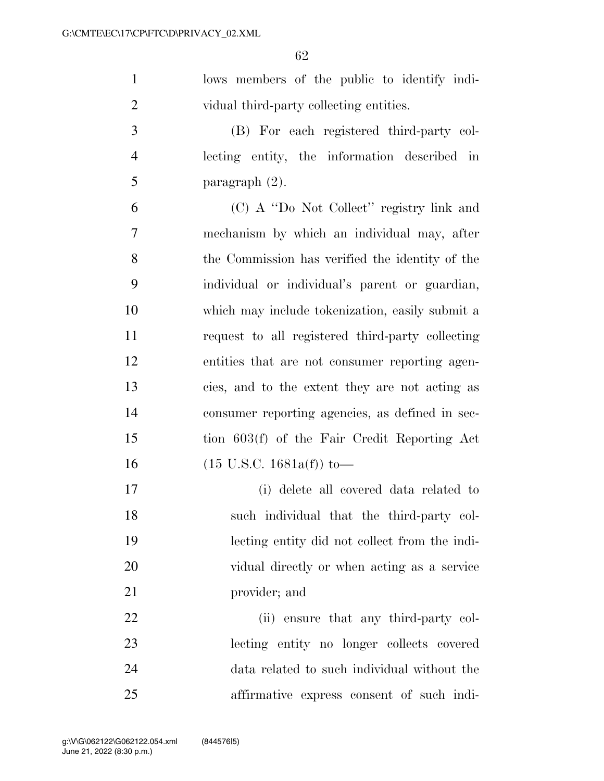lows members of the public to identify indi-vidual third-party collecting entities.

 (B) For each registered third-party col- lecting entity, the information described in 5 paragraph  $(2)$ .

 (C) A ''Do Not Collect'' registry link and mechanism by which an individual may, after the Commission has verified the identity of the individual or individual's parent or guardian, which may include tokenization, easily submit a request to all registered third-party collecting entities that are not consumer reporting agen- cies, and to the extent they are not acting as consumer reporting agencies, as defined in sec- tion 603(f) of the Fair Credit Reporting Act (15 U.S.C. 1681a(f)) to—

 (i) delete all covered data related to such individual that the third-party col- lecting entity did not collect from the indi- vidual directly or when acting as a service provider; and

22 (ii) ensure that any third-party col- lecting entity no longer collects covered data related to such individual without the affirmative express consent of such indi-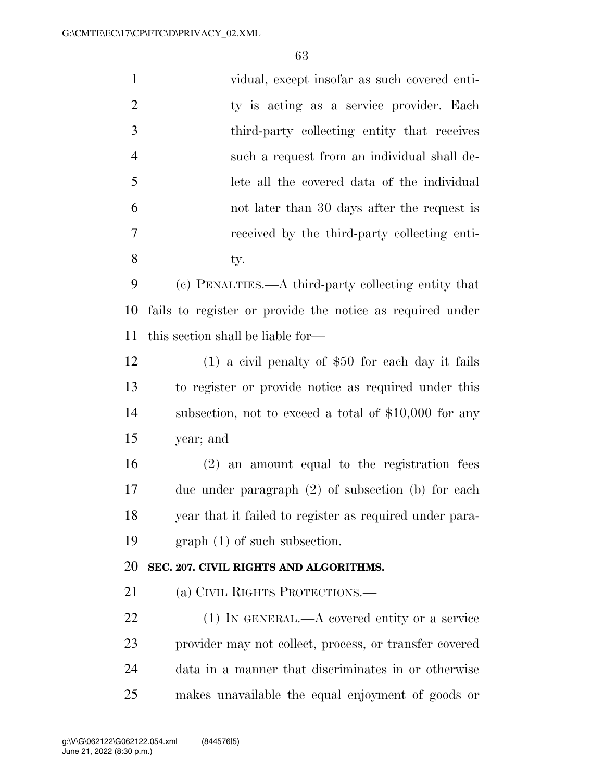| $\mathbf{1}$   | vidual, except insofar as such covered enti-              |
|----------------|-----------------------------------------------------------|
| $\overline{2}$ | ty is acting as a service provider. Each                  |
| 3              | third-party collecting entity that receives               |
| $\overline{4}$ | such a request from an individual shall de-               |
| 5              | lete all the covered data of the individual               |
| 6              | not later than 30 days after the request is               |
| 7              | received by the third-party collecting enti-              |
| 8              | ty.                                                       |
| 9              | (c) PENALTIES.—A third-party collecting entity that       |
| 10             | fails to register or provide the notice as required under |
| 11             | this section shall be liable for—                         |
| 12             | $(1)$ a civil penalty of \$50 for each day it fails       |
| 13             | to register or provide notice as required under this      |
| 14             | subsection, not to exceed a total of $$10,000$ for any    |
| 15             | year; and                                                 |
| 16             | $(2)$ an amount equal to the registration fees            |
| 17             | due under paragraph $(2)$ of subsection $(b)$ for each    |
| 18             | year that it failed to register as required under para-   |
| 19             | $graph(1)$ of such subsection.                            |
| 20             | SEC. 207. CIVIL RIGHTS AND ALGORITHMS.                    |
| 21             | (a) CIVIL RIGHTS PROTECTIONS.—                            |
| 22             | $(1)$ IN GENERAL.—A covered entity or a service           |
| 23             | provider may not collect, process, or transfer covered    |
| 24             | data in a manner that discriminates in or otherwise       |
| 25             | makes unavailable the equal enjoyment of goods or         |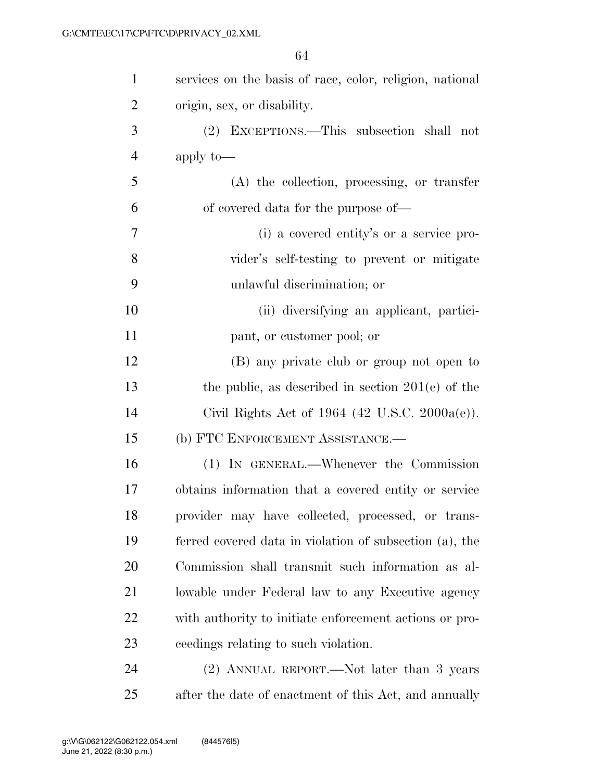| $\mathbf{1}$   | services on the basis of race, color, religion, national   |
|----------------|------------------------------------------------------------|
| $\overline{2}$ | origin, sex, or disability.                                |
| 3              | EXCEPTIONS.—This subsection shall not<br>(2)               |
| $\overline{4}$ | apply to-                                                  |
| 5              | $(A)$ the collection, processing, or transfer              |
| 6              | of covered data for the purpose of—                        |
| 7              | (i) a covered entity's or a service pro-                   |
| 8              | vider's self-testing to prevent or mitigate                |
| 9              | unlawful discrimination; or                                |
| 10             | (ii) diversifying an applicant, partici-                   |
| 11             | pant, or customer pool; or                                 |
| 12             | (B) any private club or group not open to                  |
| 13             | the public, as described in section $201(e)$ of the        |
| 14             | Civil Rights Act of 1964 $(42 \text{ U.S.C. } 2000a(e))$ . |
| 15             | (b) FTC ENFORCEMENT ASSISTANCE.-                           |
| 16             | (1) IN GENERAL.—Whenever the Commission                    |
| 17             | obtains information that a covered entity or service       |
| 18             | provider may have collected, processed, or trans-          |
| 19             | ferred covered data in violation of subsection (a), the    |
| 20             | Commission shall transmit such information as al-          |
| 21             | lowable under Federal law to any Executive agency          |
| 22             | with authority to initiate enforcement actions or pro-     |
| 23             | ceedings relating to such violation.                       |
| 24             | (2) ANNUAL REPORT.—Not later than 3 years                  |
| 25             | after the date of enactment of this Act, and annually      |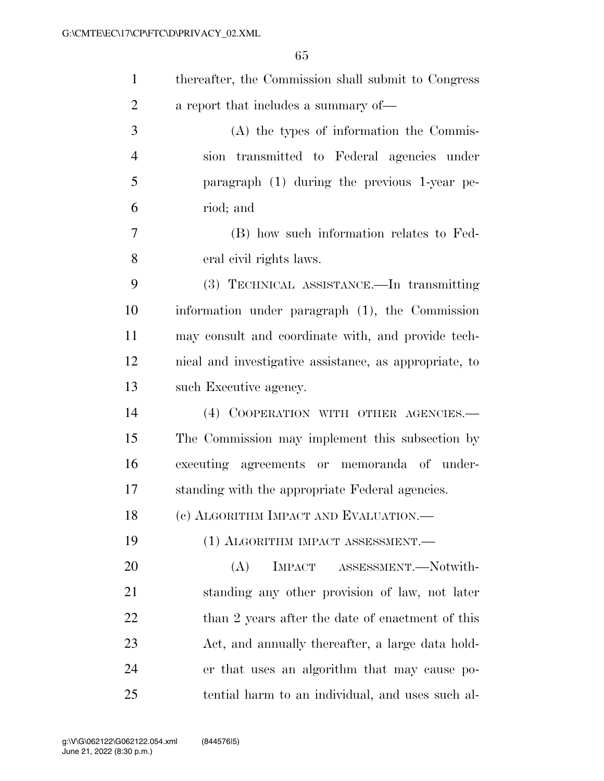| $\mathbf{1}$   | thereafter, the Commission shall submit to Congress    |
|----------------|--------------------------------------------------------|
| $\overline{2}$ | a report that includes a summary of—                   |
| 3              | (A) the types of information the Commis-               |
| $\overline{4}$ | sion transmitted to Federal agencies under             |
| 5              | paragraph (1) during the previous 1-year pe-           |
| 6              | riod; and                                              |
| 7              | (B) how such information relates to Fed-               |
| 8              | eral civil rights laws.                                |
| 9              | (3) TECHNICAL ASSISTANCE.—In transmitting              |
| 10             | information under paragraph (1), the Commission        |
| 11             | may consult and coordinate with, and provide tech-     |
| 12             | nical and investigative assistance, as appropriate, to |
| 13             | such Executive agency.                                 |
| 14             | (4) COOPERATION WITH OTHER AGENCIES.-                  |
| 15             | The Commission may implement this subsection by        |
| 16             | executing agreements or memoranda of under-            |
| 17             | standing with the appropriate Federal agencies.        |
| 18             | (c) ALGORITHM IMPACT AND EVALUATION.—                  |
| 19             | (1) ALGORITHM IMPACT ASSESSMENT.                       |
| 20             | ASSESSMENT.-Notwith-<br>(A)<br><b>IMPACT</b>           |
| 21             | standing any other provision of law, not later         |
| 22             | than 2 years after the date of enactment of this       |
| 23             | Act, and annually thereafter, a large data hold-       |
| 24             | er that uses an algorithm that may cause po-           |
| 25             | tential harm to an individual, and uses such al-       |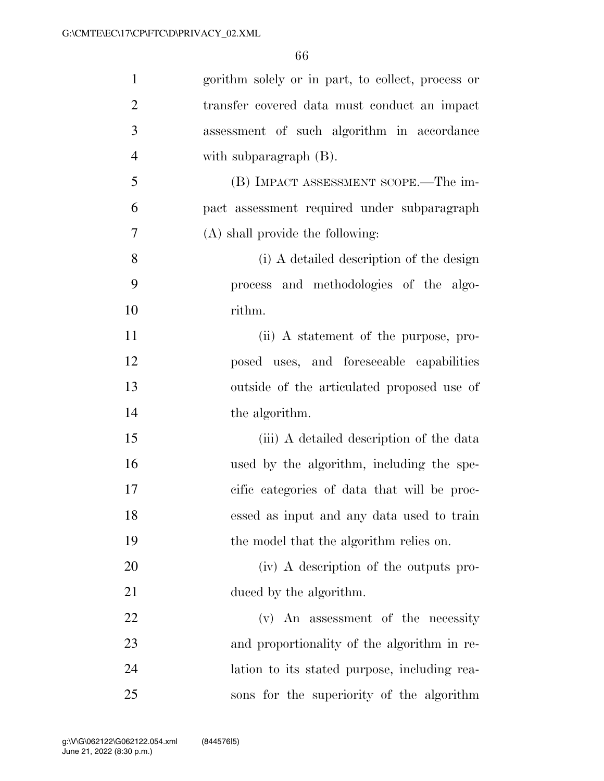| $\mathbf{1}$   | gorithm solely or in part, to collect, process or |
|----------------|---------------------------------------------------|
| $\overline{2}$ | transfer covered data must conduct an impact      |
| 3              | assessment of such algorithm in accordance        |
| $\overline{4}$ | with subparagraph $(B)$ .                         |
| 5              | (B) IMPACT ASSESSMENT SCOPE.—The im-              |
| 6              | pact assessment required under subparagraph       |
| 7              | (A) shall provide the following:                  |
| 8              | (i) A detailed description of the design          |
| 9              | process and methodologies of the algo-            |
| 10             | rithm.                                            |
| 11             | (ii) A statement of the purpose, pro-             |
| 12             | posed uses, and foreseeable capabilities          |
| 13             | outside of the articulated proposed use of        |
| 14             | the algorithm.                                    |
| 15             | (iii) A detailed description of the data          |
| 16             | used by the algorithm, including the spe-         |
| 17             | cific categories of data that will be proc-       |
| 18             | essed as input and any data used to train         |
| 19             | the model that the algorithm relies on.           |
| 20             | (iv) A description of the outputs pro-            |
| 21             | duced by the algorithm.                           |
| 22             | (v) An assessment of the necessity                |
| 23             | and proportionality of the algorithm in re-       |
| 24             | lation to its stated purpose, including rea-      |
| 25             | sons for the superiority of the algorithm         |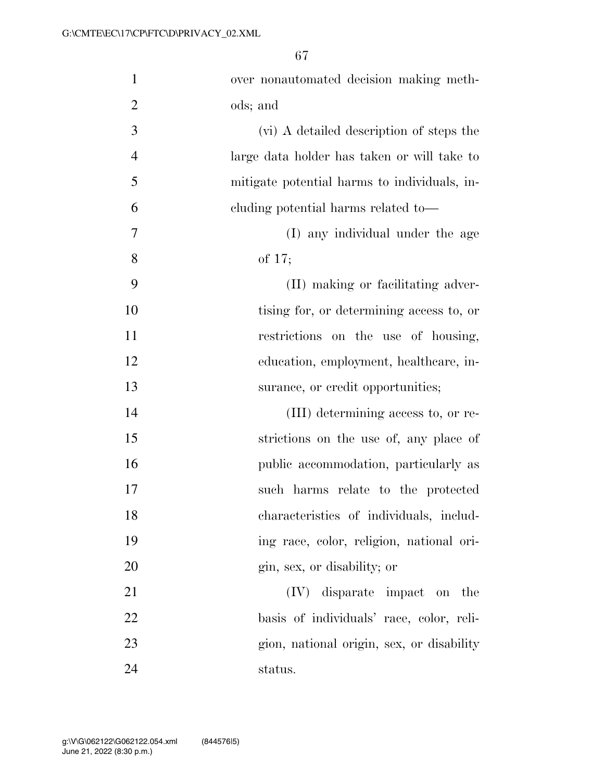| $\mathbf{1}$   | over nonautomated decision making meth-      |
|----------------|----------------------------------------------|
| $\overline{2}$ | ods; and                                     |
| 3              | (vi) A detailed description of steps the     |
| $\overline{4}$ | large data holder has taken or will take to  |
| 5              | mitigate potential harms to individuals, in- |
| 6              | cluding potential harms related to—          |
| 7              | (I) any individual under the age             |
| 8              | of 17;                                       |
| 9              | (II) making or facilitating adver-           |
| 10             | tising for, or determining access to, or     |
| 11             | restrictions on the use of housing,          |
| 12             | education, employment, healthcare, in-       |
|                |                                              |
| 13             | surance, or credit opportunities;            |
| 14             | (III) determining access to, or re-          |
| 15             | strictions on the use of, any place of       |
| 16             | public accommodation, particularly as        |
| 17             | such harms relate to the protected           |
| 18             | characteristics of individuals, includ-      |
| 19             | ing race, color, religion, national ori-     |
| 20             | gin, sex, or disability; or                  |
| 21             | $(IV)$ disparate impact on the               |
| 22             | basis of individuals' race, color, reli-     |
| 23             | gion, national origin, sex, or disability    |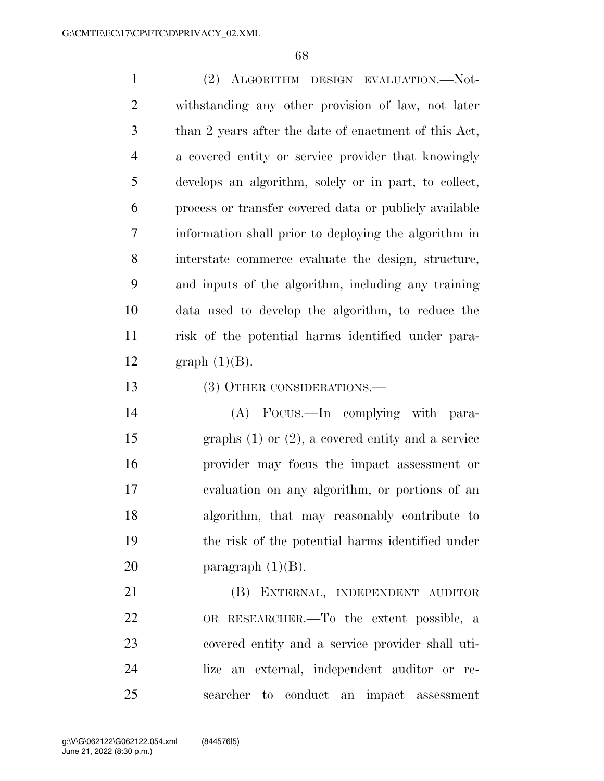(2) ALGORITHM DESIGN EVALUATION.—Not- withstanding any other provision of law, not later than 2 years after the date of enactment of this Act, a covered entity or service provider that knowingly develops an algorithm, solely or in part, to collect, process or transfer covered data or publicly available information shall prior to deploying the algorithm in interstate commerce evaluate the design, structure, and inputs of the algorithm, including any training data used to develop the algorithm, to reduce the risk of the potential harms identified under para-12 graph  $(1)(B)$ .

(3) OTHER CONSIDERATIONS.—

 (A) FOCUS.—In complying with para- graphs (1) or (2), a covered entity and a service provider may focus the impact assessment or evaluation on any algorithm, or portions of an algorithm, that may reasonably contribute to the risk of the potential harms identified under 20 paragraph  $(1)(B)$ .

 (B) EXTERNAL, INDEPENDENT AUDITOR OR RESEARCHER.—To the extent possible, a covered entity and a service provider shall uti- lize an external, independent auditor or re-searcher to conduct an impact assessment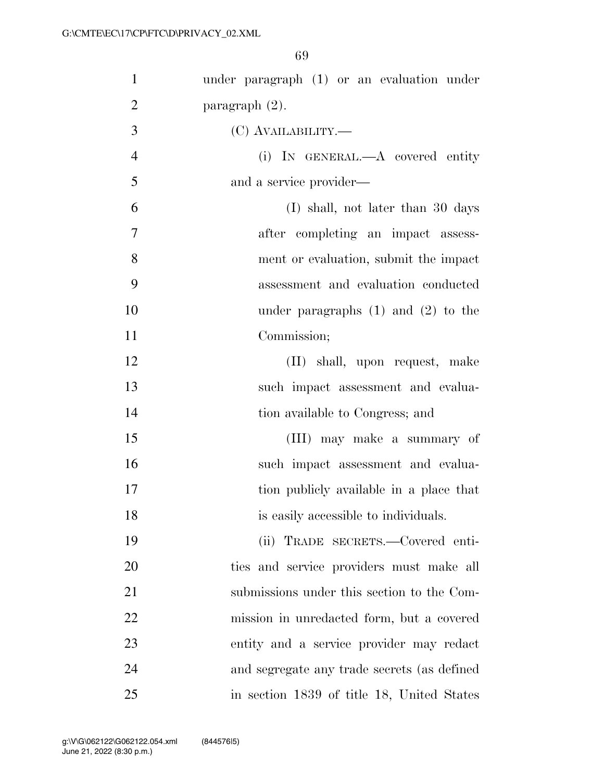| $\mathbf{1}$   | under paragraph $(1)$ or an evaluation under |
|----------------|----------------------------------------------|
| $\overline{2}$ | paragraph $(2)$ .                            |
| 3              | (C) AVAILABILITY.—                           |
| $\overline{4}$ | (i) IN GENERAL.—A covered entity             |
| 5              | and a service provider—                      |
| 6              | (I) shall, not later than 30 days            |
| $\tau$         | after completing an impact assess-           |
| 8              | ment or evaluation, submit the impact        |
| 9              | assessment and evaluation conducted          |
| 10             | under paragraphs $(1)$ and $(2)$ to the      |
| 11             | Commission;                                  |
| 12             | (II) shall, upon request, make               |
| 13             | such impact assessment and evalua-           |
| 14             | tion available to Congress; and              |
| 15             | (III) may make a summary of                  |
| 16             | such impact assessment and evalua-           |
| 17             | tion publicly available in a place that      |
| 18             | is easily accessible to individuals.         |
| 19             | (ii) TRADE SECRETS.-Covered enti-            |
| 20             | ties and service providers must make all     |
| 21             | submissions under this section to the Com-   |
| 22             | mission in unredacted form, but a covered    |
| 23             | entity and a service provider may redact     |
| 24             | and segregate any trade secrets (as defined  |
| 25             | in section 1839 of title 18, United States   |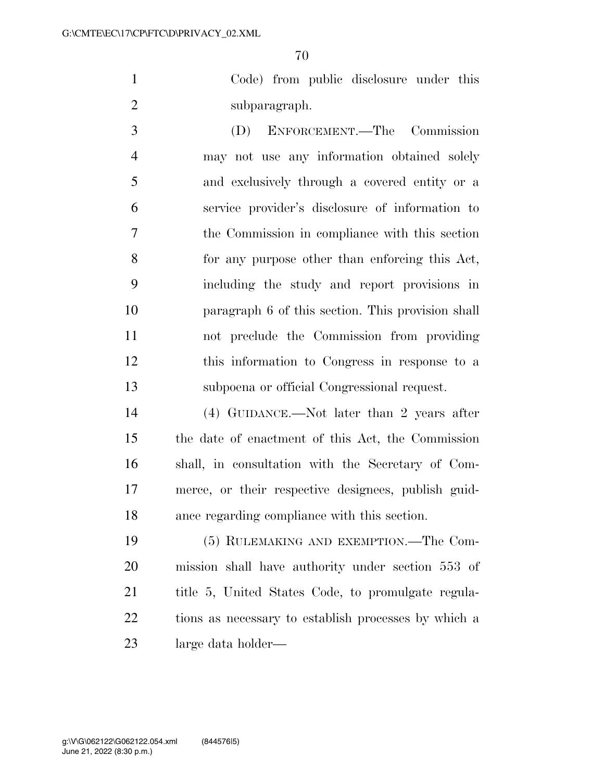Code) from public disclosure under this subparagraph.

 (D) ENFORCEMENT.—The Commission may not use any information obtained solely and exclusively through a covered entity or a service provider's disclosure of information to the Commission in compliance with this section for any purpose other than enforcing this Act, including the study and report provisions in paragraph 6 of this section. This provision shall not preclude the Commission from providing this information to Congress in response to a subpoena or official Congressional request.

 (4) GUIDANCE.—Not later than 2 years after the date of enactment of this Act, the Commission shall, in consultation with the Secretary of Com- merce, or their respective designees, publish guid-ance regarding compliance with this section.

 (5) RULEMAKING AND EXEMPTION.—The Com- mission shall have authority under section 553 of title 5, United States Code, to promulgate regula- tions as necessary to establish processes by which a large data holder—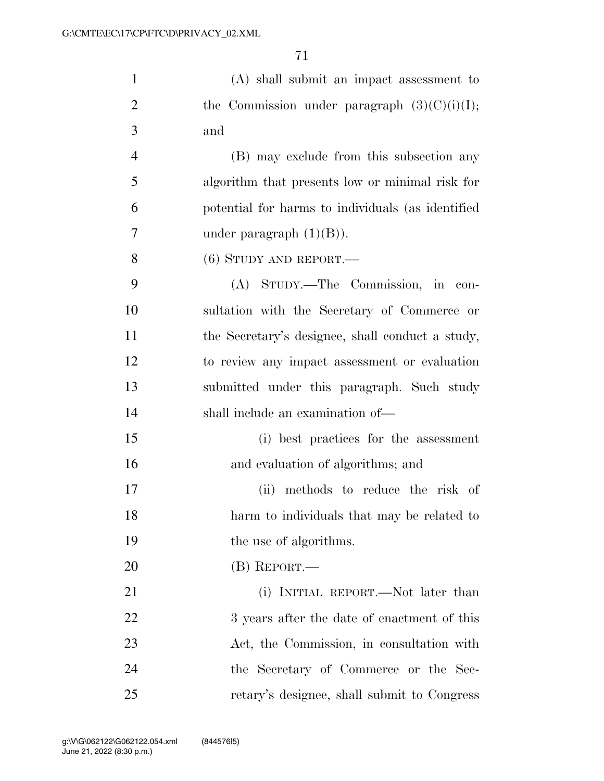| $\mathbf{1}$   | $(A)$ shall submit an impact assessment to        |
|----------------|---------------------------------------------------|
| $\overline{2}$ | the Commission under paragraph $(3)(C)(i)(I);$    |
| 3              | and                                               |
| $\overline{4}$ | (B) may exclude from this subsection any          |
| 5              | algorithm that presents low or minimal risk for   |
| 6              | potential for harms to individuals (as identified |
| 7              | under paragraph $(1)(B)$ ).                       |
| 8              | $(6)$ STUDY AND REPORT.—                          |
| 9              | (A) STUDY.—The Commission, in con-                |
| 10             | sultation with the Secretary of Commerce or       |
| 11             | the Secretary's designee, shall conduct a study,  |
| 12             | to review any impact assessment or evaluation     |
| 13             | submitted under this paragraph. Such study        |
| 14             | shall include an examination of-                  |
| 15             | (i) best practices for the assessment             |
| 16             | and evaluation of algorithms; and                 |
| 17             | (ii) methods to reduce the risk of                |
| 18             | harm to individuals that may be related to        |
| 19             | the use of algorithms.                            |
| 20             | $(B)$ REPORT.—                                    |
| 21             | (i) INITIAL REPORT.—Not later than                |
| 22             | 3 years after the date of enactment of this       |
| 23             | Act, the Commission, in consultation with         |
| 24             | the Secretary of Commerce or the Sec-             |
| 25             | retary's designee, shall submit to Congress       |
|                |                                                   |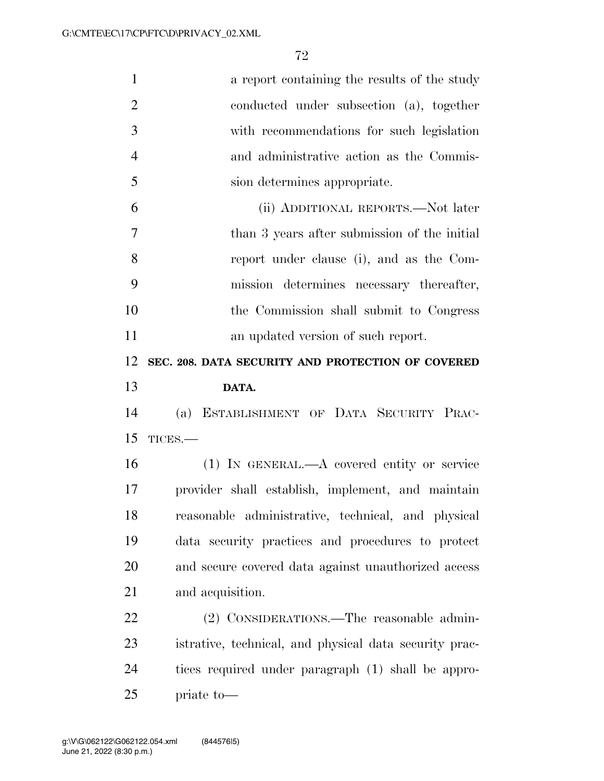| $\mathbf{1}$   | a report containing the results of the study           |
|----------------|--------------------------------------------------------|
| $\overline{2}$ | conducted under subsection (a), together               |
| 3              | with recommendations for such legislation              |
| $\overline{4}$ | and administrative action as the Commis-               |
| 5              | sion determines appropriate.                           |
| 6              | (ii) ADDITIONAL REPORTS.—Not later                     |
| 7              | than 3 years after submission of the initial           |
| 8              | report under clause (i), and as the Com-               |
| 9              | mission determines necessary thereafter,               |
| 10             | the Commission shall submit to Congress                |
| 11             | an updated version of such report.                     |
| 12             | SEC. 208. DATA SECURITY AND PROTECTION OF COVERED      |
| 13             | DATA.                                                  |
| 14             | ESTABLISHMENT OF DATA SECURITY PRAC-<br>(a)            |
| 15             | TICES.-                                                |
| 16             | $(1)$ IN GENERAL.—A covered entity or service          |
| 17             | provider shall establish, implement, and maintain      |
| 18             | reasonable administrative, technical, and physical     |
| 19             | data security practices and procedures to protect      |
| 20             | and secure covered data against unauthorized access    |
| 21             | and acquisition.                                       |
| 22             | (2) CONSIDERATIONS.—The reasonable admin-              |
| 23             | istrative, technical, and physical data security prac- |
| 24             | tices required under paragraph (1) shall be appro-     |
|                |                                                        |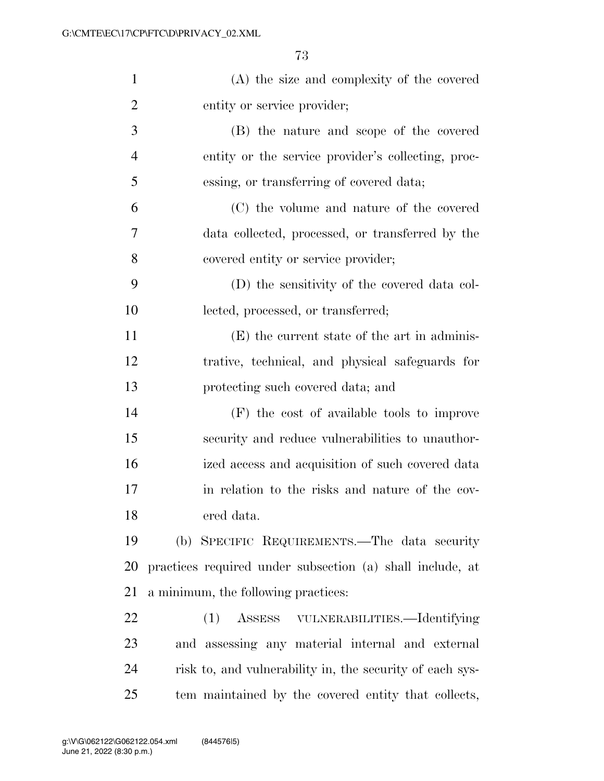| $\mathbf{1}$   | (A) the size and complexity of the covered                |
|----------------|-----------------------------------------------------------|
| $\overline{2}$ | entity or service provider;                               |
| 3              | (B) the nature and scope of the covered                   |
| $\overline{4}$ | entity or the service provider's collecting, proc-        |
| 5              | essing, or transferring of covered data;                  |
| 6              | (C) the volume and nature of the covered                  |
| 7              | data collected, processed, or transferred by the          |
| 8              | covered entity or service provider;                       |
| 9              | (D) the sensitivity of the covered data col-              |
| 10             | lected, processed, or transferred;                        |
| 11             | (E) the current state of the art in adminis-              |
| 12             | trative, technical, and physical safeguards for           |
| 13             | protecting such covered data; and                         |
| 14             | (F) the cost of available tools to improve                |
| 15             | security and reduce vulnerabilities to unauthor-          |
| 16             | ized access and acquisition of such covered data          |
| 17             | in relation to the risks and nature of the cov-           |
| 18             | ered data.                                                |
| 19             | (b) SPECIFIC REQUIREMENTS.—The data security              |
| 20             | practices required under subsection (a) shall include, at |
| 21             | a minimum, the following practices:                       |
| 22             | ASSESS VULNERABILITIES.—Identifying<br>(1)                |
| 23             | and assessing any material internal and external          |
| 24             | risk to, and vulnerability in, the security of each sys-  |
| 25             | tem maintained by the covered entity that collects,       |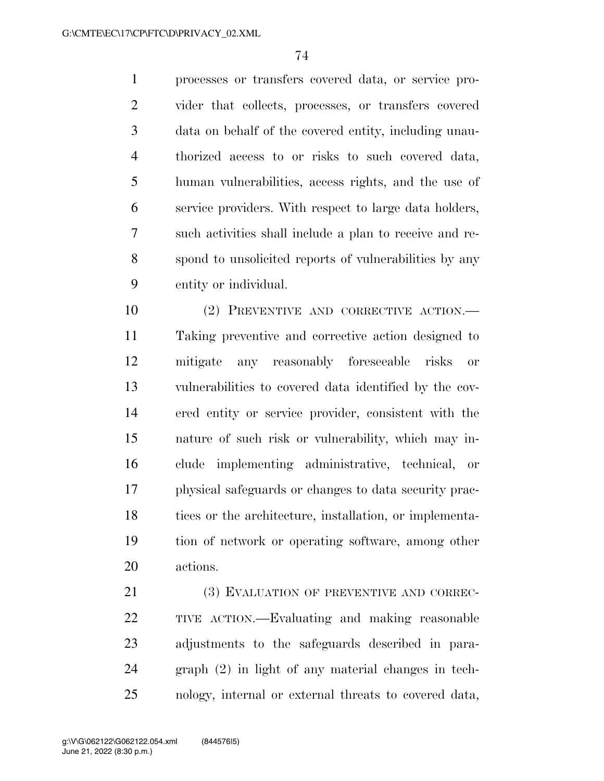processes or transfers covered data, or service pro- vider that collects, processes, or transfers covered data on behalf of the covered entity, including unau- thorized access to or risks to such covered data, human vulnerabilities, access rights, and the use of service providers. With respect to large data holders, such activities shall include a plan to receive and re- spond to unsolicited reports of vulnerabilities by any entity or individual.

 (2) PREVENTIVE AND CORRECTIVE ACTION.— Taking preventive and corrective action designed to mitigate any reasonably foreseeable risks or vulnerabilities to covered data identified by the cov- ered entity or service provider, consistent with the nature of such risk or vulnerability, which may in- clude implementing administrative, technical, or physical safeguards or changes to data security prac- tices or the architecture, installation, or implementa- tion of network or operating software, among other actions.

21 (3) EVALUATION OF PREVENTIVE AND CORREC- TIVE ACTION.—Evaluating and making reasonable adjustments to the safeguards described in para- graph (2) in light of any material changes in tech-nology, internal or external threats to covered data,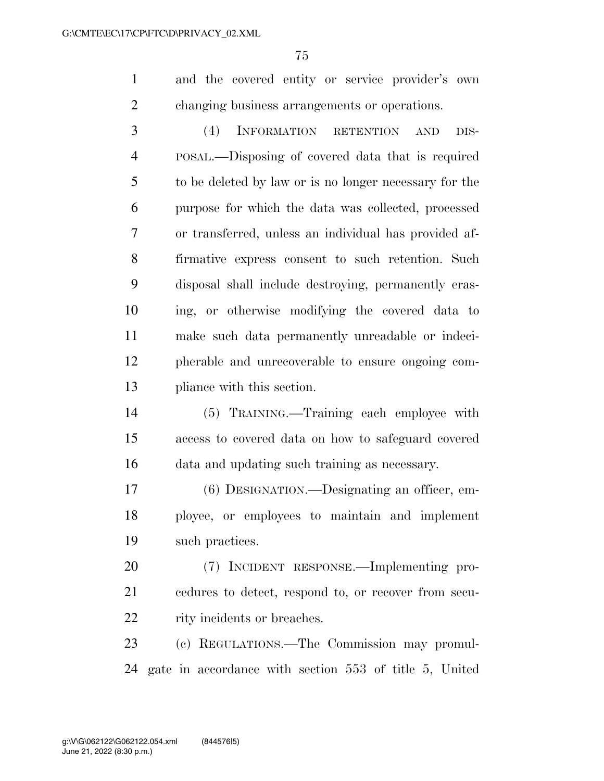and the covered entity or service provider's own changing business arrangements or operations.

 (4) INFORMATION RETENTION AND DIS- POSAL.—Disposing of covered data that is required to be deleted by law or is no longer necessary for the purpose for which the data was collected, processed or transferred, unless an individual has provided af- firmative express consent to such retention. Such disposal shall include destroying, permanently eras- ing, or otherwise modifying the covered data to make such data permanently unreadable or indeci- pherable and unrecoverable to ensure ongoing com-pliance with this section.

 (5) TRAINING.—Training each employee with access to covered data on how to safeguard covered data and updating such training as necessary.

 (6) DESIGNATION.—Designating an officer, em- ployee, or employees to maintain and implement such practices.

 (7) INCIDENT RESPONSE.—Implementing pro- cedures to detect, respond to, or recover from secu-22 rity incidents or breaches.

 (c) REGULATIONS.—The Commission may promul-gate in accordance with section 553 of title 5, United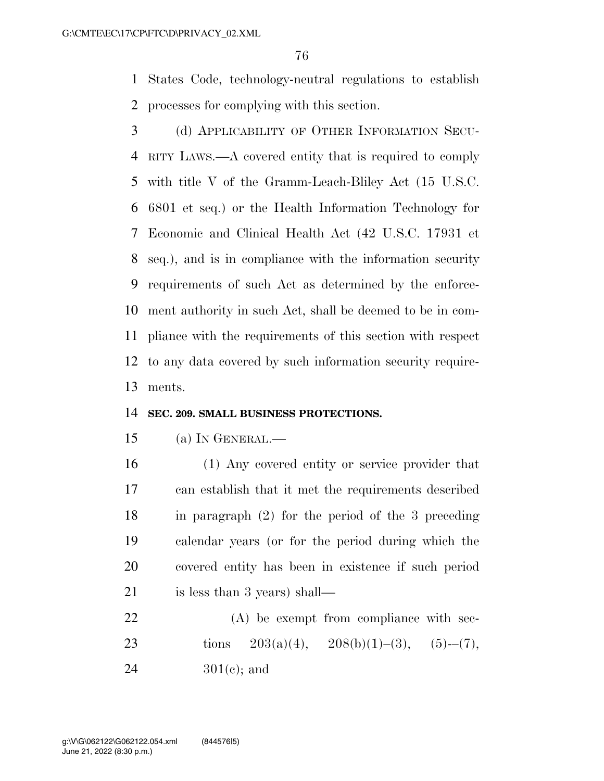States Code, technology-neutral regulations to establish processes for complying with this section.

 (d) APPLICABILITY OF OTHER INFORMATION SECU- RITY LAWS.—A covered entity that is required to comply with title V of the Gramm-Leach-Bliley Act (15 U.S.C. 6801 et seq.) or the Health Information Technology for Economic and Clinical Health Act (42 U.S.C. 17931 et seq.), and is in compliance with the information security requirements of such Act as determined by the enforce- ment authority in such Act, shall be deemed to be in com- pliance with the requirements of this section with respect to any data covered by such information security require-ments.

#### **SEC. 209. SMALL BUSINESS PROTECTIONS.**

- (a) IN GENERAL.—
- (1) Any covered entity or service provider that can establish that it met the requirements described in paragraph (2) for the period of the 3 preceding calendar years (or for the period during which the covered entity has been in existence if such period is less than 3 years) shall—
- 22 (A) be exempt from compliance with sec-23 tions  $203(a)(4)$ ,  $208(b)(1)–(3)$ ,  $(5)–(7)$ , 24  $301(e)$ ; and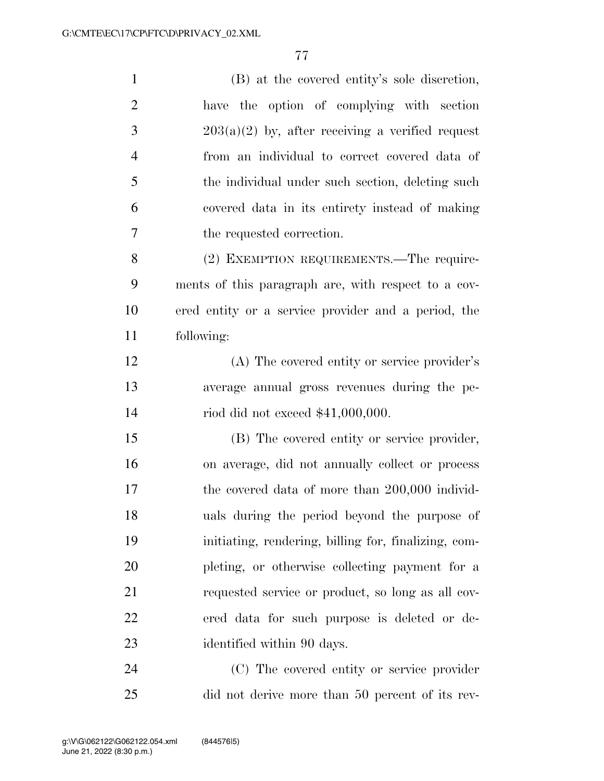| $\mathbf{1}$   | (B) at the covered entity's sole discretion,         |
|----------------|------------------------------------------------------|
| $\overline{2}$ | have the option of complying with section            |
| 3              | $203(a)(2)$ by, after receiving a verified request   |
| $\overline{4}$ | from an individual to correct covered data of        |
| 5              | the individual under such section, deleting such     |
| 6              | covered data in its entirety instead of making       |
| $\tau$         | the requested correction.                            |
| 8              | (2) EXEMPTION REQUIREMENTS.—The require-             |
| 9              | ments of this paragraph are, with respect to a cov-  |
| 10             | ered entity or a service provider and a period, the  |
| 11             | following:                                           |
| 12             | (A) The covered entity or service provider's         |
| 13             | average annual gross revenues during the pe-         |
| 14             | riod did not exceed $$41,000,000$ .                  |
| 15             | (B) The covered entity or service provider,          |
| 16             | on average, did not annually collect or process      |
| 17             | the covered data of more than 200,000 individ-       |
| 18             | uals during the period beyond the purpose of         |
| 19             | initiating, rendering, billing for, finalizing, com- |
| 20             | pleting, or otherwise collecting payment for a       |
| 21             | requested service or product, so long as all cov-    |
| 22             | ered data for such purpose is deleted or de-         |
| 23             | identified within 90 days.                           |
| 24             | (C) The covered entity or service provider           |

did not derive more than 50 percent of its rev-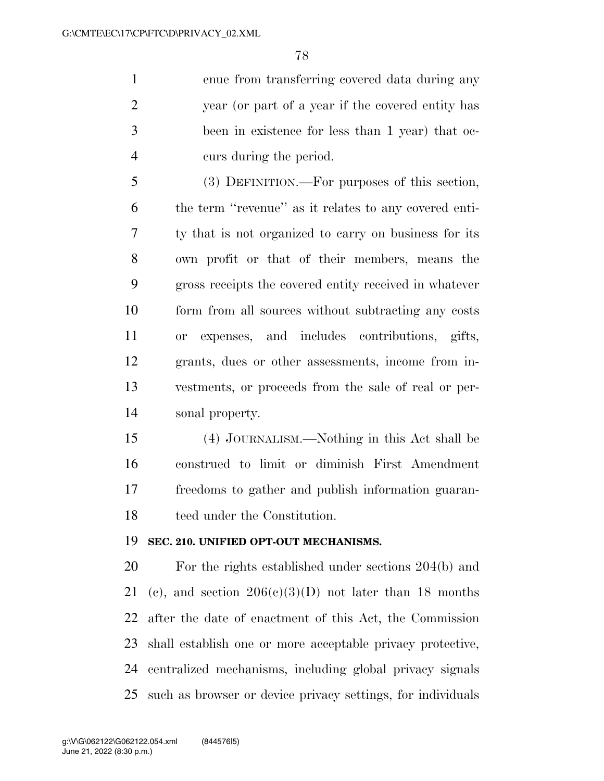enue from transferring covered data during any year (or part of a year if the covered entity has been in existence for less than 1 year) that oc-curs during the period.

 (3) DEFINITION.—For purposes of this section, the term ''revenue'' as it relates to any covered enti- ty that is not organized to carry on business for its own profit or that of their members, means the gross receipts the covered entity received in whatever form from all sources without subtracting any costs or expenses, and includes contributions, gifts, grants, dues or other assessments, income from in- vestments, or proceeds from the sale of real or per-sonal property.

 (4) JOURNALISM.—Nothing in this Act shall be construed to limit or diminish First Amendment freedoms to gather and publish information guaran-teed under the Constitution.

#### **SEC. 210. UNIFIED OPT-OUT MECHANISMS.**

 For the rights established under sections 204(b) and 21 (c), and section  $206(c)(3)(D)$  not later than 18 months after the date of enactment of this Act, the Commission shall establish one or more acceptable privacy protective, centralized mechanisms, including global privacy signals such as browser or device privacy settings, for individuals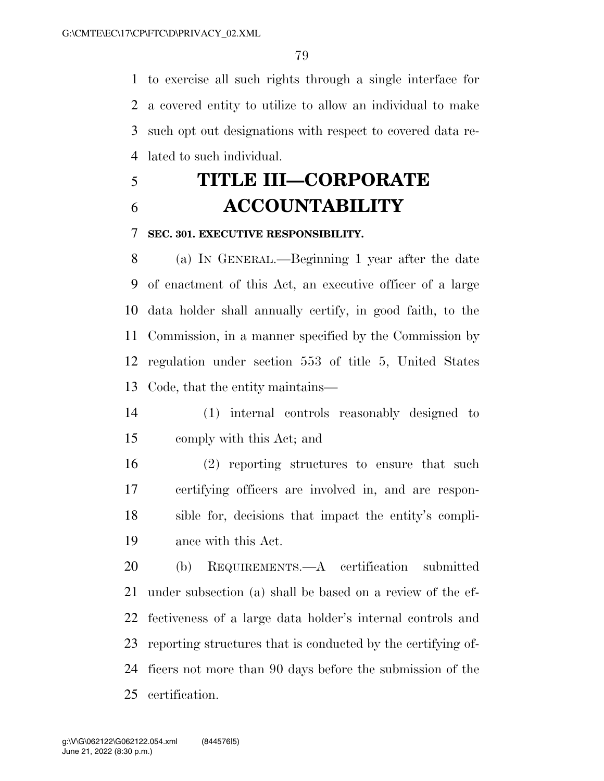to exercise all such rights through a single interface for a covered entity to utilize to allow an individual to make such opt out designations with respect to covered data re-lated to such individual.

# **TITLE III—CORPORATE ACCOUNTABILITY**

#### **SEC. 301. EXECUTIVE RESPONSIBILITY.**

 (a) IN GENERAL.—Beginning 1 year after the date of enactment of this Act, an executive officer of a large data holder shall annually certify, in good faith, to the Commission, in a manner specified by the Commission by regulation under section 553 of title 5, United States Code, that the entity maintains—

- (1) internal controls reasonably designed to comply with this Act; and
- (2) reporting structures to ensure that such certifying officers are involved in, and are respon- sible for, decisions that impact the entity's compli-ance with this Act.

 (b) REQUIREMENTS.—A certification submitted under subsection (a) shall be based on a review of the ef- fectiveness of a large data holder's internal controls and reporting structures that is conducted by the certifying of- ficers not more than 90 days before the submission of the certification.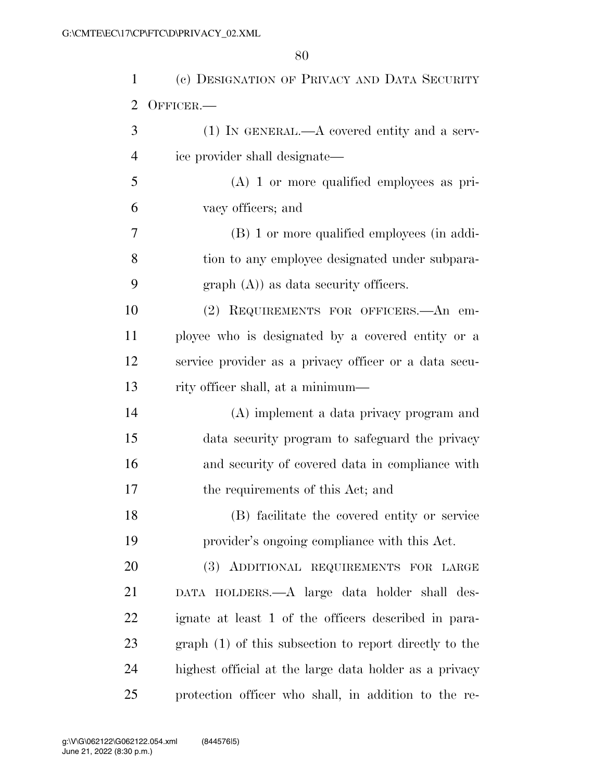| 1              | (c) DESIGNATION OF PRIVACY AND DATA SECURITY           |
|----------------|--------------------------------------------------------|
| $\overline{2}$ | OFFICER.-                                              |
| 3              | $(1)$ IN GENERAL.—A covered entity and a serv-         |
| 4              | ice provider shall designate—                          |
| 5              | $(A)$ 1 or more qualified employees as pri-            |
| 6              | vacy officers; and                                     |
| 7              | (B) 1 or more qualified employees (in addi-            |
| 8              | tion to any employee designated under subpara-         |
| 9              | $graph(A)$ as data security officers.                  |
| 10             | (2) REQUIREMENTS FOR OFFICERS. An em-                  |
| 11             | ployee who is designated by a covered entity or a      |
| 12             | service provider as a privacy officer or a data secu-  |
| 13             | rity officer shall, at a minimum—                      |
| 14             | (A) implement a data privacy program and               |
| 15             | data security program to safeguard the privacy         |
| 16             | and security of covered data in compliance with        |
| 17             | the requirements of this Act; and                      |
| 18             | (B) facilitate the covered entity or service           |
| 19             | provider's ongoing compliance with this Act.           |
| 20             | (3) ADDITIONAL REQUIREMENTS FOR LARGE                  |
| 21             | DATA HOLDERS.—A large data holder shall des-           |
| 22             | ignate at least 1 of the officers described in para-   |
| 23             | graph (1) of this subsection to report directly to the |
| 24             | highest official at the large data holder as a privacy |
| 25             | protection officer who shall, in addition to the re-   |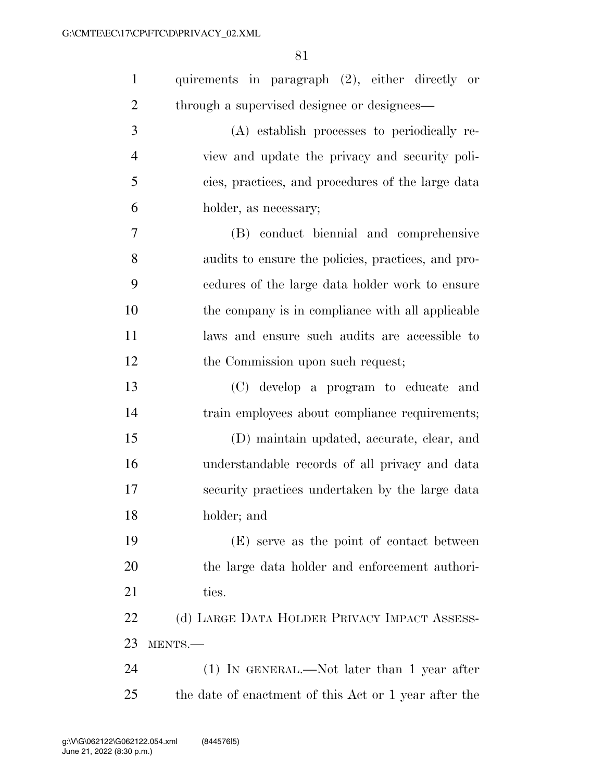| $\mathbf{1}$   | quirements in paragraph (2), either directly or       |
|----------------|-------------------------------------------------------|
| $\overline{2}$ | through a supervised designee or designees-           |
| 3              | (A) establish processes to periodically re-           |
| $\overline{4}$ | view and update the privacy and security poli-        |
| 5              | cies, practices, and procedures of the large data     |
| 6              | holder, as necessary;                                 |
| $\overline{7}$ | (B) conduct biennial and comprehensive                |
| 8              | audits to ensure the policies, practices, and pro-    |
| 9              | cedures of the large data holder work to ensure       |
| 10             | the company is in compliance with all applicable      |
| 11             | laws and ensure such audits are accessible to         |
| 12             | the Commission upon such request;                     |
| 13             | (C) develop a program to educate and                  |
| 14             | train employees about compliance requirements;        |
| 15             | (D) maintain updated, accurate, clear, and            |
| 16             | understandable records of all privacy and data        |
| 17             | security practices undertaken by the large data       |
| 18             | holder; and                                           |
| 19             | (E) serve as the point of contact between             |
| 20             | the large data holder and enforcement authori-        |
| 21             | ties.                                                 |
| 22             | (d) LARGE DATA HOLDER PRIVACY IMPACT ASSESS-          |
| 23             | MENTS.-                                               |
| 24             | $(1)$ IN GENERAL.—Not later than 1 year after         |
| 25             | the date of enactment of this Act or 1 year after the |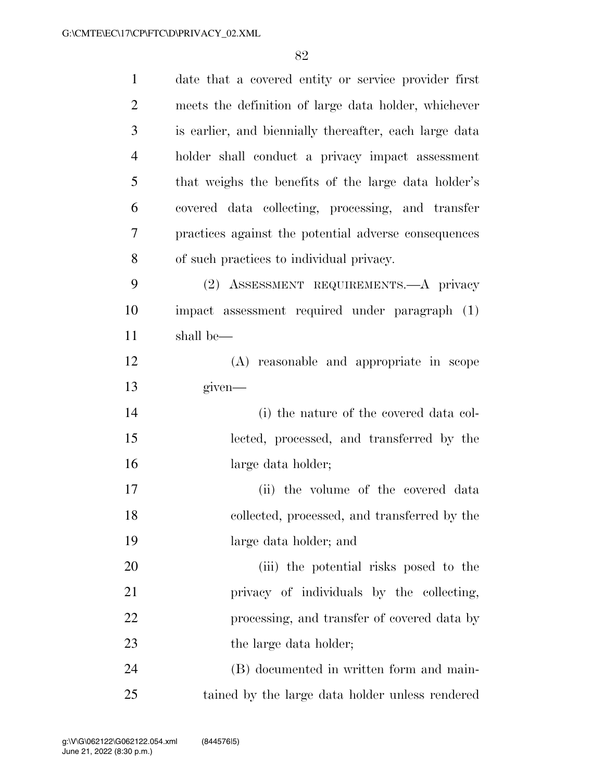| $\mathbf{1}$   | date that a covered entity or service provider first   |
|----------------|--------------------------------------------------------|
| $\overline{2}$ | meets the definition of large data holder, whichever   |
| 3              | is earlier, and biennially thereafter, each large data |
| $\overline{4}$ | holder shall conduct a privacy impact assessment       |
| 5              | that weighs the benefits of the large data holder's    |
| 6              | covered data collecting, processing, and transfer      |
| 7              | practices against the potential adverse consequences   |
| 8              | of such practices to individual privacy.               |
| 9              | (2) ASSESSMENT REQUIREMENTS. A privacy                 |
| 10             | impact assessment required under paragraph (1)         |
| 11             | shall be—                                              |
| 12             | (A) reasonable and appropriate in scope                |
| 13             | given—                                                 |
| 14             | (i) the nature of the covered data col-                |
| 15             | lected, processed, and transferred by the              |
| 16             | large data holder;                                     |
| 17             | (ii) the volume of the covered data                    |
| 18             | collected, processed, and transferred by the           |
| 19             | large data holder; and                                 |
| 20             | (iii) the potential risks posed to the                 |
| 21             | privacy of individuals by the collecting,              |
| 22             | processing, and transfer of covered data by            |
| 23             | the large data holder;                                 |
| 24             | (B) documented in written form and main-               |
| 25             | tained by the large data holder unless rendered        |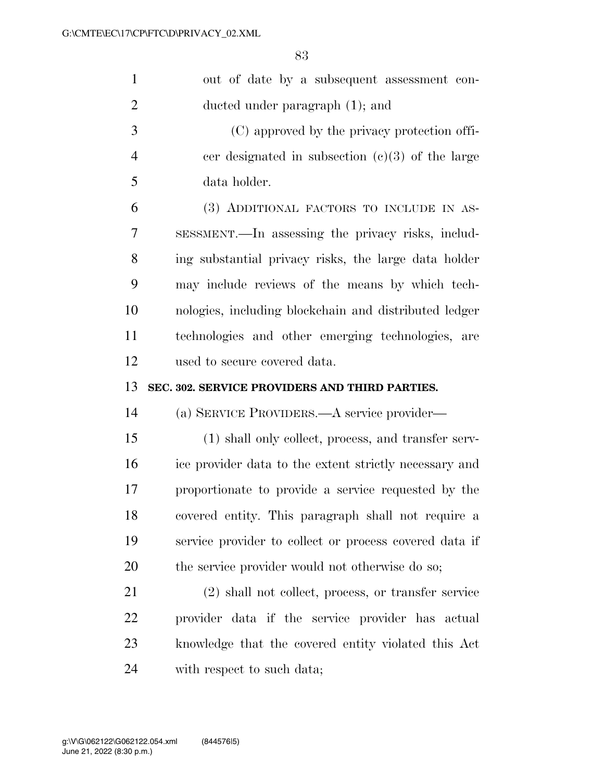| $\mathbf{1}$   | out of date by a subsequent assessment con-            |
|----------------|--------------------------------------------------------|
| $\overline{2}$ | ducted under paragraph (1); and                        |
| 3              | (C) approved by the privacy protection offi-           |
| $\overline{4}$ | cer designated in subsection $(c)(3)$ of the large     |
| 5              | data holder.                                           |
| 6              | (3) ADDITIONAL FACTORS TO INCLUDE IN AS-               |
| 7              | SESSMENT.—In assessing the privacy risks, includ-      |
| 8              | ing substantial privacy risks, the large data holder   |
| 9              | may include reviews of the means by which tech-        |
| 10             | nologies, including blockchain and distributed ledger  |
| 11             | technologies and other emerging technologies, are      |
| 12             | used to secure covered data.                           |
|                |                                                        |
| 13             | SEC. 302. SERVICE PROVIDERS AND THIRD PARTIES.         |
| 14             | (a) SERVICE PROVIDERS.—A service provider—             |
| 15             | (1) shall only collect, process, and transfer serv-    |
| 16             | ice provider data to the extent strictly necessary and |
| 17             | proportionate to provide a service requested by the    |
| 18             | covered entity. This paragraph shall not require a     |
| 19             | service provider to collect or process covered data if |
| 20             | the service provider would not otherwise do so;        |
| 21             | (2) shall not collect, process, or transfer service    |
| 22             | provider data if the service provider has actual       |
| 23             | knowledge that the covered entity violated this Act    |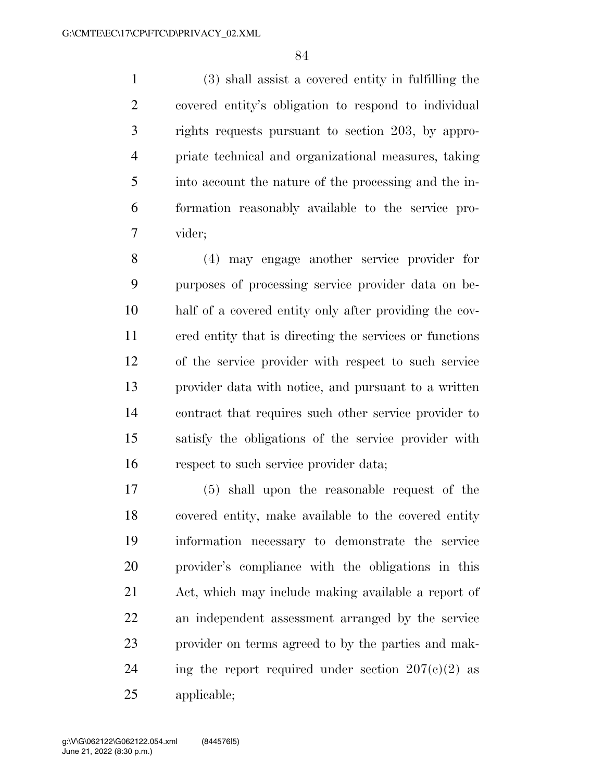(3) shall assist a covered entity in fulfilling the covered entity's obligation to respond to individual rights requests pursuant to section 203, by appro- priate technical and organizational measures, taking into account the nature of the processing and the in- formation reasonably available to the service pro-vider;

 (4) may engage another service provider for purposes of processing service provider data on be- half of a covered entity only after providing the cov- ered entity that is directing the services or functions of the service provider with respect to such service provider data with notice, and pursuant to a written contract that requires such other service provider to satisfy the obligations of the service provider with respect to such service provider data;

 (5) shall upon the reasonable request of the covered entity, make available to the covered entity information necessary to demonstrate the service provider's compliance with the obligations in this Act, which may include making available a report of an independent assessment arranged by the service provider on terms agreed to by the parties and mak-24 ing the report required under section  $207(c)(2)$  as applicable;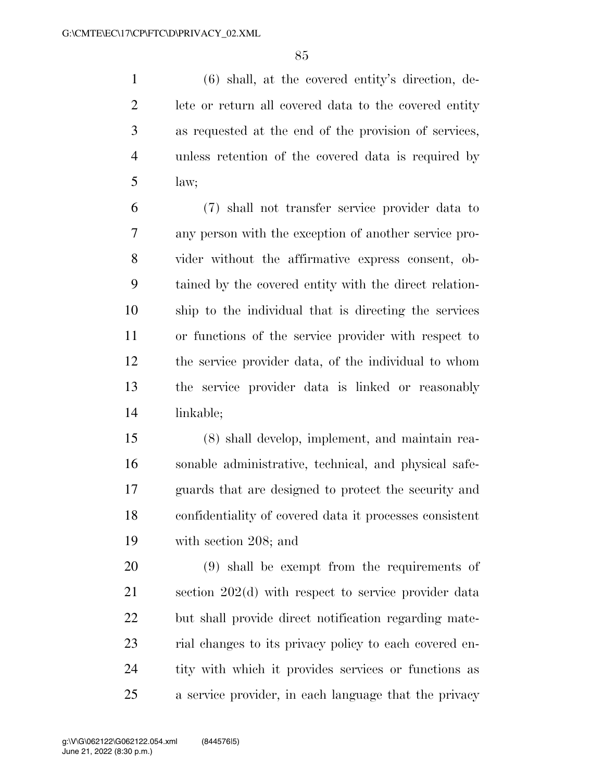(6) shall, at the covered entity's direction, de- lete or return all covered data to the covered entity as requested at the end of the provision of services, unless retention of the covered data is required by law;

 (7) shall not transfer service provider data to any person with the exception of another service pro- vider without the affirmative express consent, ob- tained by the covered entity with the direct relation- ship to the individual that is directing the services or functions of the service provider with respect to the service provider data, of the individual to whom the service provider data is linked or reasonably linkable;

 (8) shall develop, implement, and maintain rea- sonable administrative, technical, and physical safe- guards that are designed to protect the security and confidentiality of covered data it processes consistent with section 208; and

 (9) shall be exempt from the requirements of section 202(d) with respect to service provider data but shall provide direct notification regarding mate-23 rial changes to its privacy policy to each covered en- tity with which it provides services or functions as a service provider, in each language that the privacy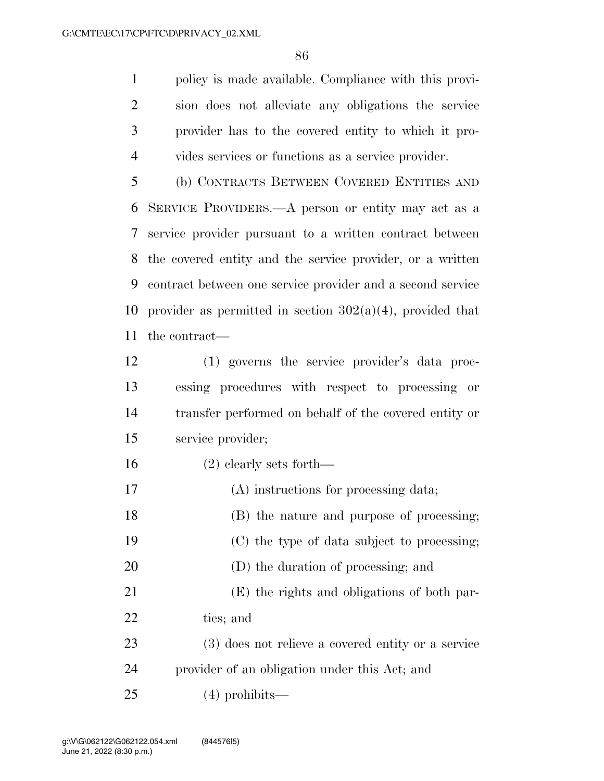policy is made available. Compliance with this provi- sion does not alleviate any obligations the service provider has to the covered entity to which it pro-vides services or functions as a service provider.

 (b) CONTRACTS BETWEEN COVERED ENTITIES AND SERVICE PROVIDERS.—A person or entity may act as a service provider pursuant to a written contract between the covered entity and the service provider, or a written contract between one service provider and a second service 10 provider as permitted in section  $302(a)(4)$ , provided that the contract—

- (1) governs the service provider's data proc- essing procedures with respect to processing or transfer performed on behalf of the covered entity or service provider;
- (2) clearly sets forth—
- (A) instructions for processing data;
- (B) the nature and purpose of processing;
- (C) the type of data subject to processing;
- (D) the duration of processing; and
- (E) the rights and obligations of both par-ties; and
- (3) does not relieve a covered entity or a service provider of an obligation under this Act; and
- (4) prohibits—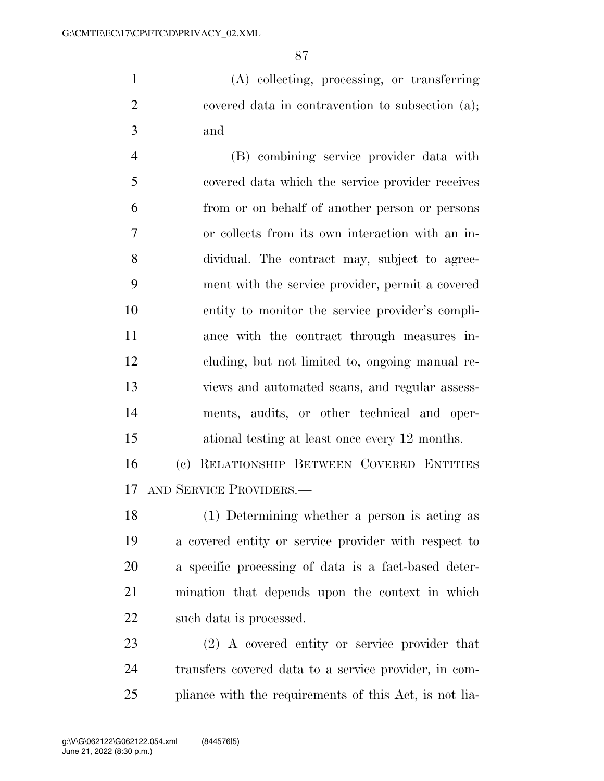(A) collecting, processing, or transferring covered data in contravention to subsection (a); and

 (B) combining service provider data with covered data which the service provider receives from or on behalf of another person or persons or collects from its own interaction with an in- dividual. The contract may, subject to agree- ment with the service provider, permit a covered entity to monitor the service provider's compli- ance with the contract through measures in- cluding, but not limited to, ongoing manual re- views and automated scans, and regular assess- ments, audits, or other technical and oper-ational testing at least once every 12 months.

 (c) RELATIONSHIP BETWEEN COVERED ENTITIES AND SERVICE PROVIDERS.—

 (1) Determining whether a person is acting as a covered entity or service provider with respect to a specific processing of data is a fact-based deter- mination that depends upon the context in which such data is processed.

 (2) A covered entity or service provider that transfers covered data to a service provider, in com-pliance with the requirements of this Act, is not lia-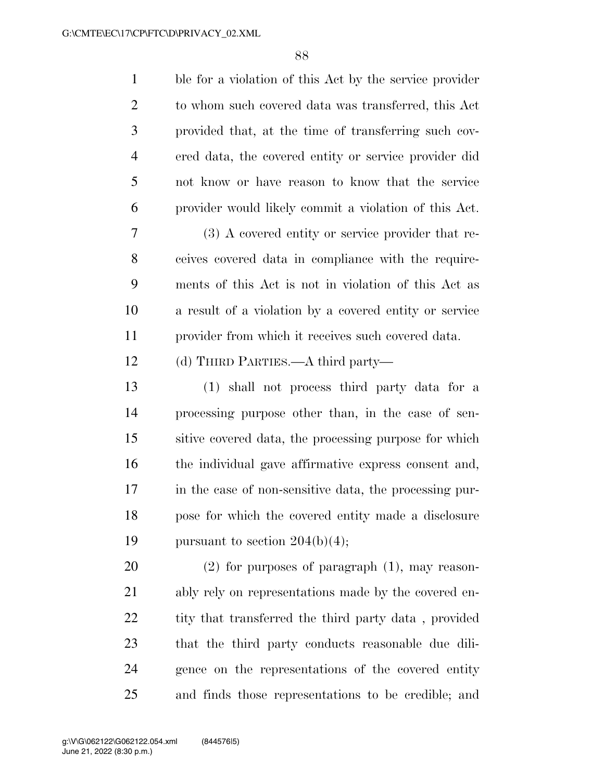| $\mathbf{1}$   | ble for a violation of this Act by the service provider |
|----------------|---------------------------------------------------------|
| $\overline{2}$ | to whom such covered data was transferred, this Act     |
| 3              | provided that, at the time of transferring such cov-    |
| $\overline{4}$ | ered data, the covered entity or service provider did   |
| 5              | not know or have reason to know that the service        |
| 6              | provider would likely commit a violation of this Act.   |
| 7              | (3) A covered entity or service provider that re-       |
| 8              | ceives covered data in compliance with the require-     |
| 9              | ments of this Act is not in violation of this Act as    |
| 10             | a result of a violation by a covered entity or service  |
| 11             | provider from which it receives such covered data.      |
| 12             | (d) THIRD PARTIES.—A third party—                       |
| 13             | (1) shall not process third party data for a            |
| 14             | processing purpose other than, in the case of sen-      |
| 15             | sitive covered data, the processing purpose for which   |
| 16             | the individual gave affirmative express consent and,    |
| 17             | in the case of non-sensitive data, the processing pur-  |
| 18             | pose for which the covered entity made a disclosure     |
| 19             | pursuant to section $204(b)(4)$ ;                       |
| 20             | $(2)$ for purposes of paragraph $(1)$ , may reason-     |
| 21             | ably rely on representations made by the covered en-    |
| 22             | tity that transferred the third party data, provided    |
| 23             | that the third party conducts reasonable due dili-      |
| 24             | gence on the representations of the covered entity      |
| 25             | and finds those representations to be credible; and     |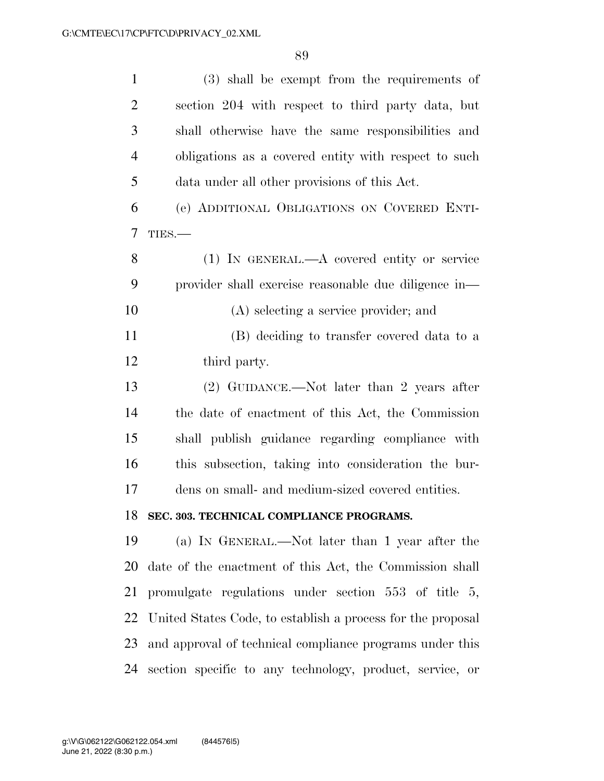| $\mathbf{1}$   | (3) shall be exempt from the requirements of                |
|----------------|-------------------------------------------------------------|
| $\overline{2}$ | section 204 with respect to third party data, but           |
| 3              | shall otherwise have the same responsibilities and          |
| $\overline{4}$ | obligations as a covered entity with respect to such        |
| 5              | data under all other provisions of this Act.                |
| 6              | (e) ADDITIONAL OBLIGATIONS ON COVERED ENTI-                 |
| $\overline{7}$ | TIES.                                                       |
| 8              | $(1)$ IN GENERAL.—A covered entity or service               |
| 9              | provider shall exercise reasonable due diligence in-        |
| 10             | (A) selecting a service provider; and                       |
| 11             | (B) deciding to transfer covered data to a                  |
| 12             | third party.                                                |
| 13             | (2) GUIDANCE.—Not later than 2 years after                  |
| 14             | the date of enactment of this Act, the Commission           |
| 15             | shall publish guidance regarding compliance with            |
| 16             | this subsection, taking into consideration the bur-         |
| 17             | dens on small- and medium-sized covered entities.           |
|                | 18 SEC. 303. TECHNICAL COMPLIANCE PROGRAMS.                 |
| 19             | (a) IN GENERAL.—Not later than 1 year after the             |
| 20             | date of the enactment of this Act, the Commission shall     |
| 21             | promulgate regulations under section 553 of title 5,        |
| 22             | United States Code, to establish a process for the proposal |
| 23             | and approval of technical compliance programs under this    |
| 24             | section specific to any technology, product, service, or    |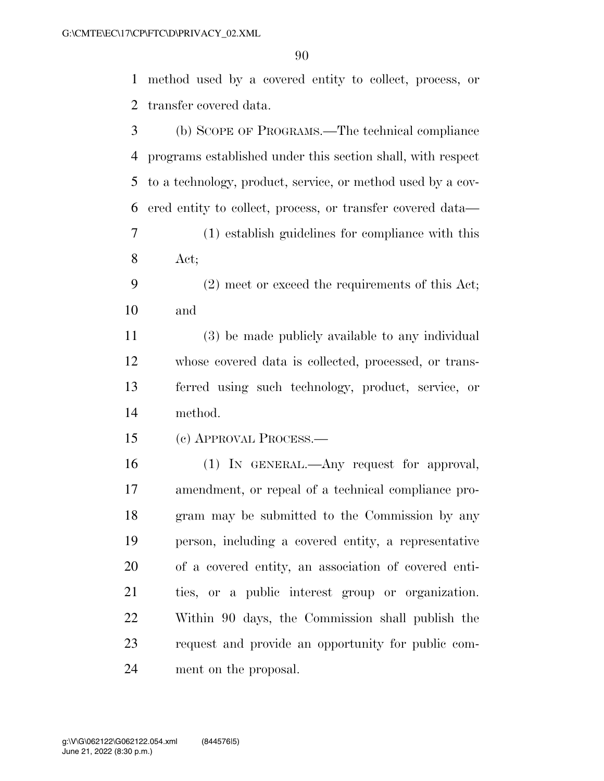method used by a covered entity to collect, process, or transfer covered data.

 (b) SCOPE OF PROGRAMS.—The technical compliance programs established under this section shall, with respect to a technology, product, service, or method used by a cov- ered entity to collect, process, or transfer covered data— (1) establish guidelines for compliance with this Act; (2) meet or exceed the requirements of this Act; and (3) be made publicly available to any individual whose covered data is collected, processed, or trans- ferred using such technology, product, service, or method. (c) APPROVAL PROCESS.— (1) IN GENERAL.—Any request for approval, amendment, or repeal of a technical compliance pro- gram may be submitted to the Commission by any person, including a covered entity, a representative of a covered entity, an association of covered enti- ties, or a public interest group or organization. Within 90 days, the Commission shall publish the request and provide an opportunity for public com-ment on the proposal.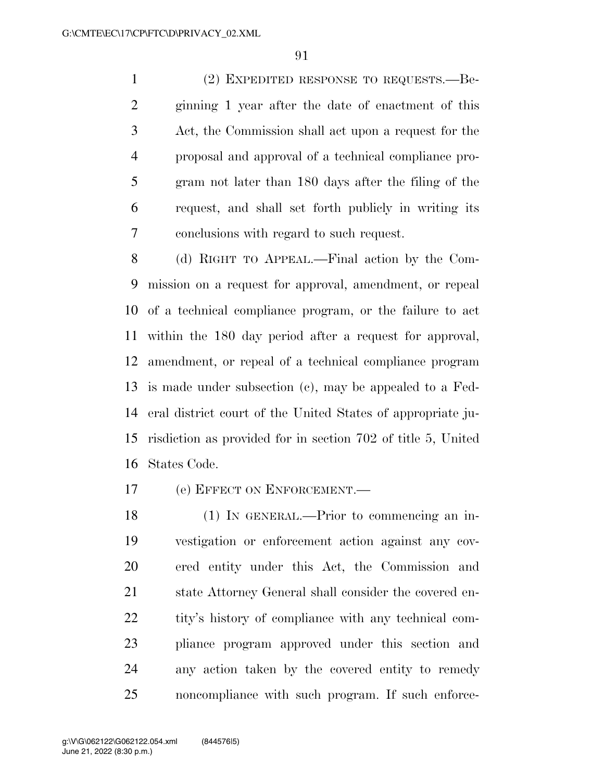(2) EXPEDITED RESPONSE TO REQUESTS.—Be- ginning 1 year after the date of enactment of this Act, the Commission shall act upon a request for the proposal and approval of a technical compliance pro- gram not later than 180 days after the filing of the request, and shall set forth publicly in writing its conclusions with regard to such request.

 (d) RIGHT TO APPEAL.—Final action by the Com- mission on a request for approval, amendment, or repeal of a technical compliance program, or the failure to act within the 180 day period after a request for approval, amendment, or repeal of a technical compliance program is made under subsection (c), may be appealed to a Fed- eral district court of the United States of appropriate ju- risdiction as provided for in section 702 of title 5, United States Code.

(e) EFFECT ON ENFORCEMENT.—

 (1) IN GENERAL.—Prior to commencing an in- vestigation or enforcement action against any cov- ered entity under this Act, the Commission and state Attorney General shall consider the covered en- tity's history of compliance with any technical com- pliance program approved under this section and any action taken by the covered entity to remedy noncompliance with such program. If such enforce-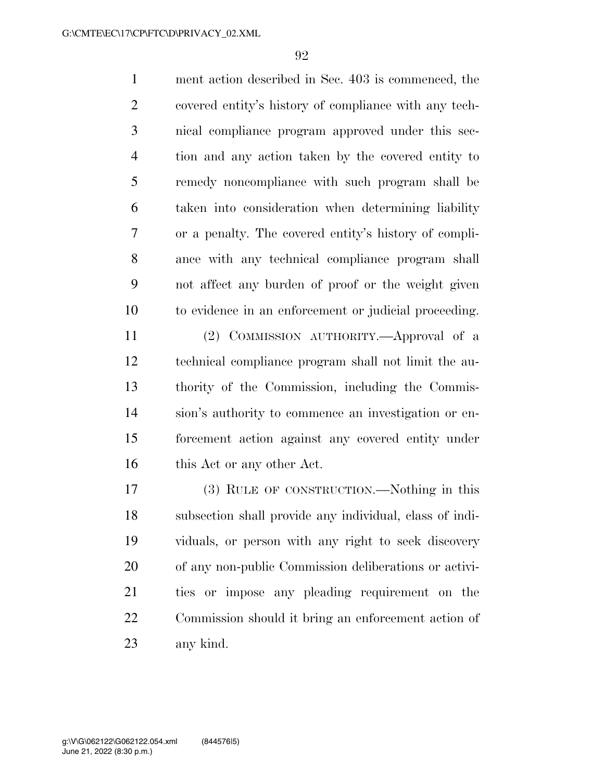ment action described in Sec. 403 is commenced, the covered entity's history of compliance with any tech- nical compliance program approved under this sec- tion and any action taken by the covered entity to remedy noncompliance with such program shall be taken into consideration when determining liability or a penalty. The covered entity's history of compli- ance with any technical compliance program shall not affect any burden of proof or the weight given to evidence in an enforcement or judicial proceeding.

 (2) COMMISSION AUTHORITY.—Approval of a technical compliance program shall not limit the au- thority of the Commission, including the Commis- sion's authority to commence an investigation or en- forcement action against any covered entity under 16 this Act or any other Act.

 (3) RULE OF CONSTRUCTION.—Nothing in this subsection shall provide any individual, class of indi- viduals, or person with any right to seek discovery of any non-public Commission deliberations or activi- ties or impose any pleading requirement on the Commission should it bring an enforcement action of any kind.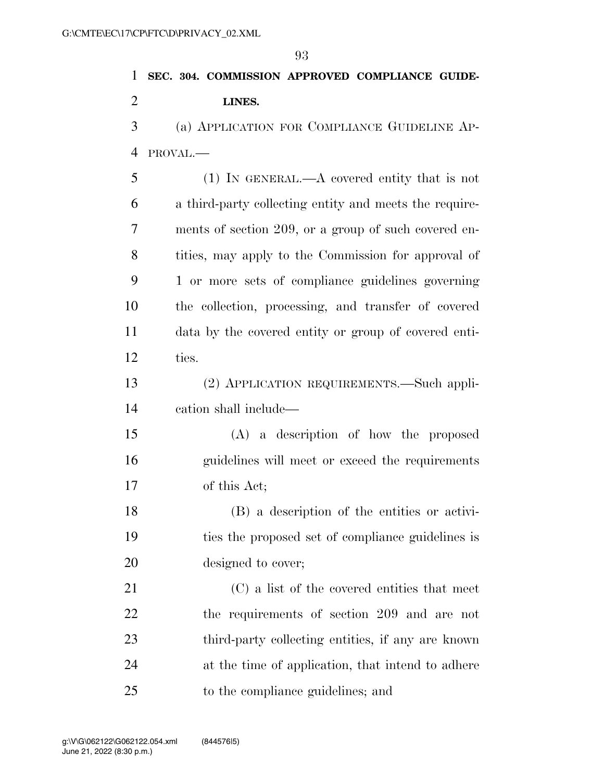|                | 93                                                     |
|----------------|--------------------------------------------------------|
| 1              | SEC. 304. COMMISSION APPROVED COMPLIANCE GUIDE-        |
| $\overline{2}$ | LINES.                                                 |
| 3              | (a) APPLICATION FOR COMPLIANCE GUIDELINE AP-           |
| 4              | PROVAL.-                                               |
| 5              | $(1)$ In GENERAL.—A covered entity that is not         |
| 6              | a third-party collecting entity and meets the require- |
| 7              | ments of section 209, or a group of such covered en-   |
| 8              | tities, may apply to the Commission for approval of    |
| 9              | 1 or more sets of compliance guidelines governing      |
| 10             | the collection, processing, and transfer of covered    |
| 11             | data by the covered entity or group of covered enti-   |
| 12             | ties.                                                  |
| 13             | (2) APPLICATION REQUIREMENTS.—Such appli-              |
| 14             | cation shall include—                                  |
| 15             | (A) a description of how the proposed                  |
| 16             | guidelines will meet or exceed the requirements        |
| 17             | of this Act;                                           |
| 18             | (B) a description of the entities or activi-           |
| 19             | ties the proposed set of compliance guidelines is      |
| 20             | designed to cover;                                     |
| 21             | (C) a list of the covered entities that meet           |
| 22             | the requirements of section 209 and are not            |
| 23             | third-party collecting entities, if any are known      |
| 24             | at the time of application, that intend to adhere      |

to the compliance guidelines; and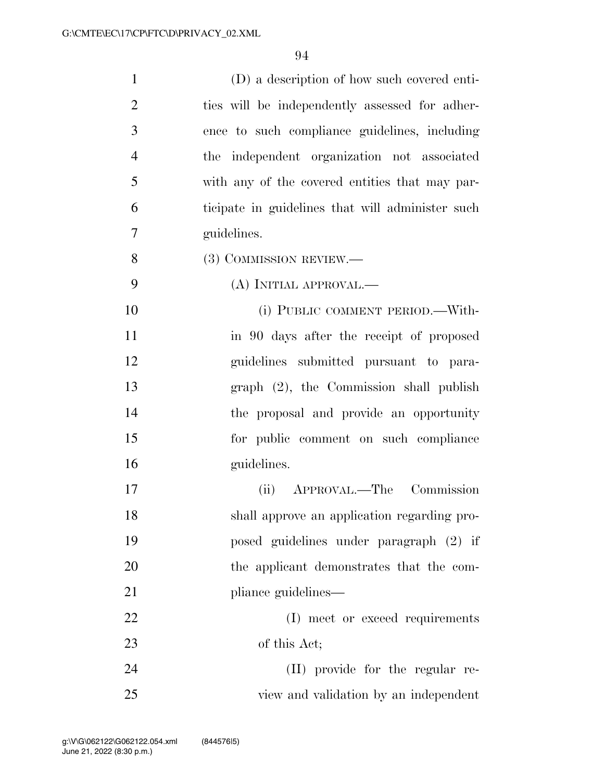| $\mathbf{1}$   | (D) a description of how such covered enti-      |
|----------------|--------------------------------------------------|
| $\overline{2}$ | ties will be independently assessed for adher-   |
| 3              | ence to such compliance guidelines, including    |
| $\overline{4}$ | the independent organization not associated      |
| 5              | with any of the covered entities that may par-   |
| 6              | ticipate in guidelines that will administer such |
| 7              | guidelines.                                      |
| 8              | (3) COMMISSION REVIEW.—                          |
| 9              | (A) INITIAL APPROVAL.—                           |
| 10             | (i) PUBLIC COMMENT PERIOD.—With-                 |
| 11             | in 90 days after the receipt of proposed         |
| 12             | guidelines submitted pursuant to para-           |
| 13             | $graph$ $(2)$ , the Commission shall publish     |
| 14             | the proposal and provide an opportunity          |
| 15             | for public comment on such compliance            |
| 16             | guidelines.                                      |
| 17             | APPROVAL.—The Commission<br>(ii)                 |
| 18             | shall approve an application regarding pro-      |
| 19             | posed guidelines under paragraph (2) if          |
| 20             | the applicant demonstrates that the com-         |
| 21             | pliance guidelines—                              |
| 22             | (I) meet or exceed requirements                  |
| 23             | of this Act;                                     |
| 24             | (II) provide for the regular re-                 |
| 25             | view and validation by an independent            |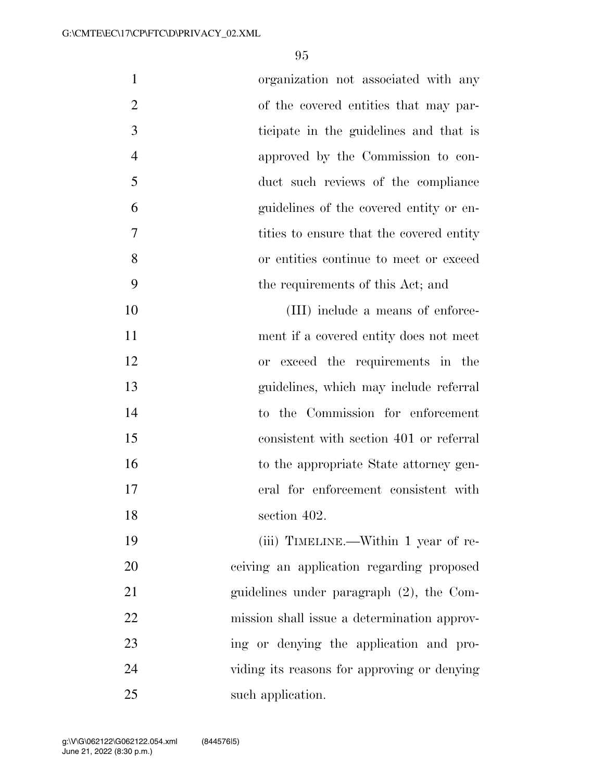| $\mathbf{1}$   | organization not associated with any        |
|----------------|---------------------------------------------|
| $\overline{2}$ | of the covered entities that may par-       |
| 3              | ticipate in the guidelines and that is      |
| $\overline{4}$ | approved by the Commission to con-          |
| 5              | duct such reviews of the compliance         |
| 6              | guidelines of the covered entity or en-     |
| 7              | tities to ensure that the covered entity    |
| 8              | or entities continue to meet or exceed      |
| 9              | the requirements of this Act; and           |
| 10             | (III) include a means of enforce-           |
| 11             | ment if a covered entity does not meet      |
| 12             | or exceed the requirements in the           |
| 13             | guidelines, which may include referral      |
| 14             | to the Commission for enforcement           |
| 15             | consistent with section 401 or referral     |
| 16             | to the appropriate State attorney gen-      |
| 17             | eral for enforcement consistent with        |
| 18             | section 402.                                |
| 19             | (iii) TIMELINE.—Within 1 year of re-        |
| 20             | ceiving an application regarding proposed   |
| 21             | guidelines under paragraph $(2)$ , the Com- |
| 22             | mission shall issue a determination approv- |
| 23             | ing or denying the application and pro-     |
| 24             | viding its reasons for approving or denying |
| 25             | such application.                           |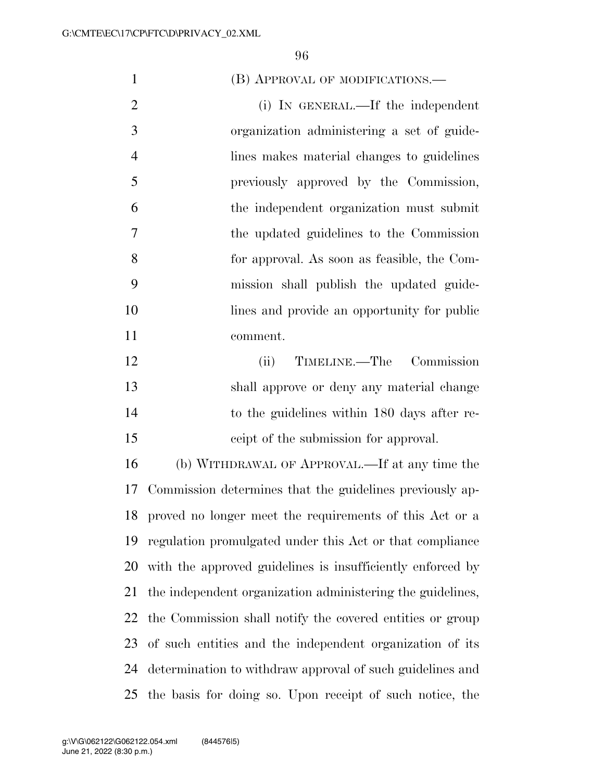| $\mathbf{1}$   | (B) APPROVAL OF MODIFICATIONS.—                            |
|----------------|------------------------------------------------------------|
| $\overline{2}$ | (i) IN GENERAL.—If the independent                         |
| 3              | organization administering a set of guide-                 |
| $\overline{4}$ | lines makes material changes to guidelines                 |
| 5              | previously approved by the Commission,                     |
| 6              | the independent organization must submit                   |
| 7              | the updated guidelines to the Commission                   |
| 8              | for approval. As soon as feasible, the Com-                |
| 9              | mission shall publish the updated guide-                   |
| 10             | lines and provide an opportunity for public                |
| 11             | comment.                                                   |
| 12             | TIMELINE.—The Commission<br>(ii)                           |
| 13             | shall approve or deny any material change                  |
| 14             | to the guidelines within 180 days after re-                |
| 15             | ceipt of the submission for approval.                      |
| 16             | (b) WITHDRAWAL OF APPROVAL.—If at any time the             |
| 17             | Commission determines that the guidelines previously ap-   |
| 18             | proved no longer meet the requirements of this Act or a    |
| 19             | regulation promulgated under this Act or that compliance   |
| 20             | with the approved guidelines is insufficiently enforced by |
| 21             | the independent organization administering the guidelines, |
| 22             | the Commission shall notify the covered entities or group  |
| 23             | of such entities and the independent organization of its   |
| 24             | determination to withdraw approval of such guidelines and  |
| 25             | the basis for doing so. Upon receipt of such notice, the   |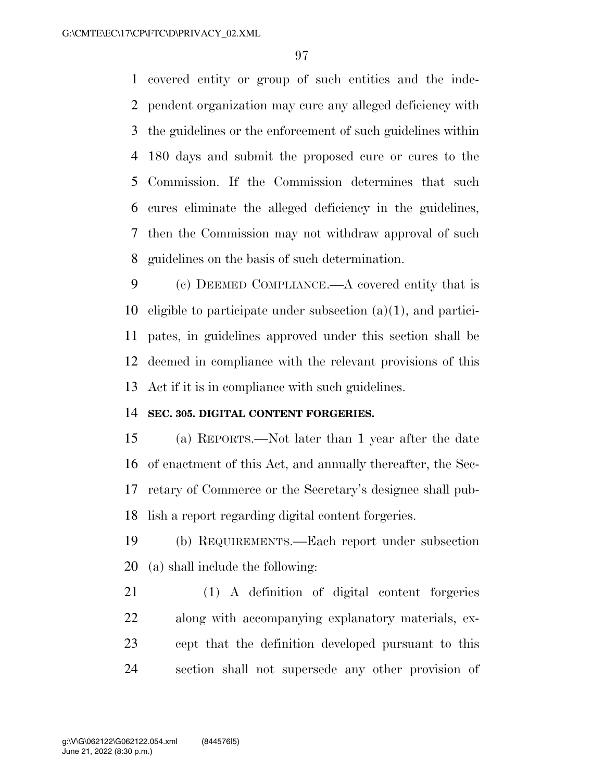covered entity or group of such entities and the inde- pendent organization may cure any alleged deficiency with the guidelines or the enforcement of such guidelines within 180 days and submit the proposed cure or cures to the Commission. If the Commission determines that such cures eliminate the alleged deficiency in the guidelines, then the Commission may not withdraw approval of such guidelines on the basis of such determination.

 (c) DEEMED COMPLIANCE.—A covered entity that is eligible to participate under subsection (a)(1), and partici- pates, in guidelines approved under this section shall be deemed in compliance with the relevant provisions of this Act if it is in compliance with such guidelines.

### **SEC. 305. DIGITAL CONTENT FORGERIES.**

 (a) REPORTS.—Not later than 1 year after the date of enactment of this Act, and annually thereafter, the Sec- retary of Commerce or the Secretary's designee shall pub-lish a report regarding digital content forgeries.

 (b) REQUIREMENTS.—Each report under subsection (a) shall include the following:

 (1) A definition of digital content forgeries along with accompanying explanatory materials, ex- cept that the definition developed pursuant to this section shall not supersede any other provision of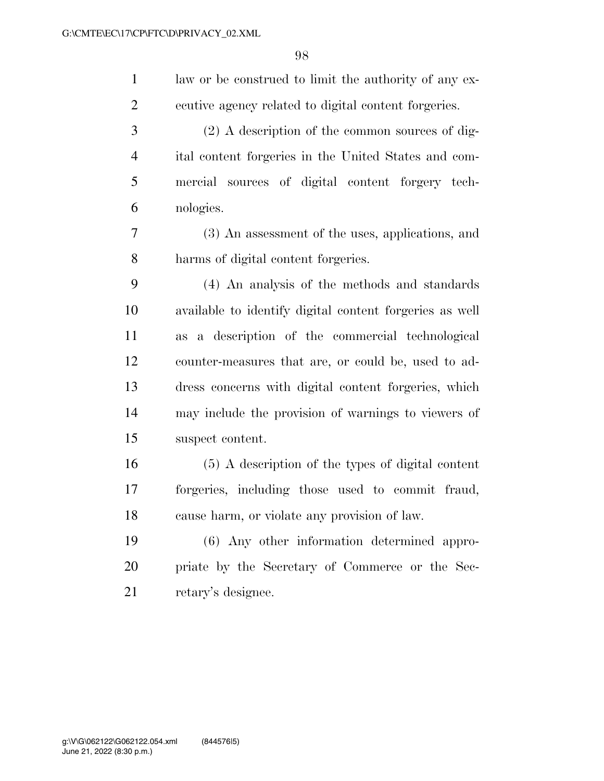law or be construed to limit the authority of any ex- ecutive agency related to digital content forgeries. (2) A description of the common sources of dig- ital content forgeries in the United States and com- mercial sources of digital content forgery tech- nologies. (3) An assessment of the uses, applications, and harms of digital content forgeries. (4) An analysis of the methods and standards available to identify digital content forgeries as well as a description of the commercial technological counter-measures that are, or could be, used to ad- dress concerns with digital content forgeries, which may include the provision of warnings to viewers of suspect content. (5) A description of the types of digital content forgeries, including those used to commit fraud, cause harm, or violate any provision of law. (6) Any other information determined appro- priate by the Secretary of Commerce or the Sec-retary's designee.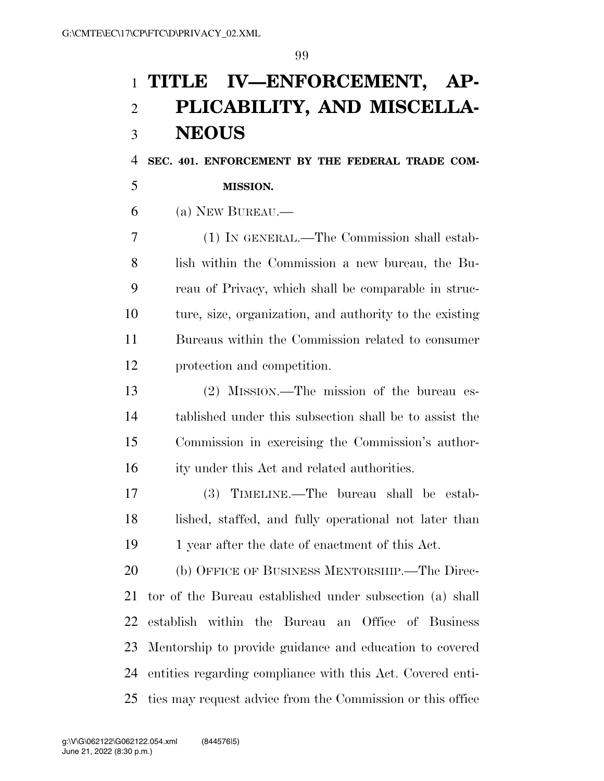# **TITLE IV—ENFORCEMENT, AP- PLICABILITY, AND MISCELLA-NEOUS**

**SEC. 401. ENFORCEMENT BY THE FEDERAL TRADE COM-**

### **MISSION.**

(a) NEW BUREAU.—

 (1) IN GENERAL.—The Commission shall estab- lish within the Commission a new bureau, the Bu- reau of Privacy, which shall be comparable in struc- ture, size, organization, and authority to the existing Bureaus within the Commission related to consumer protection and competition.

 (2) MISSION.—The mission of the bureau es- tablished under this subsection shall be to assist the Commission in exercising the Commission's author-16 ity under this Act and related authorities.

 (3) TIMELINE.—The bureau shall be estab- lished, staffed, and fully operational not later than 19 1 year after the date of enactment of this Act.

 (b) OFFICE OF BUSINESS MENTORSHIP.—The Direc- tor of the Bureau established under subsection (a) shall establish within the Bureau an Office of Business Mentorship to provide guidance and education to covered entities regarding compliance with this Act. Covered enti-ties may request advice from the Commission or this office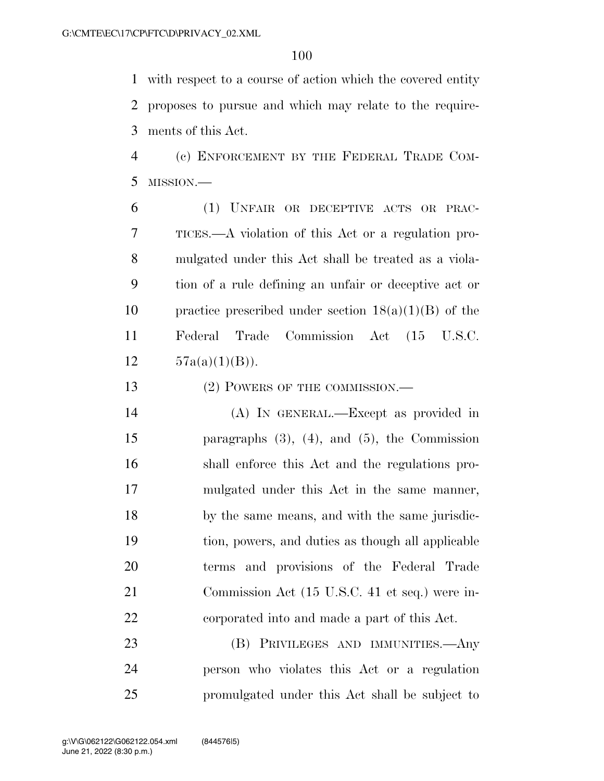with respect to a course of action which the covered entity proposes to pursue and which may relate to the require-ments of this Act.

 (c) ENFORCEMENT BY THE FEDERAL TRADE COM-MISSION.—

 (1) UNFAIR OR DECEPTIVE ACTS OR PRAC- TICES.—A violation of this Act or a regulation pro- mulgated under this Act shall be treated as a viola- tion of a rule defining an unfair or deceptive act or 10 practice prescribed under section  $18(a)(1)(B)$  of the Federal Trade Commission Act (15 U.S.C.  $57a(a)(1)(B)$ .

13 (2) POWERS OF THE COMMISSION.—

 (A) IN GENERAL.—Except as provided in paragraphs (3), (4), and (5), the Commission shall enforce this Act and the regulations pro- mulgated under this Act in the same manner, by the same means, and with the same jurisdic- tion, powers, and duties as though all applicable terms and provisions of the Federal Trade Commission Act (15 U.S.C. 41 et seq.) were in-corporated into and made a part of this Act.

 (B) PRIVILEGES AND IMMUNITIES.—Any person who violates this Act or a regulation promulgated under this Act shall be subject to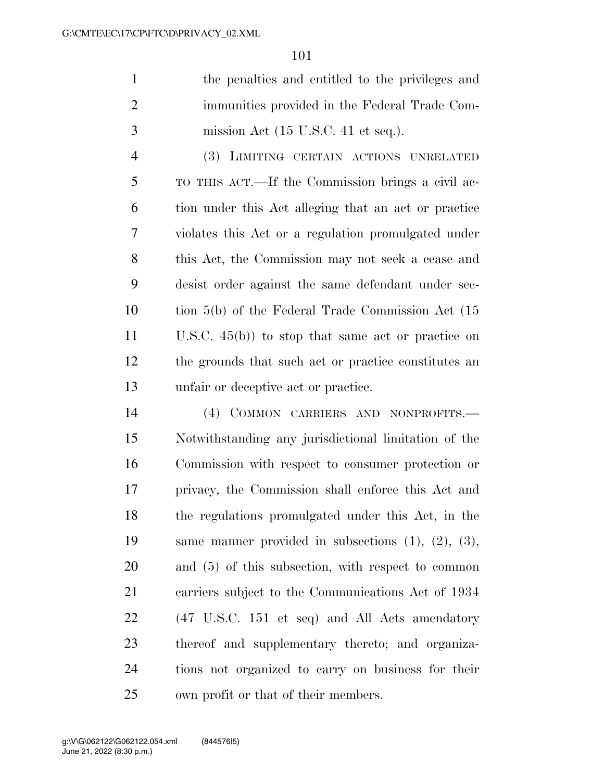| -1 | the penalties and entitled to the privileges and       |
|----|--------------------------------------------------------|
|    | immunities provided in the Federal Trade Com-          |
| 3  | mission Act $(15 \text{ U.S.C. } 41 \text{ et seq.}).$ |

 (3) LIMITING CERTAIN ACTIONS UNRELATED TO THIS ACT.—If the Commission brings a civil ac- tion under this Act alleging that an act or practice violates this Act or a regulation promulgated under this Act, the Commission may not seek a cease and desist order against the same defendant under sec- tion 5(b) of the Federal Trade Commission Act (15 U.S.C. 45(b)) to stop that same act or practice on the grounds that such act or practice constitutes an unfair or deceptive act or practice.

 (4) COMMON CARRIERS AND NONPROFITS.— Notwithstanding any jurisdictional limitation of the Commission with respect to consumer protection or privacy, the Commission shall enforce this Act and the regulations promulgated under this Act, in the same manner provided in subsections (1), (2), (3), and (5) of this subsection, with respect to common carriers subject to the Communications Act of 1934 (47 U.S.C. 151 et seq) and All Acts amendatory thereof and supplementary thereto; and organiza- tions not organized to carry on business for their own profit or that of their members.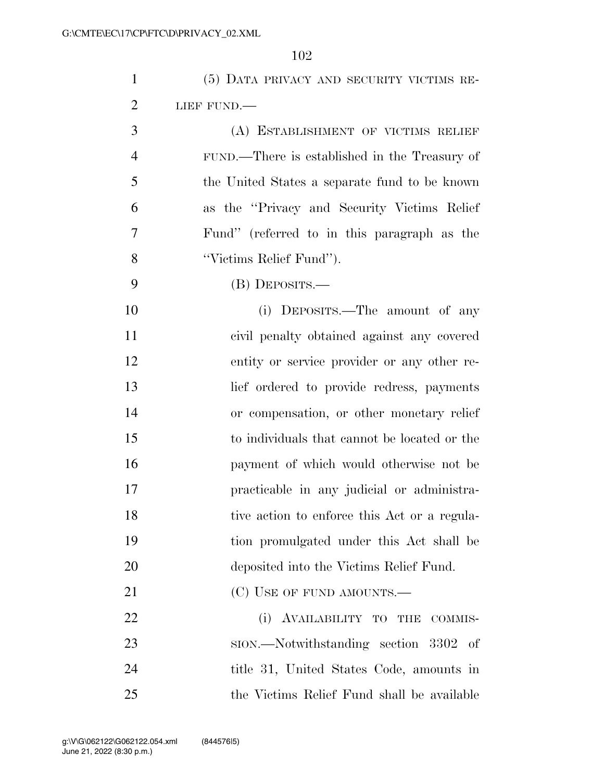| $\mathbf{1}$   | (5) DATA PRIVACY AND SECURITY VICTIMS RE-     |
|----------------|-----------------------------------------------|
| $\overline{2}$ | LIEF FUND.                                    |
| 3              | (A) ESTABLISHMENT OF VICTIMS RELIEF           |
| $\overline{4}$ | FUND.—There is established in the Treasury of |
| 5              | the United States a separate fund to be known |
| 6              | as the "Privacy and Security Victims Relief"  |
| 7              | Fund" (referred to in this paragraph as the   |
| 8              | "Victims Relief Fund").                       |
| 9              | (B) DEPOSITS.—                                |
| 10             | (i) DEPOSITS.—The amount of any               |
| 11             | civil penalty obtained against any covered    |
| 12             | entity or service provider or any other re-   |
| 13             | lief ordered to provide redress, payments     |
| 14             | or compensation, or other monetary relief     |
| 15             | to individuals that cannot be located or the  |
| 16             | payment of which would otherwise not be       |
| 17             | practicable in any judicial or administra-    |
| 18             | tive action to enforce this Act or a regula-  |
| 19             | tion promulgated under this Act shall be      |
| 20             | deposited into the Victims Relief Fund.       |
| 21             | (C) USE OF FUND AMOUNTS.—                     |
| 22             | (i) AVAILABILITY TO THE<br>COMMIS-            |
| 23             | sion.—Notwithstanding section 3302 of         |
| 24             | title 31, United States Code, amounts in      |
| 25             | the Victims Relief Fund shall be available    |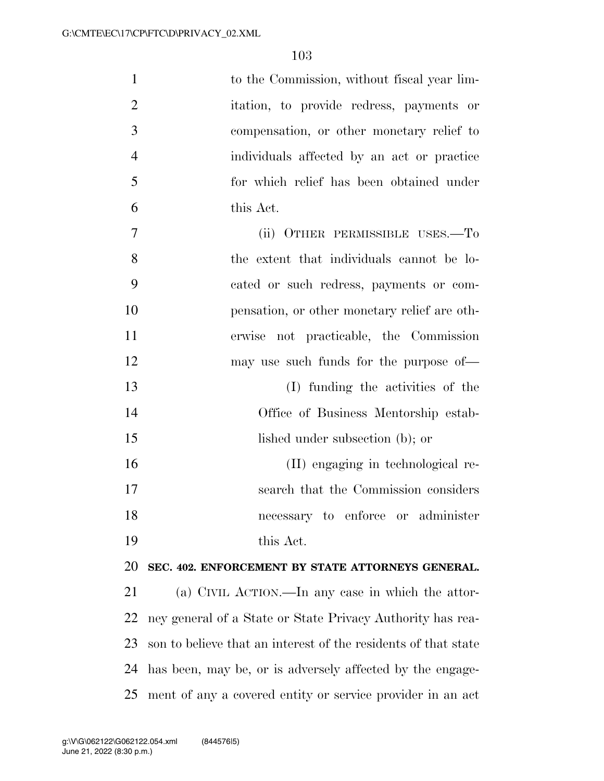| $\mathbf{1}$   | to the Commission, without fiscal year lim-                    |
|----------------|----------------------------------------------------------------|
| $\overline{2}$ | itation, to provide redress, payments or                       |
| 3              | compensation, or other monetary relief to                      |
| $\overline{4}$ | individuals affected by an act or practice                     |
| 5              | for which relief has been obtained under                       |
| 6              | this Act.                                                      |
| 7              | (ii) OTHER PERMISSIBLE USES.—To                                |
| 8              | the extent that individuals cannot be lo-                      |
| 9              | cated or such redress, payments or com-                        |
| 10             | pensation, or other monetary relief are oth-                   |
| 11             | erwise not practicable, the Commission                         |
| 12             | may use such funds for the purpose of—                         |
| 13             | (I) funding the activities of the                              |
| 14             | Office of Business Mentorship estab-                           |
| 15             | lished under subsection (b); or                                |
| 16             | (II) engaging in technological re-                             |
| 17             | search that the Commission considers                           |
| 18             | necessary to enforce or administer                             |
| 19             | this Act.                                                      |
| 20             | SEC. 402. ENFORCEMENT BY STATE ATTORNEYS GENERAL.              |
| 21             | (a) CIVIL ACTION.—In any case in which the attor-              |
| 22             | ney general of a State or State Privacy Authority has rea-     |
| 23             | son to believe that an interest of the residents of that state |
| 24             | has been, may be, or is adversely affected by the engage-      |
| 25             | ment of any a covered entity or service provider in an act     |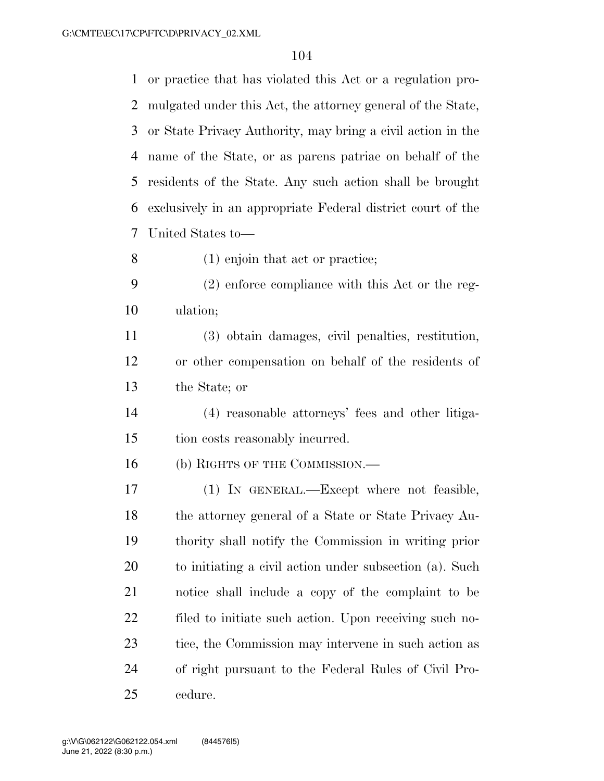or practice that has violated this Act or a regulation pro- mulgated under this Act, the attorney general of the State, or State Privacy Authority, may bring a civil action in the name of the State, or as parens patriae on behalf of the residents of the State. Any such action shall be brought exclusively in an appropriate Federal district court of the United States to— (1) enjoin that act or practice;

 (2) enforce compliance with this Act or the reg-ulation;

 (3) obtain damages, civil penalties, restitution, or other compensation on behalf of the residents of the State; or

 (4) reasonable attorneys' fees and other litiga-tion costs reasonably incurred.

16 (b) RIGHTS OF THE COMMISSION.—

 (1) IN GENERAL.—Except where not feasible, the attorney general of a State or State Privacy Au- thority shall notify the Commission in writing prior to initiating a civil action under subsection (a). Such notice shall include a copy of the complaint to be filed to initiate such action. Upon receiving such no-23 tice, the Commission may intervene in such action as of right pursuant to the Federal Rules of Civil Pro-cedure.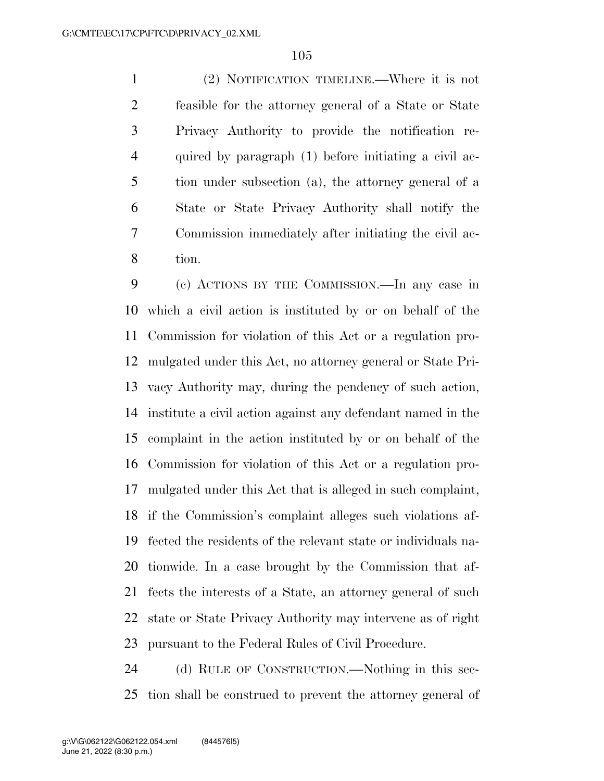(2) NOTIFICATION TIMELINE.—Where it is not feasible for the attorney general of a State or State Privacy Authority to provide the notification re- quired by paragraph (1) before initiating a civil ac- tion under subsection (a), the attorney general of a State or State Privacy Authority shall notify the Commission immediately after initiating the civil ac-tion.

 (c) ACTIONS BY THE COMMISSION.—In any case in which a civil action is instituted by or on behalf of the Commission for violation of this Act or a regulation pro- mulgated under this Act, no attorney general or State Pri- vacy Authority may, during the pendency of such action, institute a civil action against any defendant named in the complaint in the action instituted by or on behalf of the Commission for violation of this Act or a regulation pro- mulgated under this Act that is alleged in such complaint, if the Commission's complaint alleges such violations af- fected the residents of the relevant state or individuals na- tionwide. In a case brought by the Commission that af- fects the interests of a State, an attorney general of such state or State Privacy Authority may intervene as of right pursuant to the Federal Rules of Civil Procedure.

 (d) RULE OF CONSTRUCTION.—Nothing in this sec-tion shall be construed to prevent the attorney general of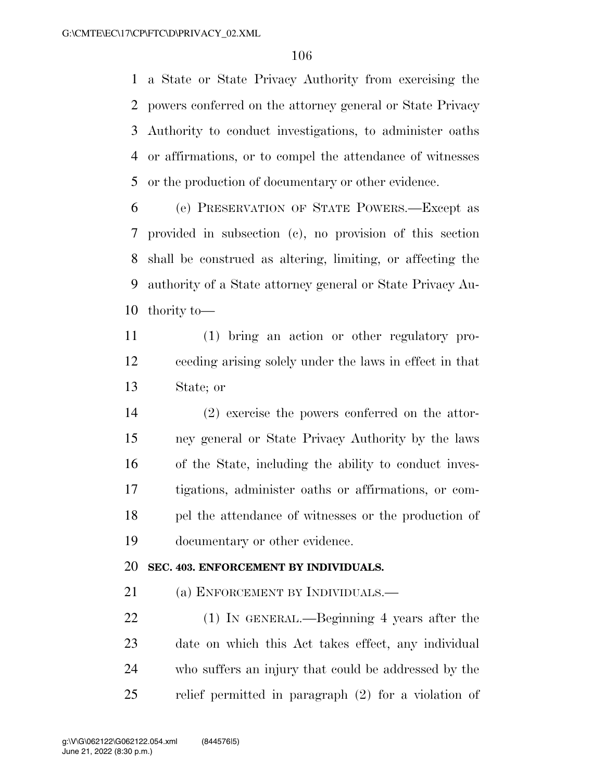a State or State Privacy Authority from exercising the powers conferred on the attorney general or State Privacy Authority to conduct investigations, to administer oaths or affirmations, or to compel the attendance of witnesses or the production of documentary or other evidence.

 (e) PRESERVATION OF STATE POWERS.—Except as provided in subsection (c), no provision of this section shall be construed as altering, limiting, or affecting the authority of a State attorney general or State Privacy Au-thority to—

 (1) bring an action or other regulatory pro- ceeding arising solely under the laws in effect in that State; or

 (2) exercise the powers conferred on the attor- ney general or State Privacy Authority by the laws of the State, including the ability to conduct inves- tigations, administer oaths or affirmations, or com- pel the attendance of witnesses or the production of documentary or other evidence.

## **SEC. 403. ENFORCEMENT BY INDIVIDUALS.**

21 (a) ENFORCEMENT BY INDIVIDUALS.—

 (1) IN GENERAL.—Beginning 4 years after the date on which this Act takes effect, any individual who suffers an injury that could be addressed by the relief permitted in paragraph (2) for a violation of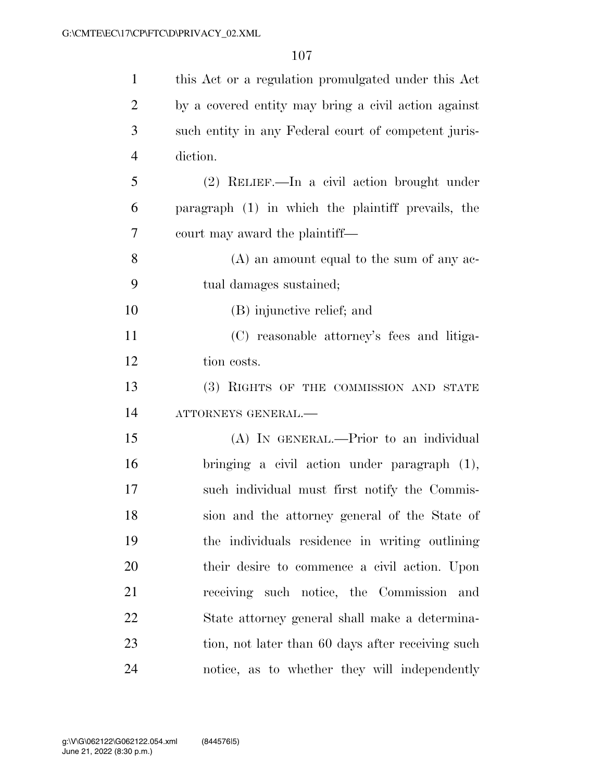| $\mathbf{1}$   | this Act or a regulation promulgated under this Act  |
|----------------|------------------------------------------------------|
| $\overline{2}$ | by a covered entity may bring a civil action against |
| 3              | such entity in any Federal court of competent juris- |
| $\overline{4}$ | diction.                                             |
| 5              | (2) RELIEF.—In a civil action brought under          |
| 6              | paragraph (1) in which the plaintiff prevails, the   |
| 7              | court may award the plaintiff—                       |
| 8              | $(A)$ an amount equal to the sum of any ac-          |
| 9              | tual damages sustained;                              |
| 10             | (B) injunctive relief; and                           |
| 11             | (C) reasonable attorney's fees and litiga-           |
| 12             | tion costs.                                          |
| 13             | (3) RIGHTS OF THE COMMISSION AND STATE               |
| 14             | ATTORNEYS GENERAL.-                                  |
| 15             | (A) IN GENERAL.—Prior to an individual               |
| 16             | bringing a civil action under paragraph (1),         |
| 17             | such individual must first notify the Commis-        |
| 18             | sion and the attorney general of the State of        |
| 19             | the individuals residence in writing outlining       |
| 20             | their desire to commence a civil action. Upon        |
| 21             | receiving such notice, the Commission<br>and         |
| 22             | State attorney general shall make a determina-       |
| 23             | tion, not later than 60 days after receiving such    |
| 24             | notice, as to whether they will independently        |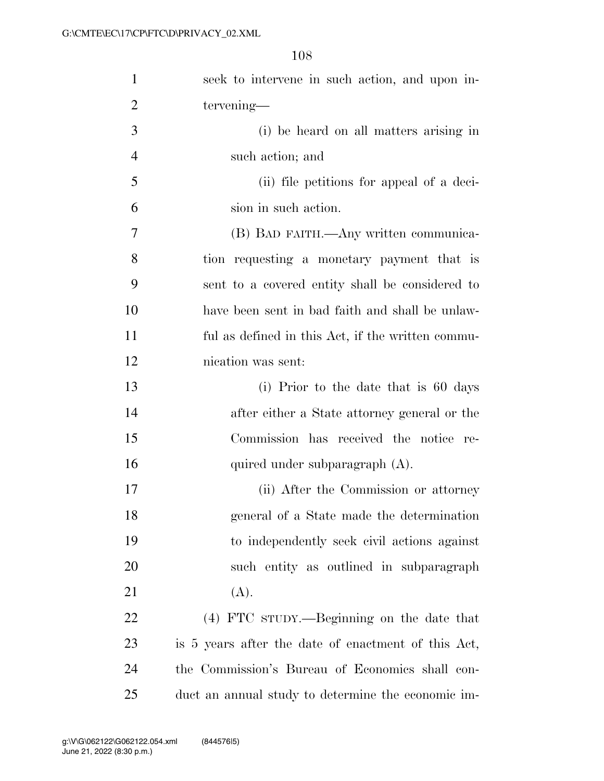| $\mathbf{1}$   | seek to intervene in such action, and upon in-      |
|----------------|-----------------------------------------------------|
| $\overline{2}$ | tervening—                                          |
| 3              | (i) be heard on all matters arising in              |
| $\overline{4}$ | such action; and                                    |
| 5              | (ii) file petitions for appeal of a deci-           |
| 6              | sion in such action.                                |
| $\tau$         | (B) BAD FAITH.—Any written communica-               |
| 8              | tion requesting a monetary payment that is          |
| 9              | sent to a covered entity shall be considered to     |
| 10             | have been sent in bad faith and shall be unlaw-     |
| 11             | ful as defined in this Act, if the written commu-   |
| 12             | nication was sent:                                  |
| 13             | (i) Prior to the date that is 60 days               |
| 14             | after either a State attorney general or the        |
| 15             | Commission has received the notice re-              |
| 16             | quired under subparagraph (A).                      |
| 17             | (ii) After the Commission or attorney               |
| 18             | general of a State made the determination           |
| 19             | to independently seek civil actions against         |
| 20             | such entity as outlined in subparagraph             |
| 21             | (A).                                                |
| 22             | (4) FTC sTUDY.—Beginning on the date that           |
| 23             | is 5 years after the date of enactment of this Act, |
| 24             | the Commission's Bureau of Economics shall con-     |
| 25             | duct an annual study to determine the economic im-  |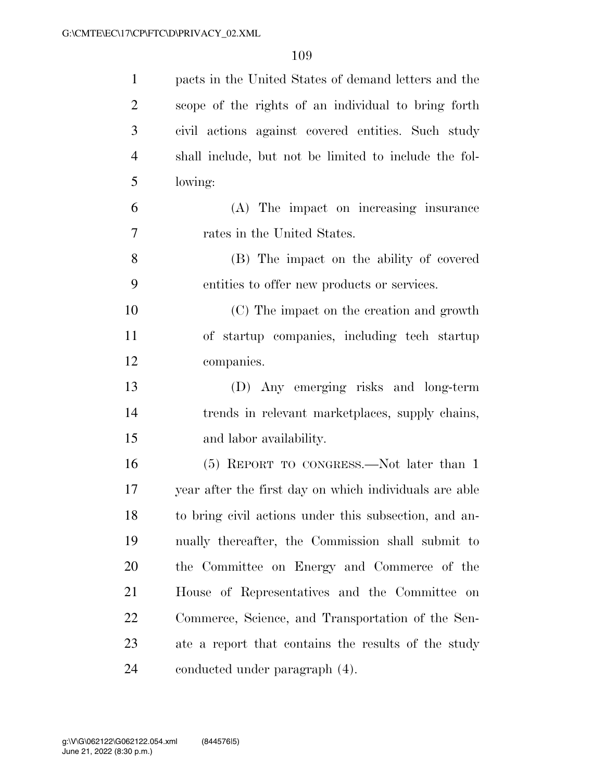| $\mathbf{1}$   | pacts in the United States of demand letters and the   |
|----------------|--------------------------------------------------------|
| $\overline{2}$ | scope of the rights of an individual to bring forth    |
| 3              | civil actions against covered entities. Such study     |
| $\overline{4}$ | shall include, but not be limited to include the fol-  |
| 5              | lowing:                                                |
| 6              | (A) The impact on increasing insurance                 |
| 7              | rates in the United States.                            |
| 8              | (B) The impact on the ability of covered               |
| 9              | entities to offer new products or services.            |
| 10             | (C) The impact on the creation and growth              |
| 11             | of startup companies, including tech startup           |
| 12             | companies.                                             |
| 13             | (D) Any emerging risks and long-term                   |
| 14             | trends in relevant marketplaces, supply chains,        |
| 15             | and labor availability.                                |
| 16             | (5) REPORT TO CONGRESS.—Not later than 1               |
| 17             | year after the first day on which individuals are able |
| 18             | to bring civil actions under this subsection, and an-  |
| 19             | nually thereafter, the Commission shall submit to      |
| 20             | the Committee on Energy and Commerce of the            |
| 21             | House of Representatives and the Committee on          |
| 22             | Commerce, Science, and Transportation of the Sen-      |
| 23             | ate a report that contains the results of the study    |
| 24             | conducted under paragraph (4).                         |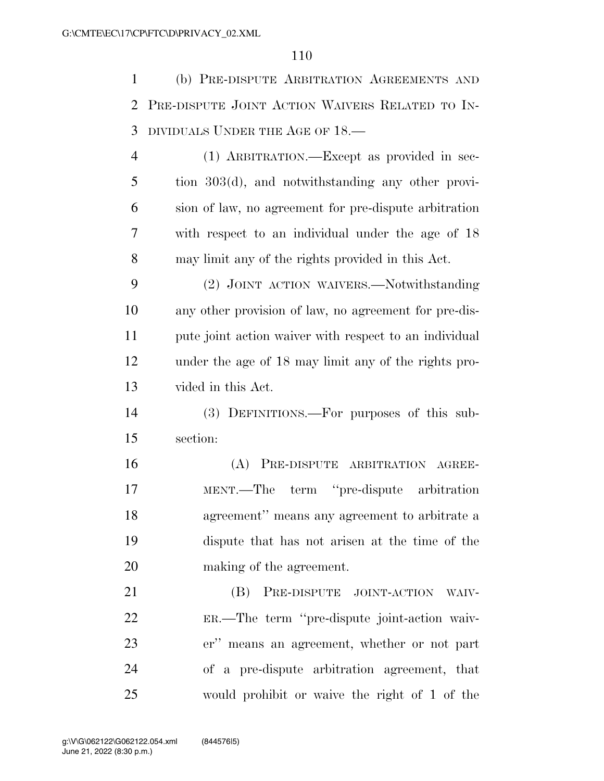(b) PRE-DISPUTE ARBITRATION AGREEMENTS AND PRE-DISPUTE JOINT ACTION WAIVERS RELATED TO IN-DIVIDUALS UNDER THE AGE OF 18.—

 (1) ARBITRATION.—Except as provided in sec- tion 303(d), and notwithstanding any other provi- sion of law, no agreement for pre-dispute arbitration with respect to an individual under the age of 18 may limit any of the rights provided in this Act.

 (2) JOINT ACTION WAIVERS.—Notwithstanding any other provision of law, no agreement for pre-dis- pute joint action waiver with respect to an individual under the age of 18 may limit any of the rights pro-vided in this Act.

 (3) DEFINITIONS.—For purposes of this sub-section:

 (A) PRE-DISPUTE ARBITRATION AGREE- MENT.—The term ''pre-dispute arbitration agreement'' means any agreement to arbitrate a dispute that has not arisen at the time of the making of the agreement.

**(B)** PRE-DISPUTE JOINT-ACTION WAIV- ER.—The term ''pre-dispute joint-action waiv- er'' means an agreement, whether or not part of a pre-dispute arbitration agreement, that would prohibit or waive the right of 1 of the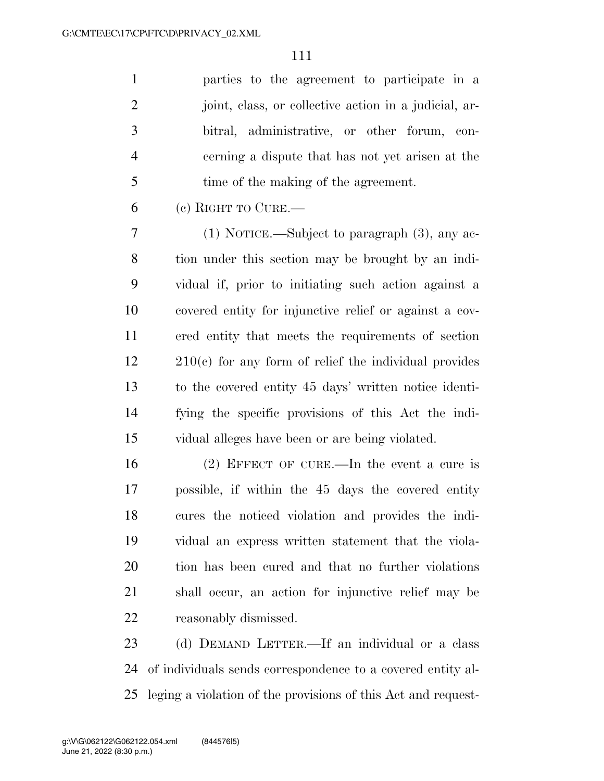parties to the agreement to participate in a 2 ioint, class, or collective action in a judicial, ar- bitral, administrative, or other forum, con- cerning a dispute that has not yet arisen at the time of the making of the agreement.

(c) RIGHT TO CURE.—

 (1) NOTICE.—Subject to paragraph (3), any ac- tion under this section may be brought by an indi- vidual if, prior to initiating such action against a covered entity for injunctive relief or against a cov- ered entity that meets the requirements of section 210(c) for any form of relief the individual provides to the covered entity 45 days' written notice identi- fying the specific provisions of this Act the indi-vidual alleges have been or are being violated.

 (2) EFFECT OF CURE.—In the event a cure is possible, if within the 45 days the covered entity cures the noticed violation and provides the indi- vidual an express written statement that the viola- tion has been cured and that no further violations shall occur, an action for injunctive relief may be reasonably dismissed.

 (d) DEMAND LETTER.—If an individual or a class of individuals sends correspondence to a covered entity al-leging a violation of the provisions of this Act and request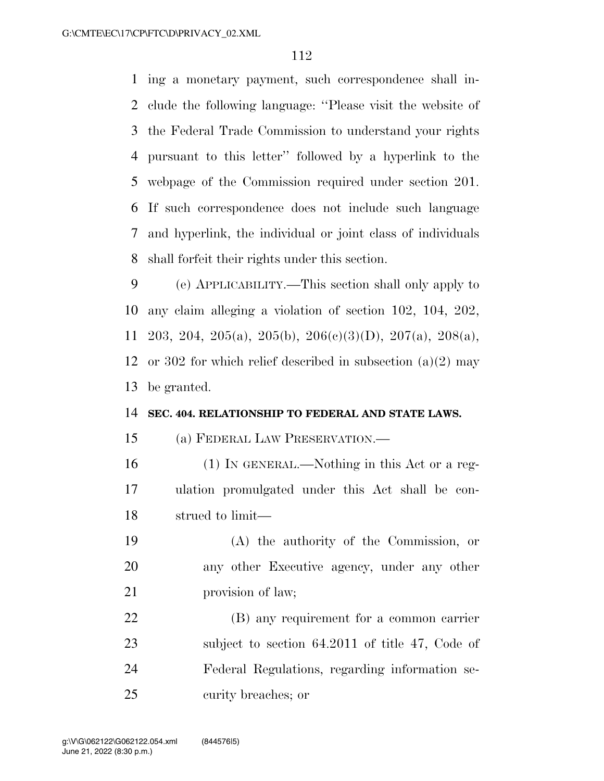ing a monetary payment, such correspondence shall in- clude the following language: ''Please visit the website of the Federal Trade Commission to understand your rights pursuant to this letter'' followed by a hyperlink to the webpage of the Commission required under section 201. If such correspondence does not include such language and hyperlink, the individual or joint class of individuals shall forfeit their rights under this section.

 (e) APPLICABILITY.—This section shall only apply to any claim alleging a violation of section 102, 104, 202, 203, 204, 205(a), 205(b), 206(c)(3)(D), 207(a), 208(a), or 302 for which relief described in subsection (a)(2) may be granted.

### **SEC. 404. RELATIONSHIP TO FEDERAL AND STATE LAWS.**

(a) FEDERAL LAW PRESERVATION.—

- (1) IN GENERAL.—Nothing in this Act or a reg- ulation promulgated under this Act shall be con-strued to limit—
- (A) the authority of the Commission, or any other Executive agency, under any other 21 provision of law;
- (B) any requirement for a common carrier 23 subject to section 64.2011 of title 47, Code of Federal Regulations, regarding information se-curity breaches; or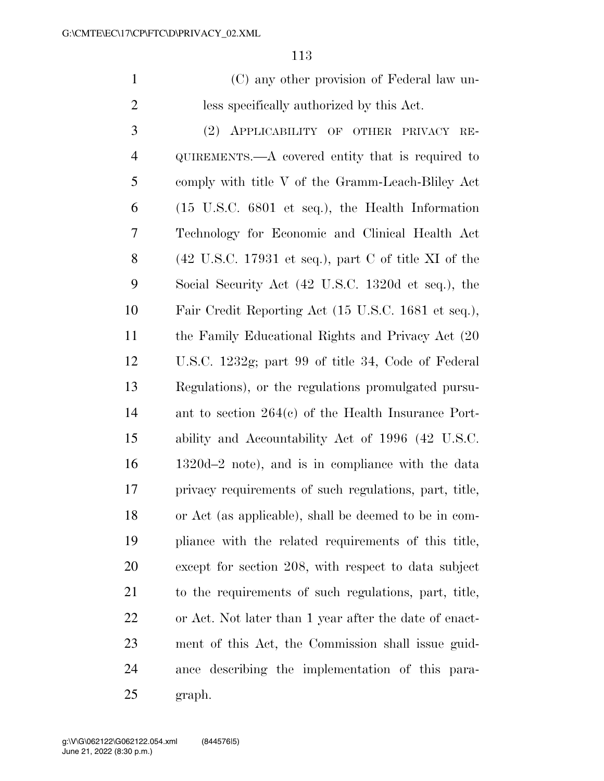(C) any other provision of Federal law un-less specifically authorized by this Act.

 (2) APPLICABILITY OF OTHER PRIVACY RE- QUIREMENTS.—A covered entity that is required to comply with title V of the Gramm-Leach-Bliley Act (15 U.S.C. 6801 et seq.), the Health Information Technology for Economic and Clinical Health Act (42 U.S.C. 17931 et seq.), part C of title XI of the Social Security Act (42 U.S.C. 1320d et seq.), the Fair Credit Reporting Act (15 U.S.C. 1681 et seq.), the Family Educational Rights and Privacy Act (20 U.S.C. 1232g; part 99 of title 34, Code of Federal Regulations), or the regulations promulgated pursu- ant to section 264(c) of the Health Insurance Port- ability and Accountability Act of 1996 (42 U.S.C. 1320d–2 note), and is in compliance with the data privacy requirements of such regulations, part, title, or Act (as applicable), shall be deemed to be in com- pliance with the related requirements of this title, except for section 208, with respect to data subject to the requirements of such regulations, part, title, or Act. Not later than 1 year after the date of enact- ment of this Act, the Commission shall issue guid- ance describing the implementation of this para-graph.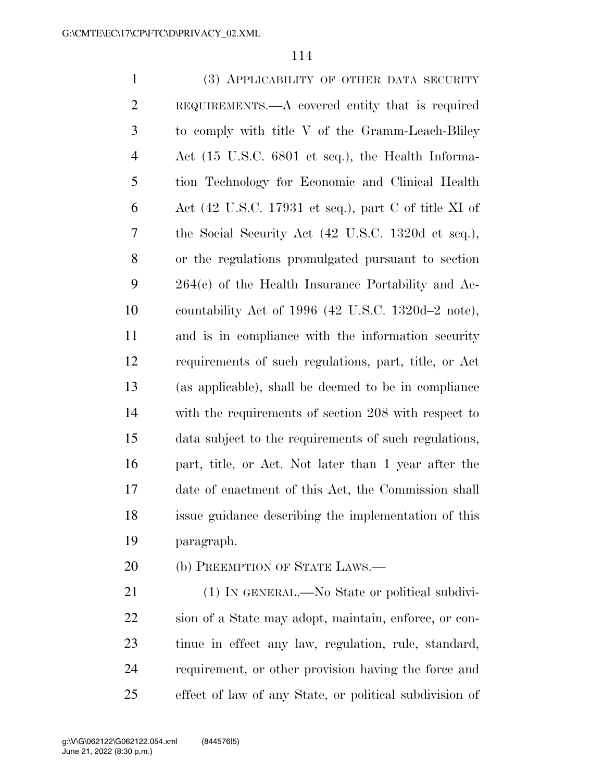(3) APPLICABILITY OF OTHER DATA SECURITY REQUIREMENTS.—A covered entity that is required to comply with title V of the Gramm-Leach-Bliley Act (15 U.S.C. 6801 et seq.), the Health Informa- tion Technology for Economic and Clinical Health 6 Act (42 U.S.C. 17931 et seq.), part C of title XI of the Social Security Act (42 U.S.C. 1320d et seq.), or the regulations promulgated pursuant to section 264(c) of the Health Insurance Portability and Ac- countability Act of 1996 (42 U.S.C. 1320d–2 note), and is in compliance with the information security requirements of such regulations, part, title, or Act (as applicable), shall be deemed to be in compliance with the requirements of section 208 with respect to data subject to the requirements of such regulations, part, title, or Act. Not later than 1 year after the date of enactment of this Act, the Commission shall issue guidance describing the implementation of this paragraph.

20 (b) PREEMPTION OF STATE LAWS.—

21 (1) IN GENERAL.—No State or political subdivi- sion of a State may adopt, maintain, enforce, or con- tinue in effect any law, regulation, rule, standard, requirement, or other provision having the force and effect of law of any State, or political subdivision of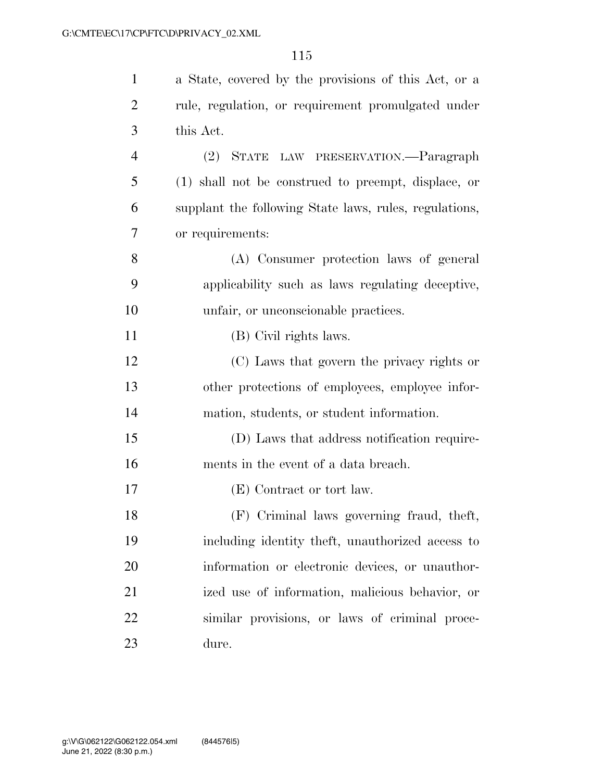| $\mathbf{1}$   | a State, covered by the provisions of this Act, or a   |
|----------------|--------------------------------------------------------|
| $\overline{2}$ | rule, regulation, or requirement promulgated under     |
| 3              | this Act.                                              |
| $\overline{4}$ | STATE LAW PRESERVATION.—Paragraph<br>(2)               |
| 5              | (1) shall not be construed to preempt, displace, or    |
| 6              | supplant the following State laws, rules, regulations, |
| 7              | or requirements:                                       |
| 8              | (A) Consumer protection laws of general                |
| 9              | applicability such as laws regulating deceptive,       |
| 10             | unfair, or unconscionable practices.                   |
| 11             | (B) Civil rights laws.                                 |
| 12             | (C) Laws that govern the privacy rights or             |
| 13             | other protections of employees, employee infor-        |
| 14             | mation, students, or student information.              |
| 15             | (D) Laws that address notification require-            |
| 16             | ments in the event of a data breach.                   |
| 17             | (E) Contract or tort law.                              |
| 18             | (F) Criminal laws governing fraud, theft,              |
| 19             | including identity theft, unauthorized access to       |
| 20             | information or electronic devices, or unauthor-        |
| 21             | ized use of information, malicious behavior, or        |
| 22             | similar provisions, or laws of criminal proce-         |
| 23             | dure.                                                  |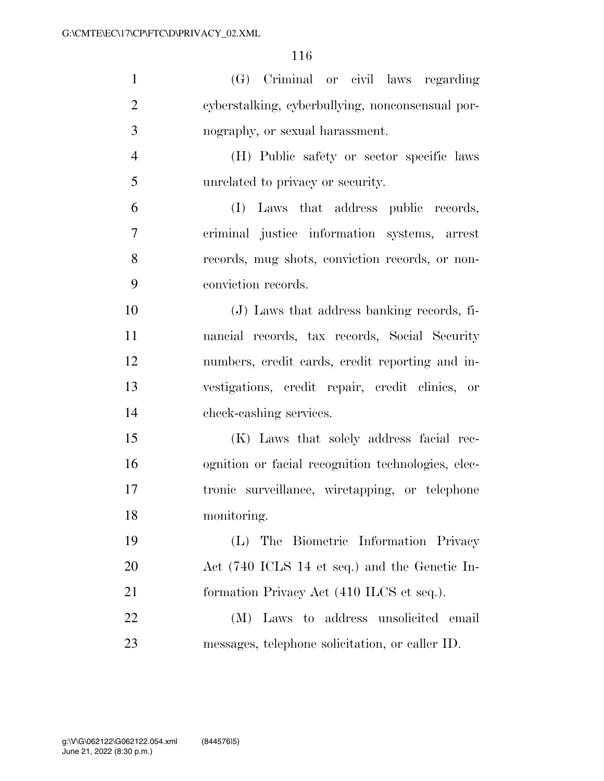| $\mathbf{1}$   | (G) Criminal or civil laws regarding               |
|----------------|----------------------------------------------------|
| $\overline{2}$ | cyberstalking, cyberbullying, nonconsensual por-   |
| 3              | nography, or sexual harassment.                    |
| $\overline{4}$ | (H) Public safety or sector specific laws          |
| 5              | unrelated to privacy or security.                  |
| 6              | (I) Laws that address public records,              |
| 7              | criminal justice information systems, arrest       |
| 8              | records, mug shots, conviction records, or non-    |
| 9              | conviction records.                                |
| 10             | (J) Laws that address banking records, fi-         |
| 11             | nancial records, tax records, Social Security      |
| 12             | numbers, credit cards, credit reporting and in-    |
| 13             | vestigations, credit repair, credit clinics, or    |
| 14             | check-cashing services.                            |
| 15             | (K) Laws that solely address facial rec-           |
| 16             | ognition or facial recognition technologies, elec- |
| 17             | tronic surveillance, wiretapping, or telephone     |
| 18             | monitoring.                                        |
| 19             | The Biometric Information Privacy<br>(L)           |
| 20             | Act (740 ICLS 14 et seq.) and the Genetic In-      |
| 21             | formation Privacy Act (410 ILCS et seq.).          |
| 22             | Laws to address unsolicited email<br>(M)           |
| 23             | messages, telephone solicitation, or caller ID.    |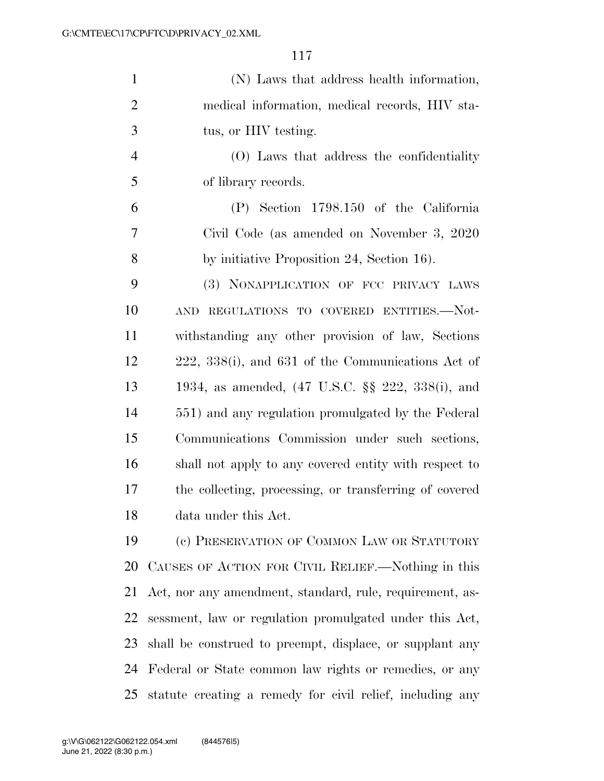| $\mathbf{1}$   | (N) Laws that address health information,                 |
|----------------|-----------------------------------------------------------|
| $\overline{2}$ | medical information, medical records, HIV sta-            |
| 3              | tus, or HIV testing.                                      |
| $\overline{4}$ | (O) Laws that address the confidentiality                 |
| 5              | of library records.                                       |
| 6              | (P) Section 1798.150 of the California                    |
| 7              | Civil Code (as amended on November 3, 2020)               |
| 8              | by initiative Proposition 24, Section 16).                |
| 9              | (3) NONAPPLICATION OF FCC PRIVACY LAWS                    |
| 10             | REGULATIONS TO COVERED ENTITIES.—Not-<br><b>AND</b>       |
| 11             | withstanding any other provision of law, Sections         |
| 12             | 222, 338(i), and 631 of the Communications Act of         |
| 13             | 1934, as amended, (47 U.S.C. §§ 222, 338(i), and          |
| 14             | 551) and any regulation promulgated by the Federal        |
| 15             | Communications Commission under such sections,            |
| 16             | shall not apply to any covered entity with respect to     |
| 17             | the collecting, processing, or transferring of covered    |
| 18             | data under this Act.                                      |
| 19             | (c) PRESERVATION OF COMMON LAW OR STATUTORY               |
| 20             | CAUSES OF ACTION FOR CIVIL RELIEF.—Nothing in this        |
| 21             | Act, nor any amendment, standard, rule, requirement, as-  |
| 22             | sessment, law or regulation promulgated under this Act,   |
| 23             | shall be construed to preempt, displace, or supplant any  |
| 24             | Federal or State common law rights or remedies, or any    |
| 25             | statute creating a remedy for civil relief, including any |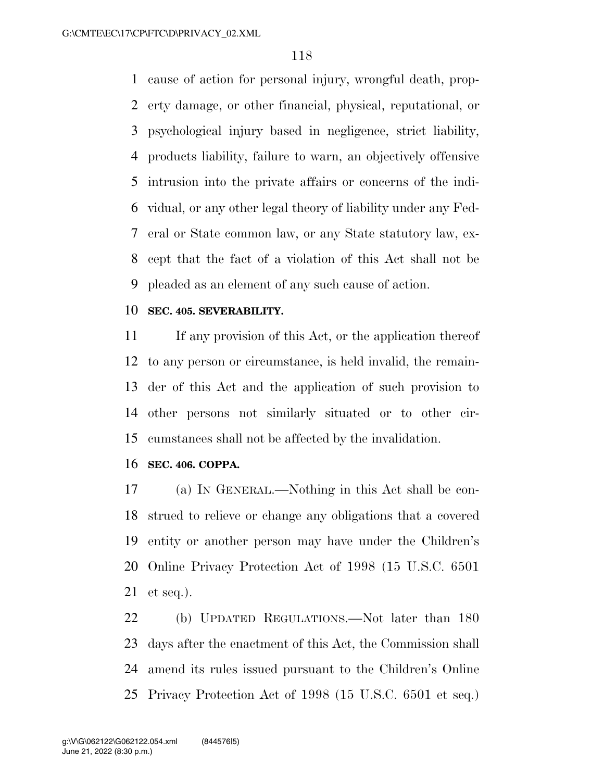cause of action for personal injury, wrongful death, prop- erty damage, or other financial, physical, reputational, or psychological injury based in negligence, strict liability, products liability, failure to warn, an objectively offensive intrusion into the private affairs or concerns of the indi- vidual, or any other legal theory of liability under any Fed- eral or State common law, or any State statutory law, ex- cept that the fact of a violation of this Act shall not be pleaded as an element of any such cause of action.

### **SEC. 405. SEVERABILITY.**

 If any provision of this Act, or the application thereof to any person or circumstance, is held invalid, the remain- der of this Act and the application of such provision to other persons not similarly situated or to other cir-cumstances shall not be affected by the invalidation.

#### **SEC. 406. COPPA.**

 (a) IN GENERAL.—Nothing in this Act shall be con- strued to relieve or change any obligations that a covered entity or another person may have under the Children's Online Privacy Protection Act of 1998 (15 U.S.C. 6501 et seq.).

 (b) UPDATED REGULATIONS.—Not later than 180 days after the enactment of this Act, the Commission shall amend its rules issued pursuant to the Children's Online Privacy Protection Act of 1998 (15 U.S.C. 6501 et seq.)